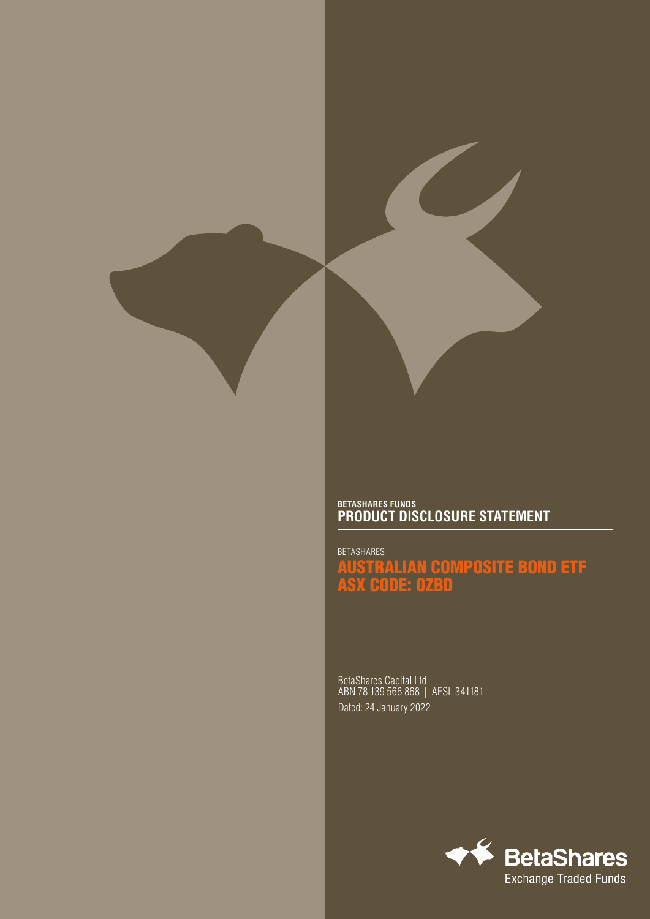

## **BETASHARES FUNDS PRODUCT DISCLOSURE STATEMENT**

BETASHARES AUSTRALIAN COMPOSITE BOND ETF ASX CODE: OZBD

BetaShares Capital Ltd ABN 78 139 566 868 | AFSL 341181 Dated: 24 January 2022

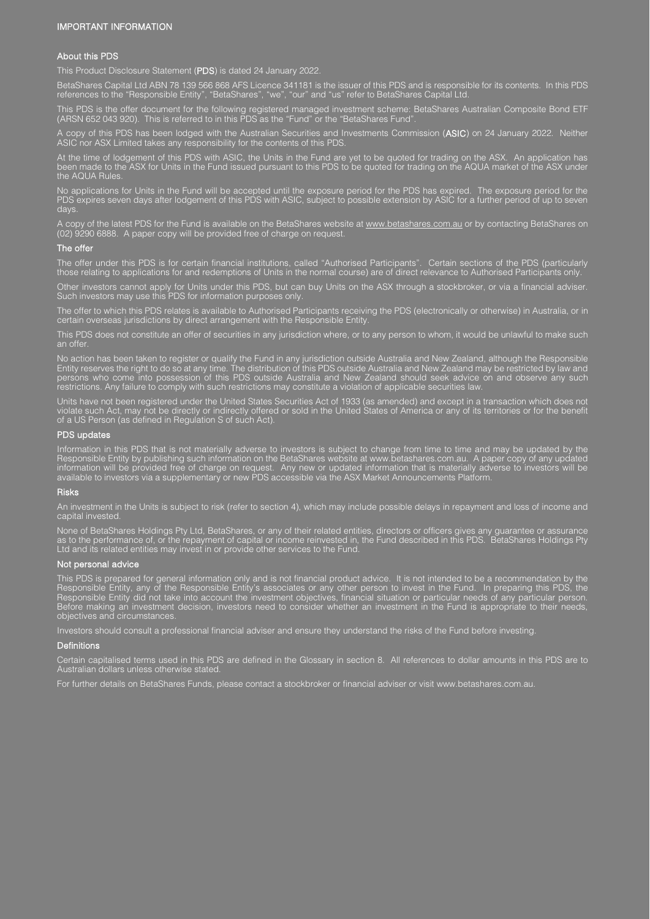#### IMPORTANT INFORMATION

#### About this PDS

This Product Disclosure Statement (PDS) is dated 24 January 2022.

BetaShares Capital Ltd ABN 78 139 566 868 AFS Licence 341181 is the issuer of this PDS and is responsible for its contents. In this PDS references to the "Responsible Entity", "BetaShares", "we", "our" and "us" refer to BetaShares Capital Ltd.

This PDS is the offer document for the following registered managed investment scheme: BetaShares Australian Composite Bond ETF (ARSN 652 043 920). This is referred to in this PDS as the "Fund" or the "BetaShares Fund".

A copy of this PDS has been lodged with the Australian Securities and Investments Commission (ASIC) on 24 January 2022. Neither ASIC nor ASX Limited takes any responsibility for the contents of this PDS.

At the time of lodgement of this PDS with ASIC, the Units in the Fund are yet to be quoted for trading on the ASX. An application has been made to the ASX for Units in the Fund issued pursuant to this PDS to be quoted for trading on the AQUA market of the ASX under the AQUA Rules.

No applications for Units in the Fund will be accepted until the exposure period for the PDS has expired. The exposure period for the PDS expires seven days after lodgement of this PDS with ASIC, subject to possible extension by ASIC for a further period of up to seven days.

A copy of the latest PDS for the Fund is available on the BetaShares website at <u>www.betashares.com.au</u> or by contacting BetaShares on (02) 9290 6888. A paper copy will be provided free of charge on request.

#### The offer

The offer under this PDS is for certain financial institutions, called "Authorised Participants". Certain sections of the PDS (particularly those relating to applications for and redemptions of Units in the normal course) are of direct relevance to Authorised Participants only.

Other investors cannot apply for Units under this PDS, but can buy Units on the ASX through a stockbroker, or via a financial adviser. Such investors may use this PDS for information purposes only.

The offer to which this PDS relates is available to Authorised Participants receiving the PDS (electronically or otherwise) in Australia, or in certain overseas jurisdictions by direct arrangement with the Responsible Entity.

This PDS does not constitute an offer of securities in any jurisdiction where, or to any person to whom, it would be unlawful to make such an offer.

No action has been taken to register or qualify the Fund in any jurisdiction outside Australia and New Zealand, although the Responsible Entity reserves the right to do so at any time. The distribution of this PDS outside Australia and New Zealand may be restricted by law and persons who come into possession of this PDS outside Australia and New Zealand should seek advice on and observe any such restrictions. Any failure to comply with such restrictions may constitute a violation of applicable securities law.

Units have not been registered under the United States Securities Act of 1933 (as amended) and except in a transaction which does not violate such Act, may not be directly or indirectly offered or sold in the United States of America or any of its territories or for the benefit of a US Person (as defined in Regulation S of such Act).

#### PDS updates

Information in this PDS that is not materially adverse to investors is subject to change from time to time and may be updated by the Responsible Entity by publishing such information on the BetaShares website at www.betashares.com.au. A paper copy of any updated information will be provided free of charge on request. Any new or updated information that is materially adverse to investors will be available to investors via a supplementary or new PDS accessible via the ASX Market Announcements Platform.

#### Risks

An investment in the Units is subject to risk (refer to section 4), which may include possible delays in repayment and loss of income and capital invested.

None of BetaShares Holdings Pty Ltd, BetaShares, or any of their related entities, directors or officers gives any guarantee or assurance as to the performance of, or the repayment of capital or income reinvested in, the Fund described in this PDS. BetaShares Holdings Pty Ltd and its related entities may invest in or provide other services to the Fund.

#### Not personal advice

This PDS is prepared for general information only and is not financial product advice. It is not intended to be a recommendation by the Responsible Entity, any of the Responsible Entity's associates or any other person to invest in the Fund. In preparing this PDS, the Responsible Entity did not take into account the investment objectives, financial situation or particular needs of any particular person. Before making an investment decision, investors need to consider whether an investment in the Fund is appropriate to their needs, objectives and circumstances.

Investors should consult a professional financial adviser and ensure they understand the risks of the Fund before investing.

#### **Definitions**

Certain capitalised terms used in this PDS are defined in the Glossary in section 8. All references to dollar amounts in this PDS are to Australian dollars unless otherwise stated.

For further details on BetaShares Funds, please contact a stockbroker or financial adviser or visit www.betashares.com.au.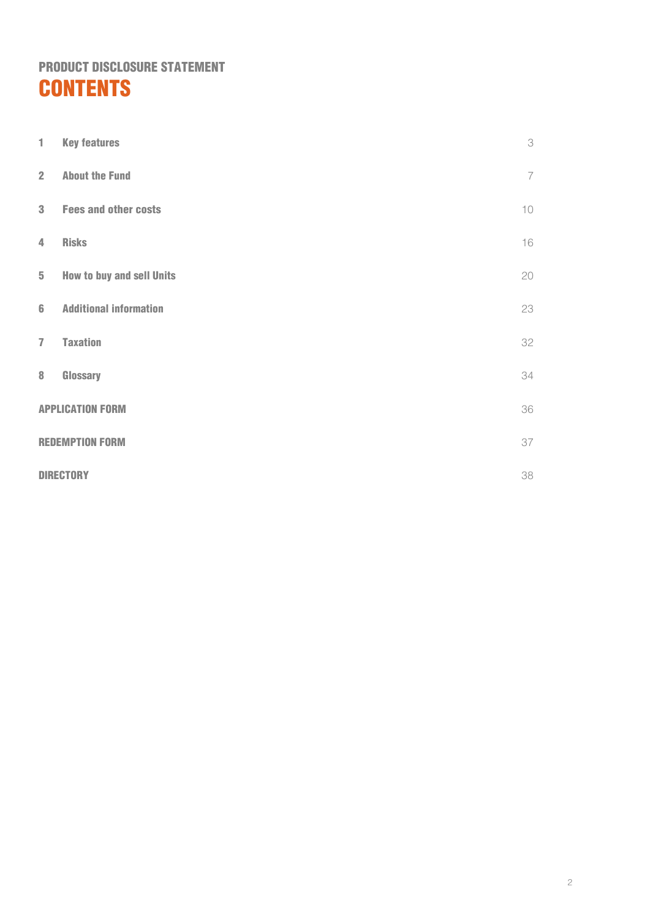## PRODUCT DISCLOSURE STATEMENT **CONTENTS**

| 1                       | <b>Key features</b>              | 3              |
|-------------------------|----------------------------------|----------------|
| $\overline{2}$          | <b>About the Fund</b>            | $\overline{7}$ |
| $\mathbf{3}$            | <b>Fees and other costs</b>      | 10             |
| $\overline{4}$          | <b>Risks</b>                     | 16             |
| $5\phantom{.0}$         | <b>How to buy and sell Units</b> | 20             |
| $6\phantom{1}$          | <b>Additional information</b>    | 23             |
| $\overline{7}$          | <b>Taxation</b>                  | 32             |
| $\bf{8}$                | Glossary                         | 34             |
| <b>APPLICATION FORM</b> |                                  | 36             |
|                         | 37<br><b>REDEMPTION FORM</b>     |                |
|                         | 38<br><b>DIRECTORY</b>           |                |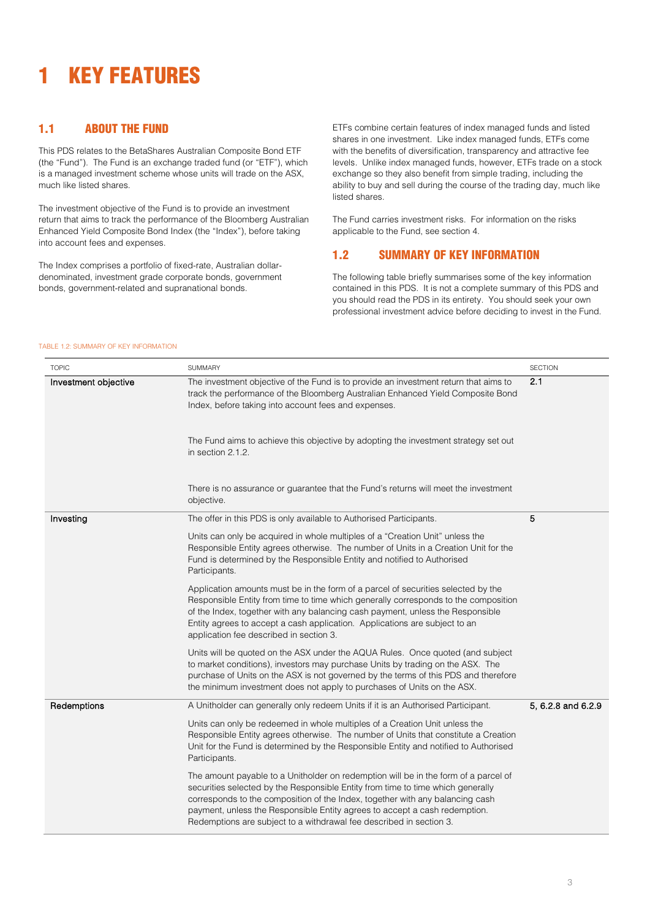## <span id="page-3-0"></span>1 KEY FEATURES

## 1.1 ABOUT THE FUND

This PDS relates to the BetaShares Australian Composite Bond ETF (the "Fund"). The Fund is an exchange traded fund (or "ETF"), which is a managed investment scheme whose units will trade on the ASX, much like listed shares.

The investment objective of the Fund is to provide an investment return that aims to track the performance of the Bloomberg Australian Enhanced Yield Composite Bond Index (the "Index"), before taking into account fees and expenses.

The Index comprises a portfolio of fixed-rate, Australian dollardenominated, investment grade corporate bonds, government bonds, government-related and supranational bonds.

ETFs combine certain features of index managed funds and listed shares in one investment. Like index managed funds, ETFs come with the benefits of diversification, transparency and attractive fee levels. Unlike index managed funds, however, ETFs trade on a stock exchange so they also benefit from simple trading, including the ability to buy and sell during the course of the trading day, much like listed shares.

The Fund carries investment risks. For information on the risks applicable to the Fund, see section [4.](#page-16-0) 

## 1.2 SUMMARY OF KEY INFORMATION

The following table briefly summarises some of the key information contained in this PDS. It is not a complete summary of this PDS and you should read the PDS in its entirety. You should seek your own professional investment advice before deciding to invest in the Fund.

#### TABLE 1.2: SUMMARY OF KEY INFORMATION

| <b>TOPIC</b>         | <b>SUMMARY</b>                                                                                                                                                                                                                                                                                                                                                                                               | <b>SECTION</b>     |
|----------------------|--------------------------------------------------------------------------------------------------------------------------------------------------------------------------------------------------------------------------------------------------------------------------------------------------------------------------------------------------------------------------------------------------------------|--------------------|
| Investment objective | The investment objective of the Fund is to provide an investment return that aims to<br>track the performance of the Bloomberg Australian Enhanced Yield Composite Bond<br>Index, before taking into account fees and expenses.                                                                                                                                                                              | 2.1                |
|                      | The Fund aims to achieve this objective by adopting the investment strategy set out<br>in section 2.1.2.                                                                                                                                                                                                                                                                                                     |                    |
|                      | There is no assurance or guarantee that the Fund's returns will meet the investment<br>objective.                                                                                                                                                                                                                                                                                                            |                    |
| Investing            | The offer in this PDS is only available to Authorised Participants.                                                                                                                                                                                                                                                                                                                                          | 5                  |
|                      | Units can only be acquired in whole multiples of a "Creation Unit" unless the<br>Responsible Entity agrees otherwise. The number of Units in a Creation Unit for the<br>Fund is determined by the Responsible Entity and notified to Authorised<br>Participants.                                                                                                                                             |                    |
|                      | Application amounts must be in the form of a parcel of securities selected by the<br>Responsible Entity from time to time which generally corresponds to the composition<br>of the Index, together with any balancing cash payment, unless the Responsible<br>Entity agrees to accept a cash application. Applications are subject to an<br>application fee described in section 3.                          |                    |
|                      | Units will be quoted on the ASX under the AQUA Rules. Once quoted (and subject<br>to market conditions), investors may purchase Units by trading on the ASX. The<br>purchase of Units on the ASX is not governed by the terms of this PDS and therefore<br>the minimum investment does not apply to purchases of Units on the ASX.                                                                           |                    |
| Redemptions          | A Unitholder can generally only redeem Units if it is an Authorised Participant.                                                                                                                                                                                                                                                                                                                             | 5, 6.2.8 and 6.2.9 |
|                      | Units can only be redeemed in whole multiples of a Creation Unit unless the<br>Responsible Entity agrees otherwise. The number of Units that constitute a Creation<br>Unit for the Fund is determined by the Responsible Entity and notified to Authorised<br>Participants.                                                                                                                                  |                    |
|                      | The amount payable to a Unitholder on redemption will be in the form of a parcel of<br>securities selected by the Responsible Entity from time to time which generally<br>corresponds to the composition of the Index, together with any balancing cash<br>payment, unless the Responsible Entity agrees to accept a cash redemption.<br>Redemptions are subject to a withdrawal fee described in section 3. |                    |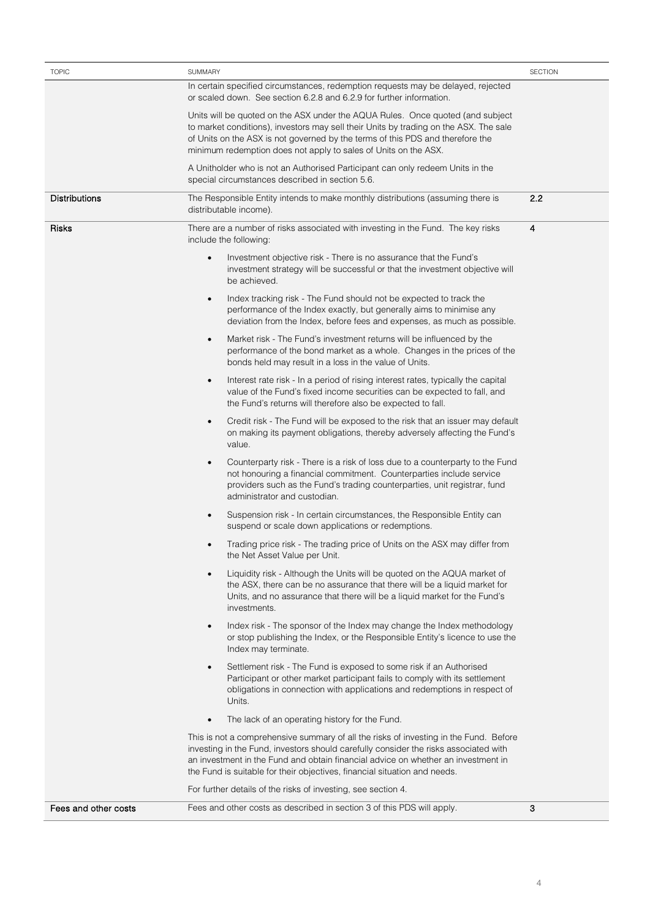| <b>TOPIC</b>         | <b>SUMMARY</b>                                                                                                                                                                                                                                                                                                                                  | <b>SECTION</b>   |
|----------------------|-------------------------------------------------------------------------------------------------------------------------------------------------------------------------------------------------------------------------------------------------------------------------------------------------------------------------------------------------|------------------|
|                      | In certain specified circumstances, redemption requests may be delayed, rejected<br>or scaled down. See section 6.2.8 and 6.2.9 for further information.                                                                                                                                                                                        |                  |
|                      | Units will be quoted on the ASX under the AQUA Rules. Once quoted (and subject<br>to market conditions), investors may sell their Units by trading on the ASX. The sale<br>of Units on the ASX is not governed by the terms of this PDS and therefore the<br>minimum redemption does not apply to sales of Units on the ASX.                    |                  |
|                      | A Unitholder who is not an Authorised Participant can only redeem Units in the<br>special circumstances described in section 5.6.                                                                                                                                                                                                               |                  |
| <b>Distributions</b> | The Responsible Entity intends to make monthly distributions (assuming there is<br>distributable income).                                                                                                                                                                                                                                       | 2.2              |
| Risks                | There are a number of risks associated with investing in the Fund. The key risks<br>include the following:                                                                                                                                                                                                                                      | $\boldsymbol{4}$ |
|                      | Investment objective risk - There is no assurance that the Fund's<br>investment strategy will be successful or that the investment objective will<br>be achieved.                                                                                                                                                                               |                  |
|                      | Index tracking risk - The Fund should not be expected to track the<br>$\bullet$<br>performance of the Index exactly, but generally aims to minimise any<br>deviation from the Index, before fees and expenses, as much as possible.                                                                                                             |                  |
|                      | Market risk - The Fund's investment returns will be influenced by the<br>$\bullet$<br>performance of the bond market as a whole. Changes in the prices of the<br>bonds held may result in a loss in the value of Units.                                                                                                                         |                  |
|                      | Interest rate risk - In a period of rising interest rates, typically the capital<br>$\bullet$<br>value of the Fund's fixed income securities can be expected to fall, and<br>the Fund's returns will therefore also be expected to fall.                                                                                                        |                  |
|                      | Credit risk - The Fund will be exposed to the risk that an issuer may default<br>$\bullet$<br>on making its payment obligations, thereby adversely affecting the Fund's<br>value.                                                                                                                                                               |                  |
|                      | Counterparty risk - There is a risk of loss due to a counterparty to the Fund<br>not honouring a financial commitment. Counterparties include service<br>providers such as the Fund's trading counterparties, unit registrar, fund<br>administrator and custodian.                                                                              |                  |
|                      | Suspension risk - In certain circumstances, the Responsible Entity can<br>suspend or scale down applications or redemptions.                                                                                                                                                                                                                    |                  |
|                      | Trading price risk - The trading price of Units on the ASX may differ from<br>٠<br>the Net Asset Value per Unit.                                                                                                                                                                                                                                |                  |
|                      | Liquidity risk - Although the Units will be quoted on the AQUA market of<br>the ASX, there can be no assurance that there will be a liquid market for<br>Units, and no assurance that there will be a liquid market for the Fund's<br>investments.                                                                                              |                  |
|                      | Index risk - The sponsor of the Index may change the Index methodology<br>$\bullet$<br>or stop publishing the Index, or the Responsible Entity's licence to use the<br>Index may terminate.                                                                                                                                                     |                  |
|                      | Settlement risk - The Fund is exposed to some risk if an Authorised<br>$\bullet$<br>Participant or other market participant fails to comply with its settlement<br>obligations in connection with applications and redemptions in respect of<br>Units.                                                                                          |                  |
|                      | The lack of an operating history for the Fund.                                                                                                                                                                                                                                                                                                  |                  |
|                      | This is not a comprehensive summary of all the risks of investing in the Fund. Before<br>investing in the Fund, investors should carefully consider the risks associated with<br>an investment in the Fund and obtain financial advice on whether an investment in<br>the Fund is suitable for their objectives, financial situation and needs. |                  |
|                      | For further details of the risks of investing, see section 4.                                                                                                                                                                                                                                                                                   |                  |
| Fees and other costs | Fees and other costs as described in section 3 of this PDS will apply.                                                                                                                                                                                                                                                                          | 3                |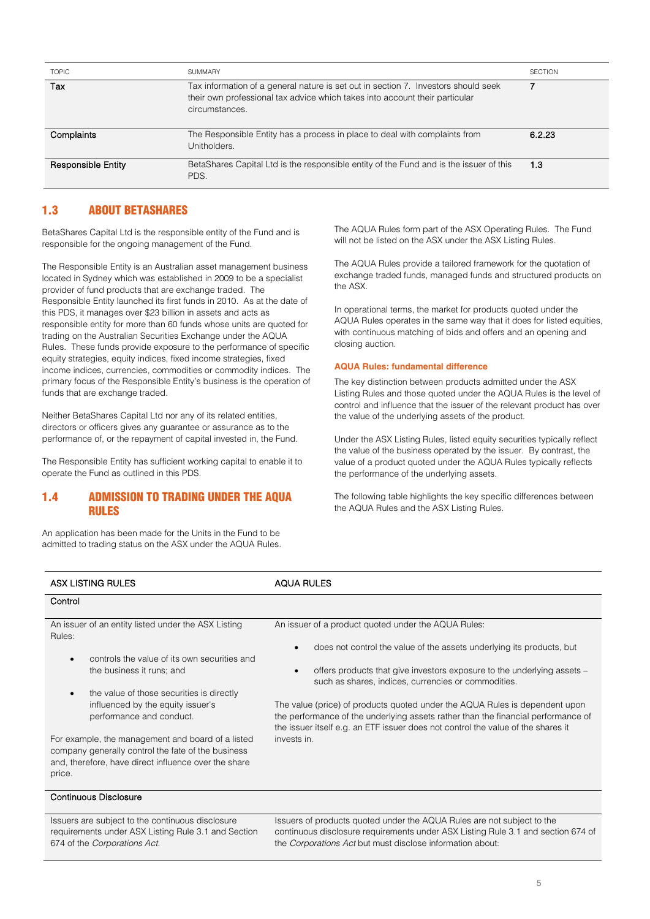| <b>TOPIC</b>              | <b>SUMMARY</b>                                                                                                                                                                      | <b>SECTION</b> |
|---------------------------|-------------------------------------------------------------------------------------------------------------------------------------------------------------------------------------|----------------|
| Tax                       | Tax information of a general nature is set out in section 7. Investors should seek<br>their own professional tax advice which takes into account their particular<br>circumstances. |                |
| Complaints                | The Responsible Entity has a process in place to deal with complaints from<br>Unitholders.                                                                                          | 6.2.23         |
| <b>Responsible Entity</b> | BetaShares Capital Ltd is the responsible entity of the Fund and is the issuer of this<br>PDS.                                                                                      | 1.3            |

## 1.3 ABOUT BETASHARES

BetaShares Capital Ltd is the responsible entity of the Fund and is responsible for the ongoing management of the Fund.

The Responsible Entity is an Australian asset management business located in Sydney which was established in 2009 to be a specialist provider of fund products that are exchange traded. The Responsible Entity launched its first funds in 2010. As at the date of this PDS, it manages over \$23 billion in assets and acts as responsible entity for more than 60 funds whose units are quoted for trading on the Australian Securities Exchange under the AQUA Rules. These funds provide exposure to the performance of specific equity strategies, equity indices, fixed income strategies, fixed income indices, currencies, commodities or commodity indices. The primary focus of the Responsible Entity's business is the operation of funds that are exchange traded.

Neither BetaShares Capital Ltd nor any of its related entities, directors or officers gives any guarantee or assurance as to the performance of, or the repayment of capital invested in, the Fund.

The Responsible Entity has sufficient working capital to enable it to operate the Fund as outlined in this PDS.

## 1.4 ADMISSION TO TRADING UNDER THE AQUA RULES

An application has been made for the Units in the Fund to be admitted to trading status on the ASX under the AQUA Rules. The AQUA Rules form part of the ASX Operating Rules. The Fund will not be listed on the ASX under the ASX Listing Rules.

The AQUA Rules provide a tailored framework for the quotation of exchange traded funds, managed funds and structured products on the ASX.

In operational terms, the market for products quoted under the AQUA Rules operates in the same way that it does for listed equities, with continuous matching of bids and offers and an opening and closing auction.

#### **AQUA Rules: fundamental difference**

The key distinction between products admitted under the ASX Listing Rules and those quoted under the AQUA Rules is the level of control and influence that the issuer of the relevant product has over the value of the underlying assets of the product.

Under the ASX Listing Rules, listed equity securities typically reflect the value of the business operated by the issuer. By contrast, the value of a product quoted under the AQUA Rules typically reflects the performance of the underlying assets.

The following table highlights the key specific differences between the AQUA Rules and the ASX Listing Rules.

| <b>ASX LISTING RULES</b>                                                                                                                                                  | <b>AQUA RULES</b>                                                                                                                                                                                                                                    |
|---------------------------------------------------------------------------------------------------------------------------------------------------------------------------|------------------------------------------------------------------------------------------------------------------------------------------------------------------------------------------------------------------------------------------------------|
| Control                                                                                                                                                                   |                                                                                                                                                                                                                                                      |
| An issuer of an entity listed under the ASX Listing<br>Rules:                                                                                                             | An issuer of a product quoted under the AQUA Rules:                                                                                                                                                                                                  |
| controls the value of its own securities and<br>$\bullet$                                                                                                                 | does not control the value of the assets underlying its products, but                                                                                                                                                                                |
| the business it runs; and                                                                                                                                                 | offers products that give investors exposure to the underlying assets -<br>such as shares, indices, currencies or commodities.                                                                                                                       |
| the value of those securities is directly<br>$\bullet$                                                                                                                    |                                                                                                                                                                                                                                                      |
| influenced by the equity issuer's<br>performance and conduct.                                                                                                             | The value (price) of products quoted under the AQUA Rules is dependent upon<br>the performance of the underlying assets rather than the financial performance of<br>the issuer itself e.g. an ETF issuer does not control the value of the shares it |
| For example, the management and board of a listed<br>company generally control the fate of the business<br>and, therefore, have direct influence over the share<br>price. | invests in.                                                                                                                                                                                                                                          |
| Continuous Disclosure                                                                                                                                                     |                                                                                                                                                                                                                                                      |

Issuers are subject to the continuous disclosure requirements under ASX Listing Rule 3.1 and Section 674 of the *Corporations Act*.

Issuers of products quoted under the AQUA Rules are not subject to the continuous disclosure requirements under ASX Listing Rule 3.1 and section 674 of the *Corporations Act* but must disclose information about: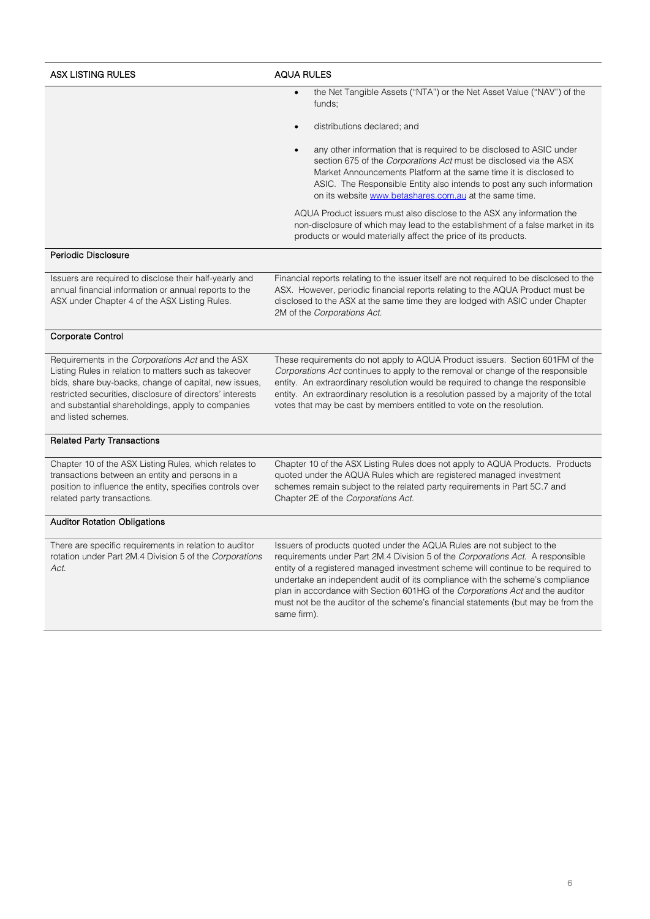| <b>ASX LISTING RULES</b>                                                                                                                                                                                                                                                                                    | <b>AQUA RULES</b>                                                                                                                                                                                                                                                                                                                                                                                                                                                                                                  |
|-------------------------------------------------------------------------------------------------------------------------------------------------------------------------------------------------------------------------------------------------------------------------------------------------------------|--------------------------------------------------------------------------------------------------------------------------------------------------------------------------------------------------------------------------------------------------------------------------------------------------------------------------------------------------------------------------------------------------------------------------------------------------------------------------------------------------------------------|
|                                                                                                                                                                                                                                                                                                             | the Net Tangible Assets ("NTA") or the Net Asset Value ("NAV") of the<br>funds;                                                                                                                                                                                                                                                                                                                                                                                                                                    |
|                                                                                                                                                                                                                                                                                                             | distributions declared; and                                                                                                                                                                                                                                                                                                                                                                                                                                                                                        |
|                                                                                                                                                                                                                                                                                                             | any other information that is required to be disclosed to ASIC under<br>section 675 of the Corporations Act must be disclosed via the ASX<br>Market Announcements Platform at the same time it is disclosed to<br>ASIC. The Responsible Entity also intends to post any such information<br>on its website www.betashares.com.au at the same time.                                                                                                                                                                 |
|                                                                                                                                                                                                                                                                                                             | AQUA Product issuers must also disclose to the ASX any information the<br>non-disclosure of which may lead to the establishment of a false market in its<br>products or would materially affect the price of its products.                                                                                                                                                                                                                                                                                         |
| Periodic Disclosure                                                                                                                                                                                                                                                                                         |                                                                                                                                                                                                                                                                                                                                                                                                                                                                                                                    |
| Issuers are required to disclose their half-yearly and<br>annual financial information or annual reports to the<br>ASX under Chapter 4 of the ASX Listing Rules.                                                                                                                                            | Financial reports relating to the issuer itself are not required to be disclosed to the<br>ASX. However, periodic financial reports relating to the AQUA Product must be<br>disclosed to the ASX at the same time they are lodged with ASIC under Chapter<br>2M of the Corporations Act.                                                                                                                                                                                                                           |
| Corporate Control                                                                                                                                                                                                                                                                                           |                                                                                                                                                                                                                                                                                                                                                                                                                                                                                                                    |
| Requirements in the Corporations Act and the ASX<br>Listing Rules in relation to matters such as takeover<br>bids, share buy-backs, change of capital, new issues,<br>restricted securities, disclosure of directors' interests<br>and substantial shareholdings, apply to companies<br>and listed schemes. | These requirements do not apply to AQUA Product issuers. Section 601FM of the<br>Corporations Act continues to apply to the removal or change of the responsible<br>entity. An extraordinary resolution would be required to change the responsible<br>entity. An extraordinary resolution is a resolution passed by a majority of the total<br>votes that may be cast by members entitled to vote on the resolution.                                                                                              |
| <b>Related Party Transactions</b>                                                                                                                                                                                                                                                                           |                                                                                                                                                                                                                                                                                                                                                                                                                                                                                                                    |
| Chapter 10 of the ASX Listing Rules, which relates to<br>transactions between an entity and persons in a<br>position to influence the entity, specifies controls over<br>related party transactions.                                                                                                        | Chapter 10 of the ASX Listing Rules does not apply to AQUA Products. Products<br>quoted under the AQUA Rules which are registered managed investment<br>schemes remain subject to the related party requirements in Part 5C.7 and<br>Chapter 2E of the Corporations Act.                                                                                                                                                                                                                                           |
| <b>Auditor Rotation Obligations</b>                                                                                                                                                                                                                                                                         |                                                                                                                                                                                                                                                                                                                                                                                                                                                                                                                    |
| There are specific requirements in relation to auditor<br>rotation under Part 2M.4 Division 5 of the Corporations<br>Act.                                                                                                                                                                                   | Issuers of products quoted under the AQUA Rules are not subject to the<br>requirements under Part 2M.4 Division 5 of the Corporations Act. A responsible<br>entity of a registered managed investment scheme will continue to be required to<br>undertake an independent audit of its compliance with the scheme's compliance<br>plan in accordance with Section 601HG of the Corporations Act and the auditor<br>must not be the auditor of the scheme's financial statements (but may be from the<br>same firm). |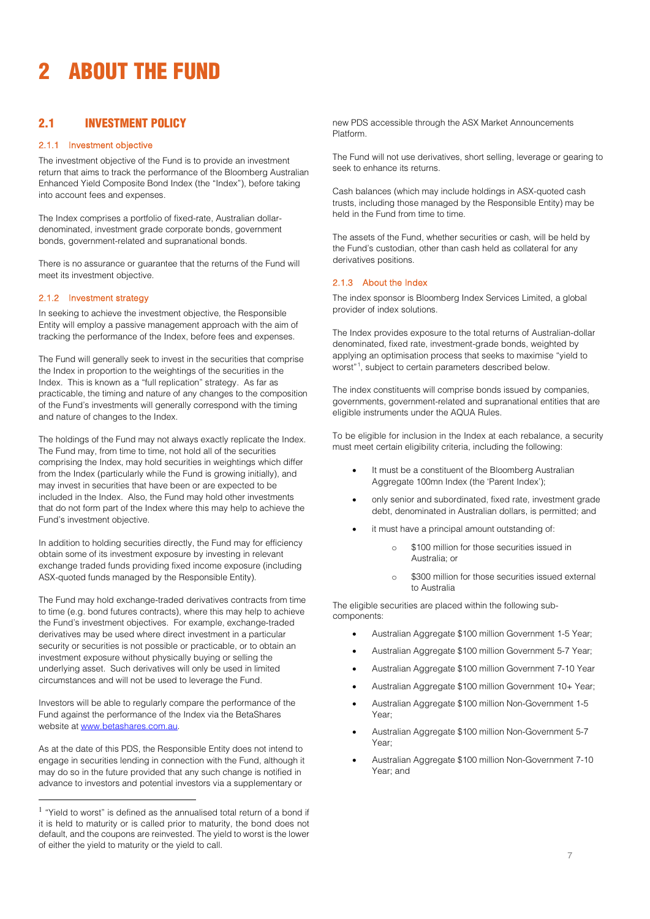# <span id="page-7-0"></span>2 ABOUT THE FUND

## <span id="page-7-2"></span>2.1 INVESTMENT POLICY

#### 2.1.1 Investment objective

The investment objective of the Fund is to provide an investment return that aims to track the performance of the Bloomberg Australian Enhanced Yield Composite Bond Index (the "Index"), before taking into account fees and expenses.

The Index comprises a portfolio of fixed-rate, Australian dollardenominated, investment grade corporate bonds, government bonds, government-related and supranational bonds.

There is no assurance or guarantee that the returns of the Fund will meet its investment objective.

#### 2.1.2 Investment strategy

In seeking to achieve the investment objective, the Responsible Entity will employ a passive management approach with the aim of tracking the performance of the Index, before fees and expenses.

The Fund will generally seek to invest in the securities that comprise the Index in proportion to the weightings of the securities in the Index. This is known as a "full replication" strategy. As far as practicable, the timing and nature of any changes to the composition of the Fund's investments will generally correspond with the timing and nature of changes to the Index.

The holdings of the Fund may not always exactly replicate the Index. The Fund may, from time to time, not hold all of the securities comprising the Index, may hold securities in weightings which differ from the Index (particularly while the Fund is growing initially), and may invest in securities that have been or are expected to be included in the Index. Also, the Fund may hold other investments that do not form part of the Index where this may help to achieve the Fund's investment objective.

In addition to holding securities directly, the Fund may for efficiency obtain some of its investment exposure by investing in relevant exchange traded funds providing fixed income exposure (including ASX-quoted funds managed by the Responsible Entity).

The Fund may hold exchange-traded derivatives contracts from time to time (e.g. bond futures contracts), where this may help to achieve the Fund's investment objectives. For example, exchange-traded derivatives may be used where direct investment in a particular security or securities is not possible or practicable, or to obtain an investment exposure without physically buying or selling the underlying asset. Such derivatives will only be used in limited circumstances and will not be used to leverage the Fund.

Investors will be able to regularly compare the performance of the Fund against the performance of the Index via the BetaShares website at [www.betashares.com.au.](http://www.betashares.com.au/)

As at the date of this PDS, the Responsible Entity does not intend to engage in securities lending in connection with the Fund, although it may do so in the future provided that any such change is notified in advance to investors and potential investors via a supplementary or

new PDS accessible through the ASX Market Announcements Platform.

The Fund will not use derivatives, short selling, leverage or gearing to seek to enhance its returns.

Cash balances (which may include holdings in ASX-quoted cash trusts, including those managed by the Responsible Entity) may be held in the Fund from time to time.

The assets of the Fund, whether securities or cash, will be held by the Fund's custodian, other than cash held as collateral for any derivatives positions.

#### 2.1.3 About the Index

The index sponsor is Bloomberg Index Services Limited, a global provider of index solutions.

The Index provides exposure to the total returns of Australian-dollar denominated, fixed rate, investment-grade bonds, weighted by applying an optimisation process that seeks to maximise "yield to worst"<sup>1</sup>, subject to certain parameters described below.

The index constituents will comprise bonds issued by companies, governments, government-related and supranational entities that are eligible instruments under the AQUA Rules.

To be eligible for inclusion in the Index at each rebalance, a security must meet certain eligibility criteria, including the following:

- It must be a constituent of the Bloomberg Australian Aggregate 100mn Index (the 'Parent Index');
- only senior and subordinated, fixed rate, investment grade debt, denominated in Australian dollars, is permitted; and
- it must have a principal amount outstanding of:
	- o \$100 million for those securities issued in Australia; or
	- o \$300 million for those securities issued external to Australia

The eligible securities are placed within the following subcomponents:

- Australian Aggregate \$100 million Government 1-5 Year;
- Australian Aggregate \$100 million Government 5-7 Year;
- Australian Aggregate \$100 million Government 7-10 Year
- Australian Aggregate \$100 million Government 10+ Year;
- Australian Aggregate \$100 million Non-Government 1-5 Year;
- Australian Aggregate \$100 million Non-Government 5-7 Year;
- Australian Aggregate \$100 million Non-Government 7-10 Year; and

<span id="page-7-1"></span> $1$  "Yield to worst" is defined as the annualised total return of a bond if it is held to maturity or is called prior to maturity, the bond does not default, and the coupons are reinvested. The yield to worst is the lower of either the yield to maturity or the yield to call.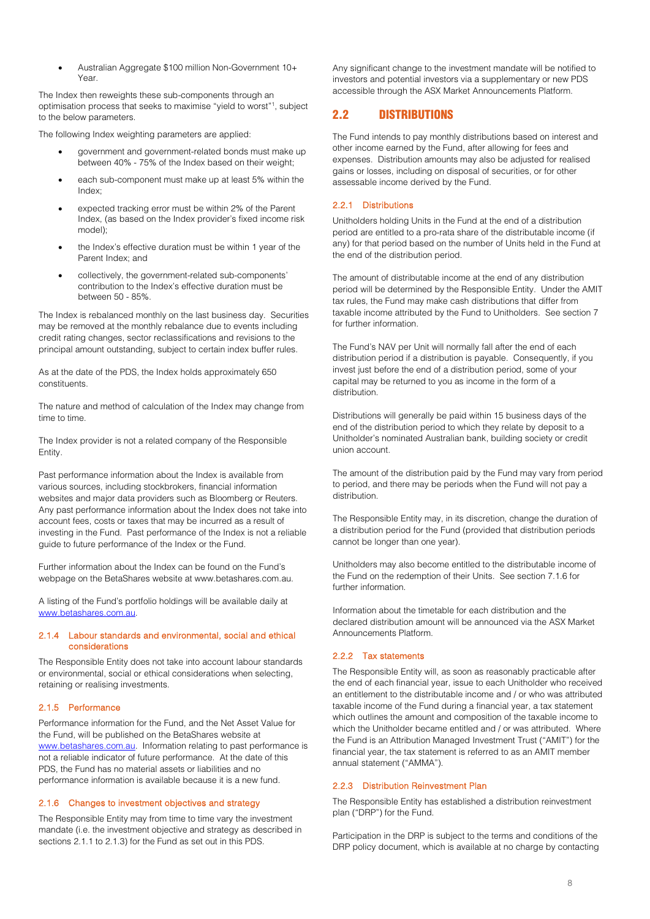• Australian Aggregate \$100 million Non-Government 10+ Year.

The Index then reweights these sub-components through an optimisation process that seeks to maximise "yield to worst"1 , subject to the below parameters.

The following Index weighting parameters are applied:

- government and government-related bonds must make up between 40% - 75% of the Index based on their weight;
- each sub-component must make up at least 5% within the Index;
- expected tracking error must be within 2% of the Parent Index, (as based on the Index provider's fixed income risk model);
- the Index's effective duration must be within 1 year of the Parent Index; and
- collectively, the government-related sub-components' contribution to the Index's effective duration must be between 50 - 85%.

The Index is rebalanced monthly on the last business day. Securities may be removed at the monthly rebalance due to events including credit rating changes, sector reclassifications and revisions to the principal amount outstanding, subject to certain index buffer rules.

As at the date of the PDS, the Index holds approximately 650 constituents.

The nature and method of calculation of the Index may change from time to time.

The Index provider is not a related company of the Responsible Entity.

Past performance information about the Index is available from various sources, including stockbrokers, financial information websites and major data providers such as Bloomberg or Reuters. Any past performance information about the Index does not take into account fees, costs or taxes that may be incurred as a result of investing in the Fund. Past performance of the Index is not a reliable guide to future performance of the Index or the Fund.

Further information about the Index can be found on the Fund's webpage on the BetaShares website at www.betashares.com.au.

A listing of the Fund's portfolio holdings will be available daily at [www.betashares.com.au.](http://www.betashares.com.au/)

#### 2.1.4 Labour standards and environmental, social and ethical considerations

The Responsible Entity does not take into account labour standards or environmental, social or ethical considerations when selecting, retaining or realising investments.

#### 2.1.5 Performance

Performance information for the Fund, and the Net Asset Value for the Fund, will be published on the BetaShares website at [www.betashares.com.au.](http://www.betashares.com.au/) Information relating to past performance is not a reliable indicator of future performance. At the date of this PDS, the Fund has no material assets or liabilities and no performance information is available because it is a new fund.

#### 2.1.6 Changes to investment objectives and strategy

The Responsible Entity may from time to time vary the investment mandate (i.e. the investment objective and strategy as described in section[s 2.1.1](#page-7-2) to 2.1.3) for the Fund as set out in this PDS.

Any significant change to the investment mandate will be notified to investors and potential investors via a supplementary or new PDS accessible through the ASX Market Announcements Platform.

## 2.2 DISTRIBUTIONS

The Fund intends to pay monthly distributions based on interest and other income earned by the Fund, after allowing for fees and expenses. Distribution amounts may also be adjusted for realised gains or losses, including on disposal of securities, or for other assessable income derived by the Fund.

#### 2.2.1 Distributions

Unitholders holding Units in the Fund at the end of a distribution period are entitled to a pro-rata share of the distributable income (if any) for that period based on the number of Units held in the Fund at the end of the distribution period.

The amount of distributable income at the end of any distribution period will be determined by the Responsible Entity. Under the AMIT tax rules, the Fund may make cash distributions that differ from taxable income attributed by the Fund to Unitholders. See section 7 for further information.

The Fund's NAV per Unit will normally fall after the end of each distribution period if a distribution is payable. Consequently, if you invest just before the end of a distribution period, some of your capital may be returned to you as income in the form of a distribution.

Distributions will generally be paid within 15 business days of the end of the distribution period to which they relate by deposit to a Unitholder's nominated Australian bank, building society or credit union account.

The amount of the distribution paid by the Fund may vary from period to period, and there may be periods when the Fund will not pay a distribution.

The Responsible Entity may, in its discretion, change the duration of a distribution period for the Fund (provided that distribution periods cannot be longer than one year).

Unitholders may also become entitled to the distributable income of the Fund on the redemption of their Units. See section 7.1.6 for further information.

Information about the timetable for each distribution and the declared distribution amount will be announced via the ASX Market Announcements Platform.

#### 2.2.2 Tax statements

The Responsible Entity will, as soon as reasonably practicable after the end of each financial year, issue to each Unitholder who received an entitlement to the distributable income and / or who was attributed taxable income of the Fund during a financial year, a tax statement which outlines the amount and composition of the taxable income to which the Unitholder became entitled and / or was attributed. Where the Fund is an Attribution Managed Investment Trust ("AMIT") for the financial year, the tax statement is referred to as an AMIT member annual statement ("AMMA").

#### 2.2.3 Distribution Reinvestment Plan

The Responsible Entity has established a distribution reinvestment plan ("DRP") for the Fund.

Participation in the DRP is subject to the terms and conditions of the DRP policy document, which is available at no charge by contacting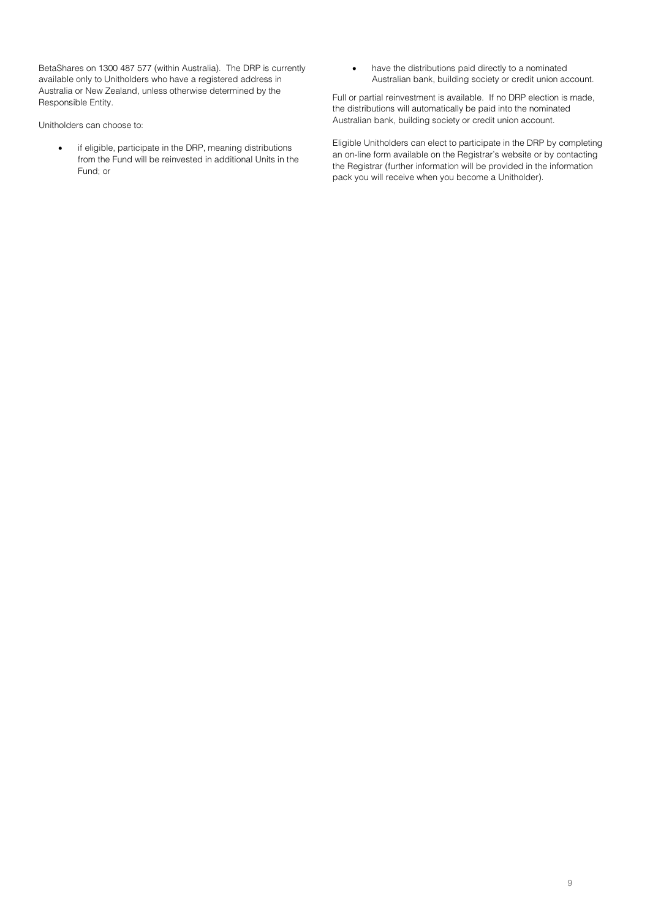BetaShares on 1300 487 577 (within Australia). The DRP is currently available only to Unitholders who have a registered address in Australia or New Zealand, unless otherwise determined by the Responsible Entity.

Unitholders can choose to:

- if eligible, participate in the DRP, meaning distributions from the Fund will be reinvested in additional Units in the Fund; or
- have the distributions paid directly to a nominated Australian bank, building society or credit union account.

Full or partial reinvestment is available. If no DRP election is made, the distributions will automatically be paid into the nominated Australian bank, building society or credit union account.

Eligible Unitholders can elect to participate in the DRP by completing an on-line form available on the Registrar's website or by contacting the Registrar (further information will be provided in the information pack you will receive when you become a Unitholder).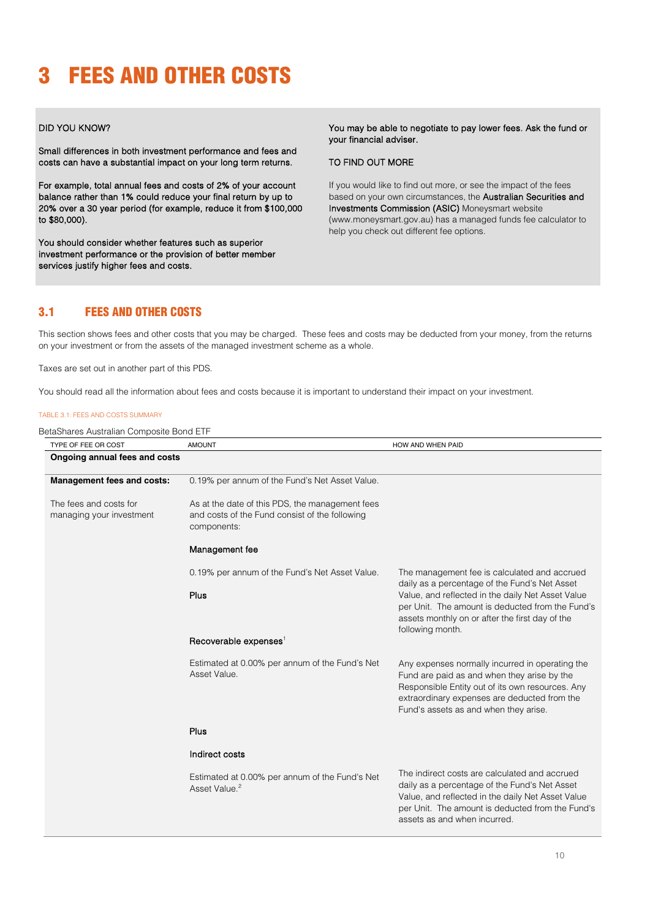# <span id="page-10-0"></span>3 FEES AND OTHER COSTS

#### DID YOU KNOW?

Small differences in both investment performance and fees and costs can have a substantial impact on your long term returns.

For example, total annual fees and costs of 2% of your account balance rather than 1% could reduce your final return by up to 20% over a 30 year period (for example, reduce it from \$100,000 to \$80,000).

You should consider whether features such as superior investment performance or the provision of better member services justify higher fees and costs.

You may be able to negotiate to pay lower fees. Ask the fund or your financial adviser.

#### TO FIND OUT MORE

If you would like to find out more, or see the impact of the fees based on your own circumstances, the Australian Securities and Investments Commission (ASIC) Moneysmart website (www.moneysmart.gov.au) has a managed funds fee calculator to help you check out different fee options.

## 3.1 FEES AND OTHER COSTS

This section shows fees and other costs that you may be charged. These fees and costs may be deducted from your money, from the returns on your investment or from the assets of the managed investment scheme as a whole.

Taxes are set out in another part of this PDS.

You should read all the information about fees and costs because it is important to understand their impact on your investment.

#### TABLE 3.1: FEES AND COSTS SUMMARY

BetaShares Australian Composite Bond ETF

| TYPE OF FEE OR COST                                | <b>AMOUNT</b>                                                                                                    | HOW AND WHEN PAID                                                                                                                                                                                                                           |
|----------------------------------------------------|------------------------------------------------------------------------------------------------------------------|---------------------------------------------------------------------------------------------------------------------------------------------------------------------------------------------------------------------------------------------|
| Ongoing annual fees and costs                      |                                                                                                                  |                                                                                                                                                                                                                                             |
| <b>Management fees and costs:</b>                  | 0.19% per annum of the Fund's Net Asset Value.                                                                   |                                                                                                                                                                                                                                             |
| The fees and costs for<br>managing your investment | As at the date of this PDS, the management fees<br>and costs of the Fund consist of the following<br>components: |                                                                                                                                                                                                                                             |
|                                                    | Management fee                                                                                                   |                                                                                                                                                                                                                                             |
|                                                    | 0.19% per annum of the Fund's Net Asset Value.                                                                   | The management fee is calculated and accrued<br>daily as a percentage of the Fund's Net Asset                                                                                                                                               |
|                                                    | Plus                                                                                                             | Value, and reflected in the daily Net Asset Value<br>per Unit. The amount is deducted from the Fund's<br>assets monthly on or after the first day of the<br>following month.                                                                |
|                                                    | Recoverable expenses <sup>1</sup>                                                                                |                                                                                                                                                                                                                                             |
|                                                    | Estimated at 0.00% per annum of the Fund's Net<br>Asset Value.                                                   | Any expenses normally incurred in operating the<br>Fund are paid as and when they arise by the<br>Responsible Entity out of its own resources. Any<br>extraordinary expenses are deducted from the<br>Fund's assets as and when they arise. |
|                                                    | Plus                                                                                                             |                                                                                                                                                                                                                                             |
|                                                    | Indirect costs                                                                                                   |                                                                                                                                                                                                                                             |
|                                                    | Estimated at 0.00% per annum of the Fund's Net<br>Asset Value. <sup>2</sup>                                      | The indirect costs are calculated and accrued<br>daily as a percentage of the Fund's Net Asset<br>Value, and reflected in the daily Net Asset Value<br>per Unit. The amount is deducted from the Fund's<br>assets as and when incurred.     |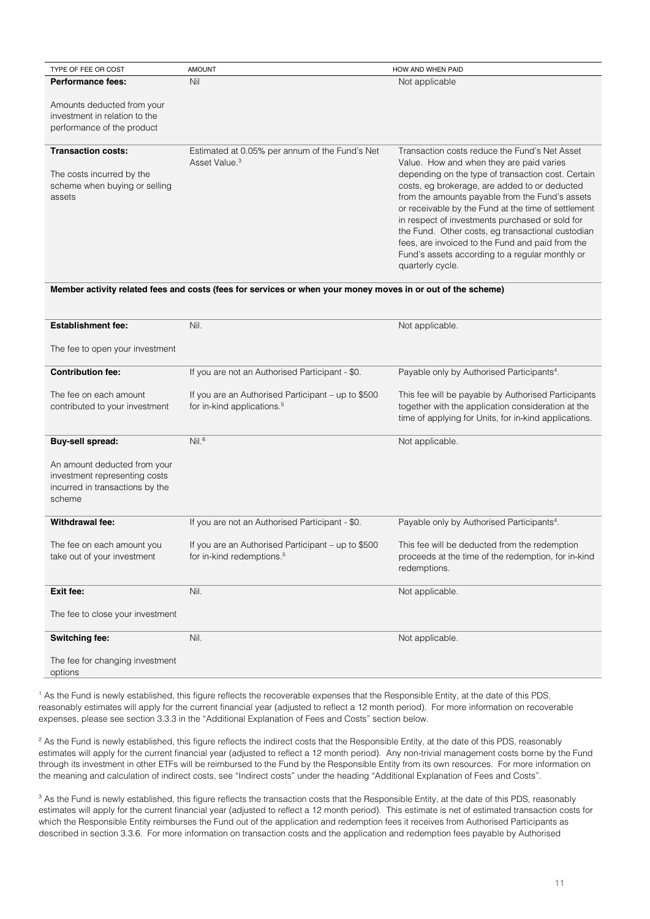| Nil                                            | Not applicable                                                                                                                                                                                                                                                                                                                                                                                                                                   |
|------------------------------------------------|--------------------------------------------------------------------------------------------------------------------------------------------------------------------------------------------------------------------------------------------------------------------------------------------------------------------------------------------------------------------------------------------------------------------------------------------------|
|                                                |                                                                                                                                                                                                                                                                                                                                                                                                                                                  |
|                                                |                                                                                                                                                                                                                                                                                                                                                                                                                                                  |
| Estimated at 0.05% per annum of the Fund's Net | Transaction costs reduce the Fund's Net Asset<br>Value. How and when they are paid varies                                                                                                                                                                                                                                                                                                                                                        |
|                                                | depending on the type of transaction cost. Certain<br>costs, eg brokerage, are added to or deducted<br>from the amounts payable from the Fund's assets<br>or receivable by the Fund at the time of settlement<br>in respect of investments purchased or sold for<br>the Fund. Other costs, eg transactional custodian<br>fees, are invoiced to the Fund and paid from the<br>Fund's assets according to a regular monthly or<br>quarterly cycle. |
|                                                | Asset Value. <sup>3</sup><br>Mambay sativity valated feas and seate (feas for semices or when your menay meyes in an aut of the sebemal                                                                                                                                                                                                                                                                                                          |

#### **Member activity related fees and costs (fees for services or when your money moves in or out of the scheme)**

| <b>Establishment fee:</b>                                                                                  | Nil.                                                                                         | Not applicable.                                                                                                                                                    |
|------------------------------------------------------------------------------------------------------------|----------------------------------------------------------------------------------------------|--------------------------------------------------------------------------------------------------------------------------------------------------------------------|
| The fee to open your investment                                                                            |                                                                                              |                                                                                                                                                                    |
| <b>Contribution fee:</b>                                                                                   | If you are not an Authorised Participant - \$0.                                              | Payable only by Authorised Participants <sup>4</sup> .                                                                                                             |
| The fee on each amount<br>contributed to your investment                                                   | If you are an Authorised Participant – up to \$500<br>for in-kind applications. <sup>5</sup> | This fee will be payable by Authorised Participants<br>together with the application consideration at the<br>time of applying for Units, for in-kind applications. |
| <b>Buy-sell spread:</b>                                                                                    | Nil. <sup>6</sup>                                                                            | Not applicable.                                                                                                                                                    |
| An amount deducted from your<br>investment representing costs<br>incurred in transactions by the<br>scheme |                                                                                              |                                                                                                                                                                    |
| Withdrawal fee:                                                                                            | If you are not an Authorised Participant - \$0.                                              | Payable only by Authorised Participants <sup>4</sup> .                                                                                                             |
| The fee on each amount you<br>take out of your investment                                                  | If you are an Authorised Participant – up to \$500<br>for in-kind redemptions. <sup>5</sup>  | This fee will be deducted from the redemption<br>proceeds at the time of the redemption, for in-kind<br>redemptions.                                               |
| Exit fee:                                                                                                  | Nil.                                                                                         | Not applicable.                                                                                                                                                    |
| The fee to close your investment                                                                           |                                                                                              |                                                                                                                                                                    |
| <b>Switching fee:</b>                                                                                      | Nil.                                                                                         | Not applicable.                                                                                                                                                    |
| The fee for changing investment<br>options                                                                 |                                                                                              |                                                                                                                                                                    |

<sup>1</sup> As the Fund is newly established, this figure reflects the recoverable expenses that the Responsible Entity, at the date of this PDS, reasonably estimates will apply for the current financial year (adjusted to reflect a 12 month period). For more information on recoverable expenses, please see section 3.3.3 in the "Additional Explanation of Fees and Costs" section below.

<sup>2</sup> As the Fund is newly established, this figure reflects the indirect costs that the Responsible Entity, at the date of this PDS, reasonably estimates will apply for the current financial year (adjusted to reflect a 12 month period). Any non-trivial management costs borne by the Fund through its investment in other ETFs will be reimbursed to the Fund by the Responsible Entity from its own resources. For more information on the meaning and calculation of indirect costs, see "Indirect costs" under the heading "Additional Explanation of Fees and Costs".

<sup>3</sup> As the Fund is newly established, this figure reflects the transaction costs that the Responsible Entity, at the date of this PDS, reasonably estimates will apply for the current financial year (adjusted to reflect a 12 month period). This estimate is net of estimated transaction costs for which the Responsible Entity reimburses the Fund out of the application and redemption fees it receives from Authorised Participants as described in section 3.3.6. For more information on transaction costs and the application and redemption fees payable by Authorised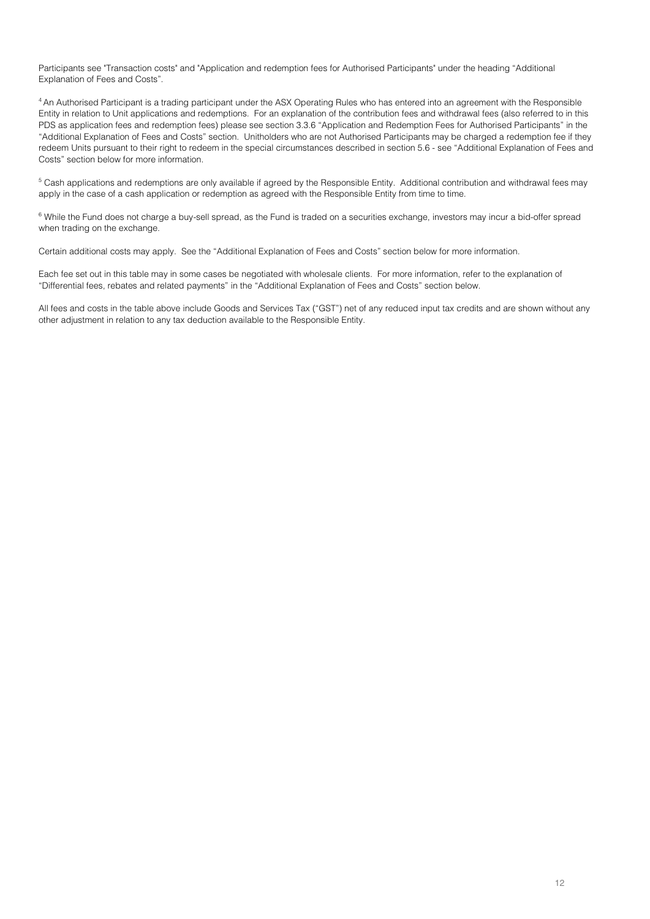Participants see "Transaction costs" and "Application and redemption fees for Authorised Participants" under the heading "Additional Explanation of Fees and Costs".

<sup>4</sup> An Authorised Participant is a trading participant under the ASX Operating Rules who has entered into an agreement with the Responsible Entity in relation to Unit applications and redemptions. For an explanation of the contribution fees and withdrawal fees (also referred to in this PDS as application fees and redemption fees) please see section 3.3.6 "Application and Redemption Fees for Authorised Participants" in the "Additional Explanation of Fees and Costs" section. Unitholders who are not Authorised Participants may be charged a redemption fee if they redeem Units pursuant to their right to redeem in the special circumstances described in section 5.6 - see "Additional Explanation of Fees and Costs" section below for more information.

<sup>5</sup> Cash applications and redemptions are only available if agreed by the Responsible Entity. Additional contribution and withdrawal fees may apply in the case of a cash application or redemption as agreed with the Responsible Entity from time to time.

<sup>6</sup> While the Fund does not charge a buy-sell spread, as the Fund is traded on a securities exchange, investors may incur a bid-offer spread when trading on the exchange.

Certain additional costs may apply. See the "Additional Explanation of Fees and Costs" section below for more information.

Each fee set out in this table may in some cases be negotiated with wholesale clients. For more information, refer to the explanation of "Differential fees, rebates and related payments" in the "Additional Explanation of Fees and Costs" section below.

All fees and costs in the table above include Goods and Services Tax ("GST") net of any reduced input tax credits and are shown without any other adjustment in relation to any tax deduction available to the Responsible Entity.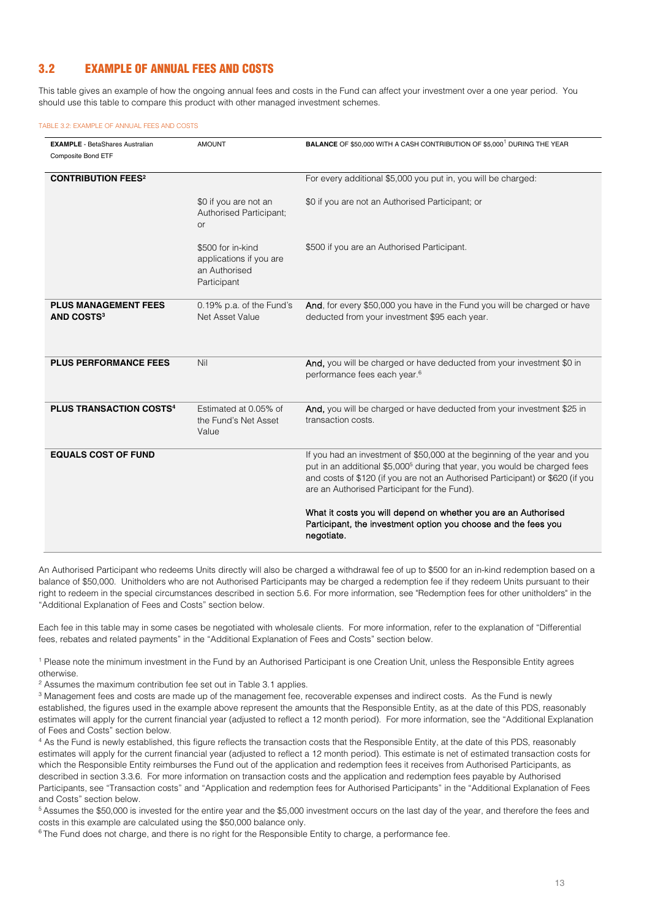## 3.2 EXAMPLE OF ANNUAL FEES AND COSTS

This table gives an example of how the ongoing annual fees and costs in the Fund can affect your investment over a one year period. You should use this table to compare this product with other managed investment schemes.

#### TABLE 3.2: EXAMPLE OF ANNUAL FEES AND COSTS

| <b>EXAMPLE</b> - BetaShares Australian<br>Composite Bond ETF | <b>AMOUNT</b>                                                                | <b>BALANCE OF \$50,000 WITH A CASH CONTRIBUTION OF \$5,000<sup>1</sup> DURING THE YEAR</b>                                                                                                                                                                                                           |
|--------------------------------------------------------------|------------------------------------------------------------------------------|------------------------------------------------------------------------------------------------------------------------------------------------------------------------------------------------------------------------------------------------------------------------------------------------------|
| <b>CONTRIBUTION FEES<sup>2</sup></b>                         |                                                                              | For every additional \$5,000 you put in, you will be charged:                                                                                                                                                                                                                                        |
|                                                              | \$0 if you are not an<br>Authorised Participant;<br><b>or</b>                | \$0 if you are not an Authorised Participant; or                                                                                                                                                                                                                                                     |
|                                                              | \$500 for in-kind<br>applications if you are<br>an Authorised<br>Participant | \$500 if you are an Authorised Participant.                                                                                                                                                                                                                                                          |
| <b>PLUS MANAGEMENT FEES</b><br><b>AND COSTS3</b>             | 0.19% p.a. of the Fund's<br>Net Asset Value                                  | And, for every \$50,000 you have in the Fund you will be charged or have<br>deducted from your investment \$95 each year.                                                                                                                                                                            |
| <b>PLUS PERFORMANCE FEES</b>                                 | Nil                                                                          | And, you will be charged or have deducted from your investment \$0 in<br>performance fees each year. <sup>6</sup>                                                                                                                                                                                    |
| <b>PLUS TRANSACTION COSTS4</b>                               | Estimated at 0.05% of<br>the Fund's Net Asset<br>Value                       | And, you will be charged or have deducted from your investment \$25 in<br>transaction costs.                                                                                                                                                                                                         |
| <b>EQUALS COST OF FUND</b>                                   |                                                                              | If you had an investment of \$50,000 at the beginning of the year and you<br>put in an additional \$5,000 <sup>5</sup> during that year, you would be charged fees<br>and costs of \$120 (if you are not an Authorised Participant) or \$620 (if you<br>are an Authorised Participant for the Fund). |
|                                                              |                                                                              | What it costs you will depend on whether you are an Authorised<br>Participant, the investment option you choose and the fees you<br>negotiate.                                                                                                                                                       |

An Authorised Participant who redeems Units directly will also be charged a withdrawal fee of up to \$500 for an in-kind redemption based on a balance of \$50,000. Unitholders who are not Authorised Participants may be charged a redemption fee if they redeem Units pursuant to their right to redeem in the special circumstances described in section 5.6. For more information, see "Redemption fees for other unitholders" in the "Additional Explanation of Fees and Costs" section below.

Each fee in this table may in some cases be negotiated with wholesale clients. For more information, refer to the explanation of "Differential fees, rebates and related payments" in the "Additional Explanation of Fees and Costs" section below.

<sup>1</sup> Please note the minimum investment in the Fund by an Authorised Participant is one Creation Unit, unless the Responsible Entity agrees otherwise.<br><sup>2</sup> Assumes the maximum contribution fee set out in Table 3.1 applies.

<sup>3</sup> Management fees and costs are made up of the management fee, recoverable expenses and indirect costs. As the Fund is newly established, the figures used in the example above represent the amounts that the Responsible Entity, as at the date of this PDS, reasonably estimates will apply for the current financial year (adjusted to reflect a 12 month period). For more information, see the "Additional Explanation of Fees and Costs" section below.

4 As the Fund is newly established, this figure reflects the transaction costs that the Responsible Entity, at the date of this PDS, reasonably estimates will apply for the current financial year (adjusted to reflect a 12 month period). This estimate is net of estimated transaction costs for which the Responsible Entity reimburses the Fund out of the application and redemption fees it receives from Authorised Participants, as described in section 3.3.6. For more information on transaction costs and the application and redemption fees payable by Authorised Participants, see "Transaction costs" and "Application and redemption fees for Authorised Participants" in the "Additional Explanation of Fees and Costs" section below.

<sup>5</sup> Assumes the \$50,000 is invested for the entire year and the \$5,000 investment occurs on the last day of the year, and therefore the fees and costs in this example are calculated using the \$50,000 balance only.

<sup>6</sup> The Fund does not charge, and there is no right for the Responsible Entity to charge, a performance fee.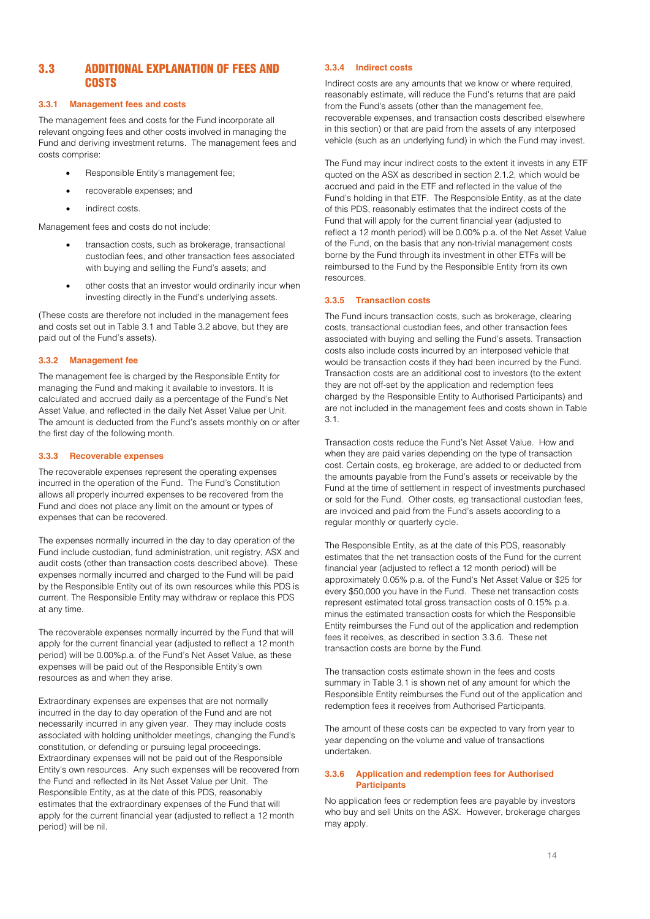## 3.3 ADDITIONAL EXPLANATION OF FEES AND **COSTS**

#### **3.3.1 Management fees and costs**

The management fees and costs for the Fund incorporate all relevant ongoing fees and other costs involved in managing the Fund and deriving investment returns. The management fees and costs comprise:

- Responsible Entity's management fee;
- recoverable expenses; and
- indirect costs.

Management fees and costs do not include:

- transaction costs, such as brokerage, transactional custodian fees, and other transaction fees associated with buying and selling the Fund's assets; and
- other costs that an investor would ordinarily incur when investing directly in the Fund's underlying assets.

(These costs are therefore not included in the management fees and costs set out in Table 3.1 and Table 3.2 above, but they are paid out of the Fund's assets).

#### **3.3.2 Management fee**

The management fee is charged by the Responsible Entity for managing the Fund and making it available to investors. It is calculated and accrued daily as a percentage of the Fund's Net Asset Value, and reflected in the daily Net Asset Value per Unit. The amount is deducted from the Fund's assets monthly on or after the first day of the following month.

#### **3.3.3 Recoverable expenses**

The recoverable expenses represent the operating expenses incurred in the operation of the Fund. The Fund's Constitution allows all properly incurred expenses to be recovered from the Fund and does not place any limit on the amount or types of expenses that can be recovered.

The expenses normally incurred in the day to day operation of the Fund include custodian, fund administration, unit registry, ASX and audit costs (other than transaction costs described above). These expenses normally incurred and charged to the Fund will be paid by the Responsible Entity out of its own resources while this PDS is current. The Responsible Entity may withdraw or replace this PDS at any time.

The recoverable expenses normally incurred by the Fund that will apply for the current financial year (adjusted to reflect a 12 month period) will be 0.00%p.a. of the Fund's Net Asset Value, as these expenses will be paid out of the Responsible Entity's own resources as and when they arise.

Extraordinary expenses are expenses that are not normally incurred in the day to day operation of the Fund and are not necessarily incurred in any given year. They may include costs associated with holding unitholder meetings, changing the Fund's constitution, or defending or pursuing legal proceedings. Extraordinary expenses will not be paid out of the Responsible Entity's own resources. Any such expenses will be recovered from the Fund and reflected in its Net Asset Value per Unit. The Responsible Entity, as at the date of this PDS, reasonably estimates that the extraordinary expenses of the Fund that will apply for the current financial year (adjusted to reflect a 12 month period) will be nil.

#### **3.3.4 Indirect costs**

Indirect costs are any amounts that we know or where required, reasonably estimate, will reduce the Fund's returns that are paid from the Fund's assets (other than the management fee, recoverable expenses, and transaction costs described elsewhere in this section) or that are paid from the assets of any interposed vehicle (such as an underlying fund) in which the Fund may invest.

The Fund may incur indirect costs to the extent it invests in any ETF quoted on the ASX as described in section 2.1.2, which would be accrued and paid in the ETF and reflected in the value of the Fund's holding in that ETF. The Responsible Entity, as at the date of this PDS, reasonably estimates that the indirect costs of the Fund that will apply for the current financial year (adjusted to reflect a 12 month period) will be 0.00% p.a. of the Net Asset Value of the Fund, on the basis that any non-trivial management costs borne by the Fund through its investment in other ETFs will be reimbursed to the Fund by the Responsible Entity from its own resources.

#### **3.3.5 Transaction costs**

The Fund incurs transaction costs, such as brokerage, clearing costs, transactional custodian fees, and other transaction fees associated with buying and selling the Fund's assets. Transaction costs also include costs incurred by an interposed vehicle that would be transaction costs if they had been incurred by the Fund. Transaction costs are an additional cost to investors (to the extent they are not off-set by the application and redemption fees charged by the Responsible Entity to Authorised Participants) and are not included in the management fees and costs shown in Table 3.1.

Transaction costs reduce the Fund's Net Asset Value. How and when they are paid varies depending on the type of transaction cost. Certain costs, eg brokerage, are added to or deducted from the amounts payable from the Fund's assets or receivable by the Fund at the time of settlement in respect of investments purchased or sold for the Fund. Other costs, eg transactional custodian fees, are invoiced and paid from the Fund's assets according to a regular monthly or quarterly cycle.

The Responsible Entity, as at the date of this PDS, reasonably estimates that the net transaction costs of the Fund for the current financial year (adjusted to reflect a 12 month period) will be approximately 0.05% p.a. of the Fund's Net Asset Value or \$25 for every \$50,000 you have in the Fund. These net transaction costs represent estimated total gross transaction costs of 0.15% p.a. minus the estimated transaction costs for which the Responsible Entity reimburses the Fund out of the application and redemption fees it receives, as described in section 3.3.6. These net transaction costs are borne by the Fund.

The transaction costs estimate shown in the fees and costs summary in Table 3.1 is shown net of any amount for which the Responsible Entity reimburses the Fund out of the application and redemption fees it receives from Authorised Participants.

The amount of these costs can be expected to vary from year to year depending on the volume and value of transactions undertaken.

#### **3.3.6 Application and redemption fees for Authorised Participants**

No application fees or redemption fees are payable by investors who buy and sell Units on the ASX. However, brokerage charges may apply.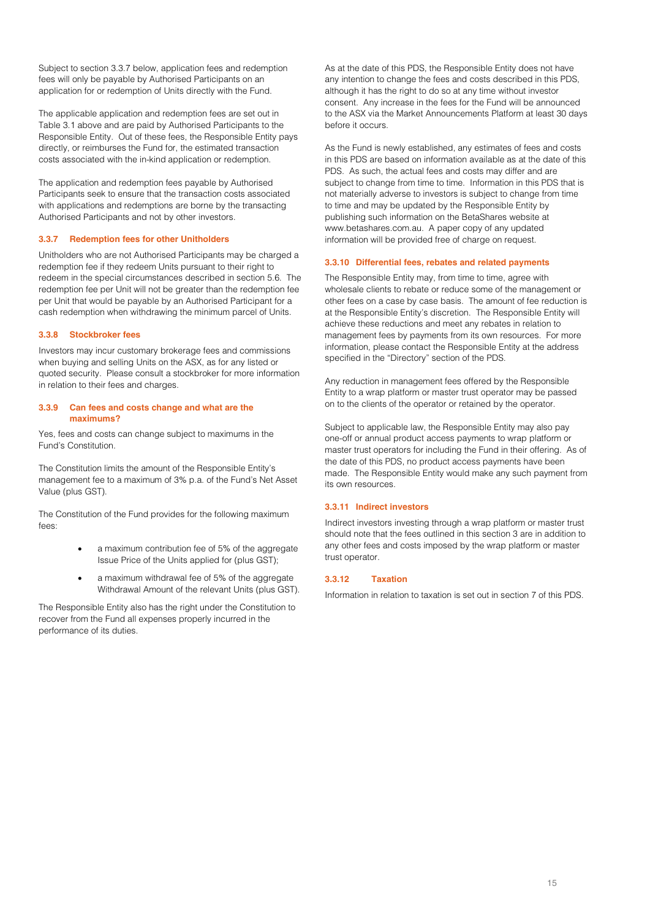Subject to section 3.3.7 below, application fees and redemption fees will only be payable by Authorised Participants on an application for or redemption of Units directly with the Fund.

The applicable application and redemption fees are set out in Table 3.1 above and are paid by Authorised Participants to the Responsible Entity. Out of these fees, the Responsible Entity pays directly, or reimburses the Fund for, the estimated transaction costs associated with the in-kind application or redemption.

The application and redemption fees payable by Authorised Participants seek to ensure that the transaction costs associated with applications and redemptions are borne by the transacting Authorised Participants and not by other investors.

#### **3.3.7 Redemption fees for other Unitholders**

Unitholders who are not Authorised Participants may be charged a redemption fee if they redeem Units pursuant to their right to redeem in the special circumstances described in section 5.6. The redemption fee per Unit will not be greater than the redemption fee per Unit that would be payable by an Authorised Participant for a cash redemption when withdrawing the minimum parcel of Units.

#### **3.3.8 Stockbroker fees**

Investors may incur customary brokerage fees and commissions when buying and selling Units on the ASX, as for any listed or quoted security. Please consult a stockbroker for more information in relation to their fees and charges.

#### **3.3.9 Can fees and costs change and what are the maximums?**

Yes, fees and costs can change subject to maximums in the Fund's Constitution.

The Constitution limits the amount of the Responsible Entity's management fee to a maximum of 3% p.a. of the Fund's Net Asset Value (plus GST).

The Constitution of the Fund provides for the following maximum fees:

- a maximum contribution fee of 5% of the aggregate Issue Price of the Units applied for (plus GST);
- a maximum withdrawal fee of 5% of the aggregate Withdrawal Amount of the relevant Units (plus GST).

The Responsible Entity also has the right under the Constitution to recover from the Fund all expenses properly incurred in the performance of its duties.

As at the date of this PDS, the Responsible Entity does not have any intention to change the fees and costs described in this PDS, although it has the right to do so at any time without investor consent. Any increase in the fees for the Fund will be announced to the ASX via the Market Announcements Platform at least 30 days before it occurs.

As the Fund is newly established, any estimates of fees and costs in this PDS are based on information available as at the date of this PDS. As such, the actual fees and costs may differ and are subject to change from time to time. Information in this PDS that is not materially adverse to investors is subject to change from time to time and may be updated by the Responsible Entity by publishing such information on the BetaShares website at www.betashares.com.au. A paper copy of any updated information will be provided free of charge on request.

#### **3.3.10 Differential fees, rebates and related payments**

The Responsible Entity may, from time to time, agree with wholesale clients to rebate or reduce some of the management or other fees on a case by case basis. The amount of fee reduction is at the Responsible Entity's discretion. The Responsible Entity will achieve these reductions and meet any rebates in relation to management fees by payments from its own resources. For more information, please contact the Responsible Entity at the address specified in the "Directory" section of the PDS.

Any reduction in management fees offered by the Responsible Entity to a wrap platform or master trust operator may be passed on to the clients of the operator or retained by the operator.

Subject to applicable law, the Responsible Entity may also pay one-off or annual product access payments to wrap platform or master trust operators for including the Fund in their offering. As of the date of this PDS, no product access payments have been made. The Responsible Entity would make any such payment from its own resources.

#### **3.3.11 Indirect investors**

Indirect investors investing through a wrap platform or master trust should note that the fees outlined in this section [3](#page-10-0) are in addition to any other fees and costs imposed by the wrap platform or master trust operator.

#### **3.3.12 Taxation**

Information in relation to taxation is set out in section 7 of this PDS.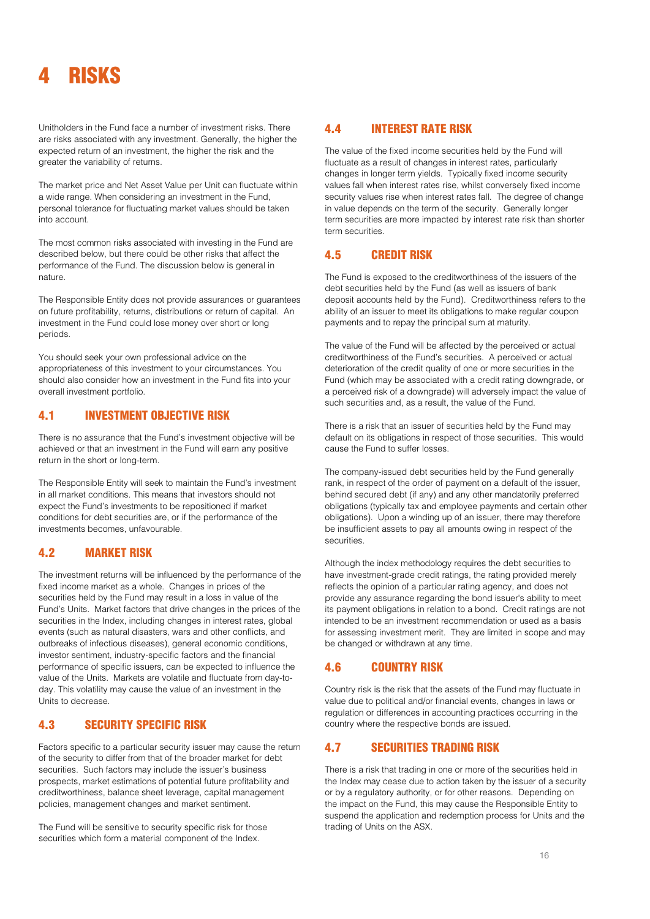## <span id="page-16-0"></span>**RISKS**

Unitholders in the Fund face a number of investment risks. There are risks associated with any investment. Generally, the higher the expected return of an investment, the higher the risk and the greater the variability of returns.

The market price and Net Asset Value per Unit can fluctuate within a wide range. When considering an investment in the Fund, personal tolerance for fluctuating market values should be taken into account.

The most common risks associated with investing in the Fund are described below, but there could be other risks that affect the performance of the Fund. The discussion below is general in nature.

The Responsible Entity does not provide assurances or guarantees on future profitability, returns, distributions or return of capital. An investment in the Fund could lose money over short or long periods.

You should seek your own professional advice on the appropriateness of this investment to your circumstances. You should also consider how an investment in the Fund fits into your overall investment portfolio.

## 4.1 INVESTMENT OBJECTIVE RISK

There is no assurance that the Fund's investment objective will be achieved or that an investment in the Fund will earn any positive return in the short or long-term.

The Responsible Entity will seek to maintain the Fund's investment in all market conditions. This means that investors should not expect the Fund's investments to be repositioned if market conditions for debt securities are, or if the performance of the investments becomes, unfavourable.

## 4.2 MARKET RISK

The investment returns will be influenced by the performance of the fixed income market as a whole. Changes in prices of the securities held by the Fund may result in a loss in value of the Fund's Units. Market factors that drive changes in the prices of the securities in the Index, including changes in interest rates, global events (such as natural disasters, wars and other conflicts, and outbreaks of infectious diseases), general economic conditions, investor sentiment, industry-specific factors and the financial performance of specific issuers, can be expected to influence the value of the Units. Markets are volatile and fluctuate from day-today. This volatility may cause the value of an investment in the Units to decrease.

## 4.3 SECURITY SPECIFIC RISK

Factors specific to a particular security issuer may cause the return of the security to differ from that of the broader market for debt securities. Such factors may include the issuer's business prospects, market estimations of potential future profitability and creditworthiness, balance sheet leverage, capital management policies, management changes and market sentiment.

The Fund will be sensitive to security specific risk for those securities which form a material component of the Index.

## 4.4 INTEREST RATE RISK

The value of the fixed income securities held by the Fund will fluctuate as a result of changes in interest rates, particularly changes in longer term yields. Typically fixed income security values fall when interest rates rise, whilst conversely fixed income security values rise when interest rates fall. The degree of change in value depends on the term of the security. Generally longer term securities are more impacted by interest rate risk than shorter term securities.

## 4.5 CREDIT RISK

The Fund is exposed to the creditworthiness of the issuers of the debt securities held by the Fund (as well as issuers of bank deposit accounts held by the Fund). Creditworthiness refers to the ability of an issuer to meet its obligations to make regular coupon payments and to repay the principal sum at maturity.

The value of the Fund will be affected by the perceived or actual creditworthiness of the Fund's securities. A perceived or actual deterioration of the credit quality of one or more securities in the Fund (which may be associated with a credit rating downgrade, or a perceived risk of a downgrade) will adversely impact the value of such securities and, as a result, the value of the Fund.

There is a risk that an issuer of securities held by the Fund may default on its obligations in respect of those securities. This would cause the Fund to suffer losses.

The company-issued debt securities held by the Fund generally rank, in respect of the order of payment on a default of the issuer, behind secured debt (if any) and any other mandatorily preferred obligations (typically tax and employee payments and certain other obligations). Upon a winding up of an issuer, there may therefore be insufficient assets to pay all amounts owing in respect of the securities.

Although the index methodology requires the debt securities to have investment-grade credit ratings, the rating provided merely reflects the opinion of a particular rating agency, and does not provide any assurance regarding the bond issuer's ability to meet its payment obligations in relation to a bond. Credit ratings are not intended to be an investment recommendation or used as a basis for assessing investment merit. They are limited in scope and may be changed or withdrawn at any time.

## 4.6 COUNTRY RISK

Country risk is the risk that the assets of the Fund may fluctuate in value due to political and/or financial events, changes in laws or regulation or differences in accounting practices occurring in the country where the respective bonds are issued.

## 4.7 SECURITIES TRADING RISK

There is a risk that trading in one or more of the securities held in the Index may cease due to action taken by the issuer of a security or by a regulatory authority, or for other reasons. Depending on the impact on the Fund, this may cause the Responsible Entity to suspend the application and redemption process for Units and the trading of Units on the ASX.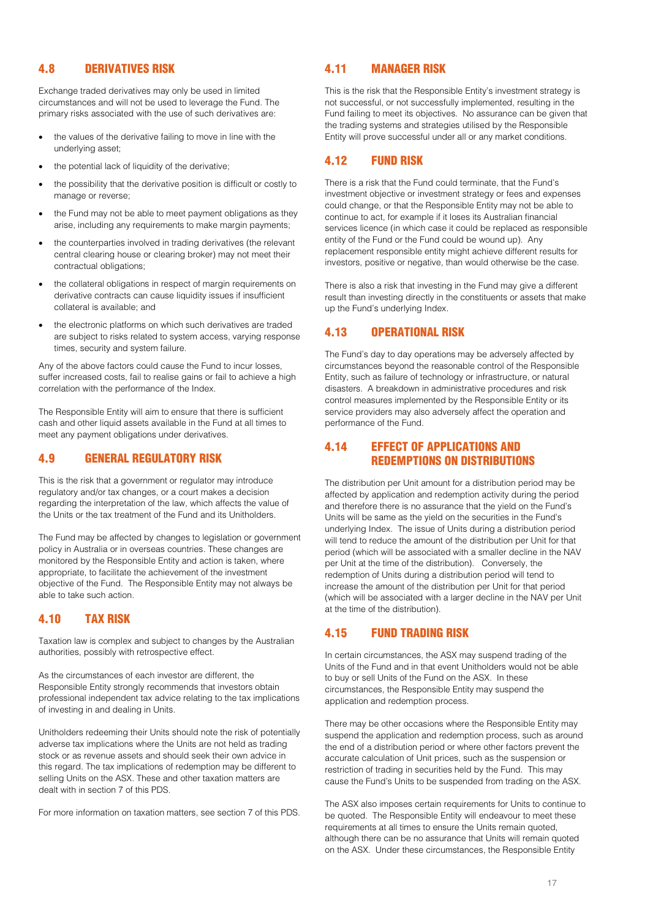## 4.8 DERIVATIVES RISK

Exchange traded derivatives may only be used in limited circumstances and will not be used to leverage the Fund. The primary risks associated with the use of such derivatives are:

- the values of the derivative failing to move in line with the underlying asset;
- the potential lack of liquidity of the derivative;
- the possibility that the derivative position is difficult or costly to manage or reverse;
- the Fund may not be able to meet payment obligations as they arise, including any requirements to make margin payments;
- the counterparties involved in trading derivatives (the relevant central clearing house or clearing broker) may not meet their contractual obligations;
- the collateral obligations in respect of margin requirements on derivative contracts can cause liquidity issues if insufficient collateral is available; and
- the electronic platforms on which such derivatives are traded are subject to risks related to system access, varying response times, security and system failure.

Any of the above factors could cause the Fund to incur losses, suffer increased costs, fail to realise gains or fail to achieve a high correlation with the performance of the Index.

The Responsible Entity will aim to ensure that there is sufficient cash and other liquid assets available in the Fund at all times to meet any payment obligations under derivatives.

## 4.9 GENERAL REGULATORY RISK

This is the risk that a government or regulator may introduce regulatory and/or tax changes, or a court makes a decision regarding the interpretation of the law, which affects the value of the Units or the tax treatment of the Fund and its Unitholders.

The Fund may be affected by changes to legislation or government policy in Australia or in overseas countries. These changes are monitored by the Responsible Entity and action is taken, where appropriate, to facilitate the achievement of the investment objective of the Fund. The Responsible Entity may not always be able to take such action.

## 4.10 TAX RISK

Taxation law is complex and subject to changes by the Australian authorities, possibly with retrospective effect.

As the circumstances of each investor are different, the Responsible Entity strongly recommends that investors obtain professional independent tax advice relating to the tax implications of investing in and dealing in Units.

Unitholders redeeming their Units should note the risk of potentially adverse tax implications where the Units are not held as trading stock or as revenue assets and should seek their own advice in this regard. The tax implications of redemption may be different to selling Units on the ASX. These and other taxation matters are dealt with in section 7 of this PDS.

For more information on taxation matters, see section 7 of this PDS.

## 4.11 MANAGER RISK

This is the risk that the Responsible Entity's investment strategy is not successful, or not successfully implemented, resulting in the Fund failing to meet its objectives. No assurance can be given that the trading systems and strategies utilised by the Responsible Entity will prove successful under all or any market conditions.

## 4.12 FUND RISK

There is a risk that the Fund could terminate, that the Fund's investment objective or investment strategy or fees and expenses could change, or that the Responsible Entity may not be able to continue to act, for example if it loses its Australian financial services licence (in which case it could be replaced as responsible entity of the Fund or the Fund could be wound up). Any replacement responsible entity might achieve different results for investors, positive or negative, than would otherwise be the case.

There is also a risk that investing in the Fund may give a different result than investing directly in the constituents or assets that make up the Fund's underlying Index.

## 4.13 OPERATIONAL RISK

The Fund's day to day operations may be adversely affected by circumstances beyond the reasonable control of the Responsible Entity, such as failure of technology or infrastructure, or natural disasters. A breakdown in administrative procedures and risk control measures implemented by the Responsible Entity or its service providers may also adversely affect the operation and performance of the Fund.

## 4.14 EFFECT OF APPLICATIONS AND REDEMPTIONS ON DISTRIBUTIONS

The distribution per Unit amount for a distribution period may be affected by application and redemption activity during the period and therefore there is no assurance that the yield on the Fund's Units will be same as the yield on the securities in the Fund's underlying Index. The issue of Units during a distribution period will tend to reduce the amount of the distribution per Unit for that period (which will be associated with a smaller decline in the NAV per Unit at the time of the distribution). Conversely, the redemption of Units during a distribution period will tend to increase the amount of the distribution per Unit for that period (which will be associated with a larger decline in the NAV per Unit at the time of the distribution).

## 4.15 FUND TRADING RISK

In certain circumstances, the ASX may suspend trading of the Units of the Fund and in that event Unitholders would not be able to buy or sell Units of the Fund on the ASX. In these circumstances, the Responsible Entity may suspend the application and redemption process.

There may be other occasions where the Responsible Entity may suspend the application and redemption process, such as around the end of a distribution period or where other factors prevent the accurate calculation of Unit prices, such as the suspension or restriction of trading in securities held by the Fund. This may cause the Fund's Units to be suspended from trading on the ASX.

The ASX also imposes certain requirements for Units to continue to be quoted. The Responsible Entity will endeavour to meet these requirements at all times to ensure the Units remain quoted, although there can be no assurance that Units will remain quoted on the ASX. Under these circumstances, the Responsible Entity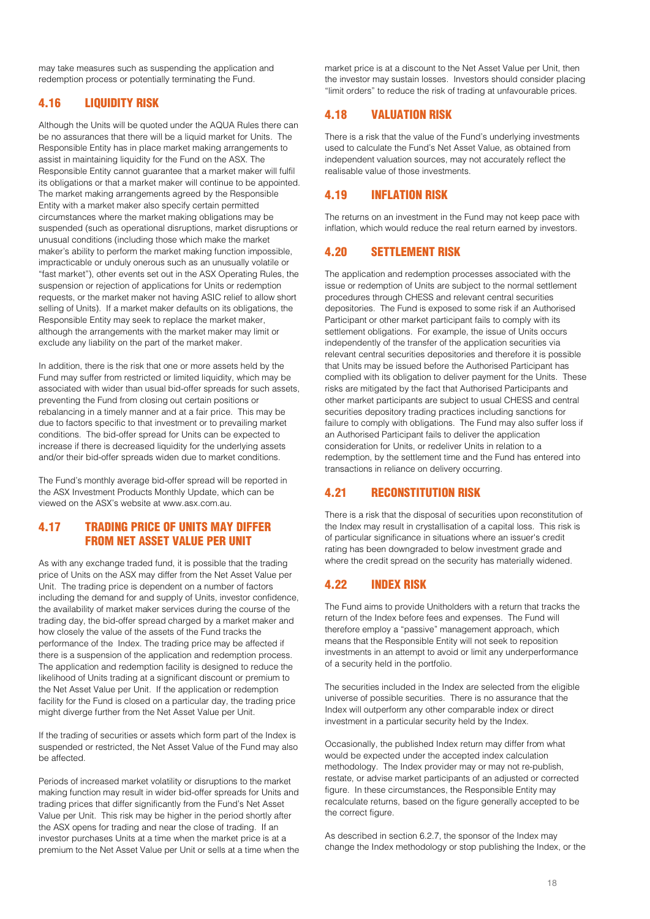may take measures such as suspending the application and redemption process or potentially terminating the Fund.

## 4.16 LIQUIDITY RISK

Although the Units will be quoted under the AQUA Rules there can be no assurances that there will be a liquid market for Units. The Responsible Entity has in place market making arrangements to assist in maintaining liquidity for the Fund on the ASX. The Responsible Entity cannot guarantee that a market maker will fulfil its obligations or that a market maker will continue to be appointed. The market making arrangements agreed by the Responsible Entity with a market maker also specify certain permitted circumstances where the market making obligations may be suspended (such as operational disruptions, market disruptions or unusual conditions (including those which make the market maker's ability to perform the market making function impossible, impracticable or unduly onerous such as an unusually volatile or "fast market"), other events set out in the ASX Operating Rules, the suspension or rejection of applications for Units or redemption requests, or the market maker not having ASIC relief to allow short selling of Units). If a market maker defaults on its obligations, the Responsible Entity may seek to replace the market maker, although the arrangements with the market maker may limit or exclude any liability on the part of the market maker.

In addition, there is the risk that one or more assets held by the Fund may suffer from restricted or limited liquidity, which may be associated with wider than usual bid-offer spreads for such assets, preventing the Fund from closing out certain positions or rebalancing in a timely manner and at a fair price. This may be due to factors specific to that investment or to prevailing market conditions. The bid-offer spread for Units can be expected to increase if there is decreased liquidity for the underlying assets and/or their bid-offer spreads widen due to market conditions.

The Fund's monthly average bid-offer spread will be reported in the ASX Investment Products Monthly Update, which can be viewed on the ASX's website at www.asx.com.au.

## 4.17 TRADING PRICE OF UNITS MAY DIFFER FROM NET ASSET VALUE PER UNIT

As with any exchange traded fund, it is possible that the trading price of Units on the ASX may differ from the Net Asset Value per Unit. The trading price is dependent on a number of factors including the demand for and supply of Units, investor confidence, the availability of market maker services during the course of the trading day, the bid-offer spread charged by a market maker and how closely the value of the assets of the Fund tracks the performance of the Index. The trading price may be affected if there is a suspension of the application and redemption process. The application and redemption facility is designed to reduce the likelihood of Units trading at a significant discount or premium to the Net Asset Value per Unit. If the application or redemption facility for the Fund is closed on a particular day, the trading price might diverge further from the Net Asset Value per Unit.

If the trading of securities or assets which form part of the Index is suspended or restricted, the Net Asset Value of the Fund may also be affected.

Periods of increased market volatility or disruptions to the market making function may result in wider bid-offer spreads for Units and trading prices that differ significantly from the Fund's Net Asset Value per Unit. This risk may be higher in the period shortly after the ASX opens for trading and near the close of trading. If an investor purchases Units at a time when the market price is at a premium to the Net Asset Value per Unit or sells at a time when the market price is at a discount to the Net Asset Value per Unit, then the investor may sustain losses. Investors should consider placing "limit orders" to reduce the risk of trading at unfavourable prices.

## 4.18 VALUATION RISK

There is a risk that the value of the Fund's underlying investments used to calculate the Fund's Net Asset Value, as obtained from independent valuation sources, may not accurately reflect the realisable value of those investments.

## 4.19 INFLATION RISK

The returns on an investment in the Fund may not keep pace with inflation, which would reduce the real return earned by investors.

## 4.20 SETTLEMENT RISK

The application and redemption processes associated with the issue or redemption of Units are subject to the normal settlement procedures through CHESS and relevant central securities depositories. The Fund is exposed to some risk if an Authorised Participant or other market participant fails to comply with its settlement obligations. For example, the issue of Units occurs independently of the transfer of the application securities via relevant central securities depositories and therefore it is possible that Units may be issued before the Authorised Participant has complied with its obligation to deliver payment for the Units. These risks are mitigated by the fact that Authorised Participants and other market participants are subject to usual CHESS and central securities depository trading practices including sanctions for failure to comply with obligations. The Fund may also suffer loss if an Authorised Participant fails to deliver the application consideration for Units, or redeliver Units in relation to a redemption, by the settlement time and the Fund has entered into transactions in reliance on delivery occurring.

## 4.21 RECONSTITUTION RISK

There is a risk that the disposal of securities upon reconstitution of the Index may result in crystallisation of a capital loss. This risk is of particular significance in situations where an issuer's credit rating has been downgraded to below investment grade and where the credit spread on the security has materially widened.

## 4.22 INDEX RISK

The Fund aims to provide Unitholders with a return that tracks the return of the Index before fees and expenses. The Fund will therefore employ a "passive" management approach, which means that the Responsible Entity will not seek to reposition investments in an attempt to avoid or limit any underperformance of a security held in the portfolio.

The securities included in the Index are selected from the eligible universe of possible securities. There is no assurance that the Index will outperform any other comparable index or direct investment in a particular security held by the Index.

Occasionally, the published Index return may differ from what would be expected under the accepted index calculation methodology. The Index provider may or may not re-publish, restate, or advise market participants of an adjusted or corrected figure. In these circumstances, the Responsible Entity may recalculate returns, based on the figure generally accepted to be the correct figure.

As described in section 6.2.7, the sponsor of the Index may change the Index methodology or stop publishing the Index, or the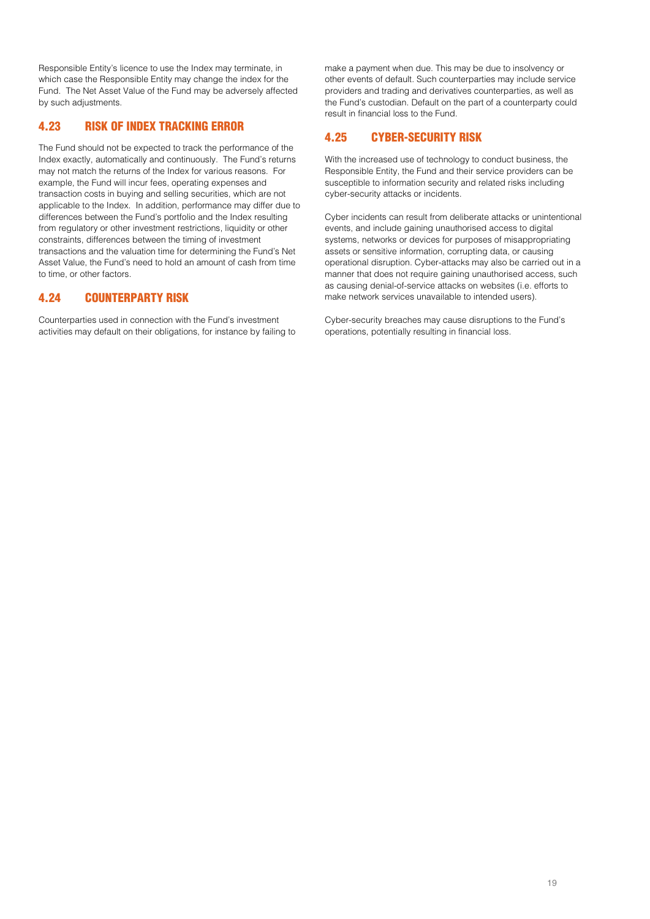Responsible Entity's licence to use the Index may terminate, in which case the Responsible Entity may change the index for the Fund. The Net Asset Value of the Fund may be adversely affected by such adjustments.

## 4.23 RISK OF INDEX TRACKING ERROR

The Fund should not be expected to track the performance of the Index exactly, automatically and continuously. The Fund's returns may not match the returns of the Index for various reasons. For example, the Fund will incur fees, operating expenses and transaction costs in buying and selling securities, which are not applicable to the Index. In addition, performance may differ due to differences between the Fund's portfolio and the Index resulting from regulatory or other investment restrictions, liquidity or other constraints, differences between the timing of investment transactions and the valuation time for determining the Fund's Net Asset Value, the Fund's need to hold an amount of cash from time to time, or other factors.

## 4.24 COUNTERPARTY RISK

Counterparties used in connection with the Fund's investment activities may default on their obligations, for instance by failing to make a payment when due. This may be due to insolvency or other events of default. Such counterparties may include service providers and trading and derivatives counterparties, as well as the Fund's custodian. Default on the part of a counterparty could result in financial loss to the Fund.

## 4.25 CYBER-SECURITY RISK

With the increased use of technology to conduct business, the Responsible Entity, the Fund and their service providers can be susceptible to information security and related risks including cyber-security attacks or incidents.

Cyber incidents can result from deliberate attacks or unintentional events, and include gaining unauthorised access to digital systems, networks or devices for purposes of misappropriating assets or sensitive information, corrupting data, or causing operational disruption. Cyber-attacks may also be carried out in a manner that does not require gaining unauthorised access, such as causing denial-of-service attacks on websites (i.e. efforts to make network services unavailable to intended users).

Cyber-security breaches may cause disruptions to the Fund's operations, potentially resulting in financial loss.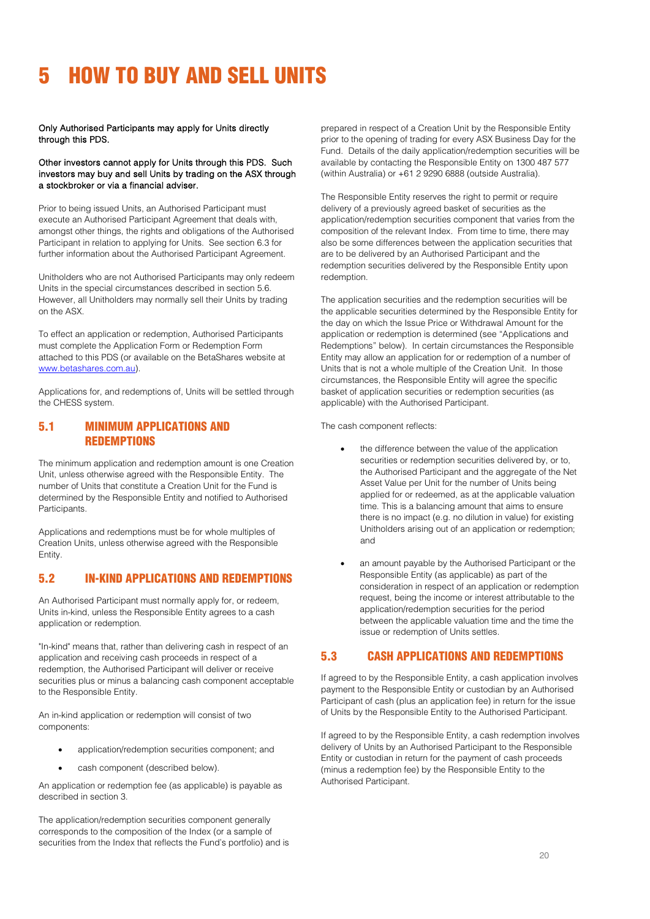# <span id="page-20-0"></span>5 HOW TO BUY AND SELL UNITS

Only Authorised Participants may apply for Units directly through this PDS.

#### Other investors cannot apply for Units through this PDS. Such investors may buy and sell Units by trading on the ASX through a stockbroker or via a financial adviser.

Prior to being issued Units, an Authorised Participant must execute an Authorised Participant Agreement that deals with, amongst other things, the rights and obligations of the Authorised Participant in relation to applying for Units. See section 6.3 for further information about the Authorised Participant Agreement.

Unitholders who are not Authorised Participants may only redeem Units in the special circumstances described in section 5.6. However, all Unitholders may normally sell their Units by trading on the ASX.

To effect an application or redemption, Authorised Participants must complete the Application Form or Redemption Form attached to this PDS (or available on the BetaShares website at [www.betashares.com.au\)](http://www.betashares.com.au/).

Applications for, and redemptions of, Units will be settled through the CHESS system.

## 5.1 MINIMUM APPLICATIONS AND **REDEMPTIONS**

The minimum application and redemption amount is one Creation Unit, unless otherwise agreed with the Responsible Entity. The number of Units that constitute a Creation Unit for the Fund is determined by the Responsible Entity and notified to Authorised Participants.

Applications and redemptions must be for whole multiples of Creation Units, unless otherwise agreed with the Responsible Entity.

## 5.2 IN-KIND APPLICATIONS AND REDEMPTIONS

An Authorised Participant must normally apply for, or redeem, Units in-kind, unless the Responsible Entity agrees to a cash application or redemption.

"In-kind" means that, rather than delivering cash in respect of an application and receiving cash proceeds in respect of a redemption, the Authorised Participant will deliver or receive securities plus or minus a balancing cash component acceptable to the Responsible Entity.

An in-kind application or redemption will consist of two components:

- application/redemption securities component; and
- cash component (described below).

An application or redemption fee (as applicable) is payable as described in section 3.

The application/redemption securities component generally corresponds to the composition of the Index (or a sample of securities from the Index that reflects the Fund's portfolio) and is prepared in respect of a Creation Unit by the Responsible Entity prior to the opening of trading for every ASX Business Day for the Fund. Details of the daily application/redemption securities will be available by contacting the Responsible Entity on 1300 487 577 (within Australia) or +61 2 9290 6888 (outside Australia).

The Responsible Entity reserves the right to permit or require delivery of a previously agreed basket of securities as the application/redemption securities component that varies from the composition of the relevant Index. From time to time, there may also be some differences between the application securities that are to be delivered by an Authorised Participant and the redemption securities delivered by the Responsible Entity upon redemption.

The application securities and the redemption securities will be the applicable securities determined by the Responsible Entity for the day on which the Issue Price or Withdrawal Amount for the application or redemption is determined (see "Applications and Redemptions" below). In certain circumstances the Responsible Entity may allow an application for or redemption of a number of Units that is not a whole multiple of the Creation Unit. In those circumstances, the Responsible Entity will agree the specific basket of application securities or redemption securities (as applicable) with the Authorised Participant.

The cash component reflects:

- the difference between the value of the application securities or redemption securities delivered by, or to, the Authorised Participant and the aggregate of the Net Asset Value per Unit for the number of Units being applied for or redeemed, as at the applicable valuation time. This is a balancing amount that aims to ensure there is no impact (e.g. no dilution in value) for existing Unitholders arising out of an application or redemption; and
- an amount payable by the Authorised Participant or the Responsible Entity (as applicable) as part of the consideration in respect of an application or redemption request, being the income or interest attributable to the application/redemption securities for the period between the applicable valuation time and the time the issue or redemption of Units settles.

## 5.3 CASH APPLICATIONS AND REDEMPTIONS

If agreed to by the Responsible Entity, a cash application involves payment to the Responsible Entity or custodian by an Authorised Participant of cash (plus an application fee) in return for the issue of Units by the Responsible Entity to the Authorised Participant.

If agreed to by the Responsible Entity, a cash redemption involves delivery of Units by an Authorised Participant to the Responsible Entity or custodian in return for the payment of cash proceeds (minus a redemption fee) by the Responsible Entity to the Authorised Participant.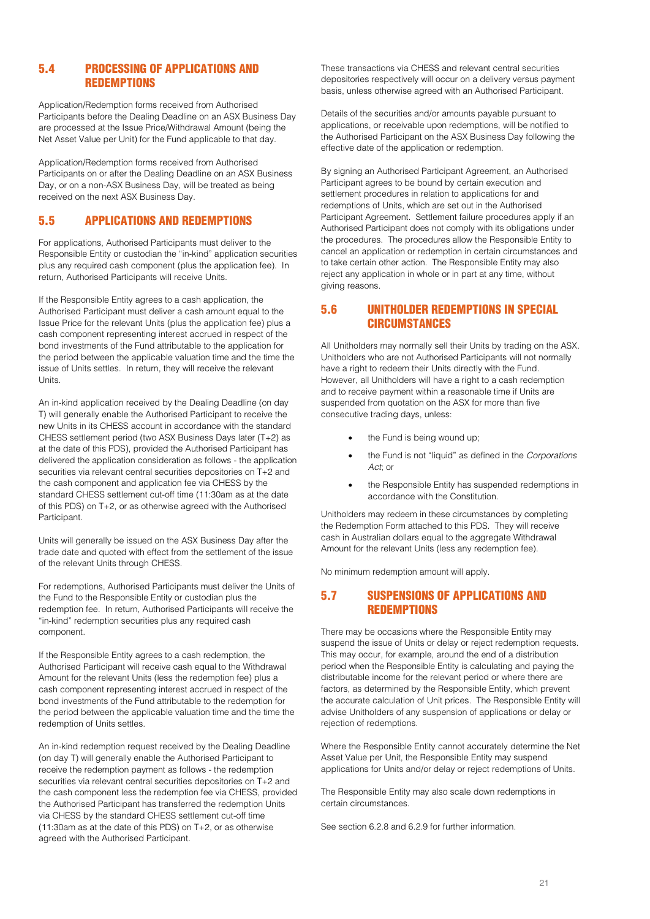## 5.4 PROCESSING OF APPLICATIONS AND **REDEMPTIONS**

Application/Redemption forms received from Authorised Participants before the Dealing Deadline on an ASX Business Day are processed at the Issue Price/Withdrawal Amount (being the Net Asset Value per Unit) for the Fund applicable to that day.

Application/Redemption forms received from Authorised Participants on or after the Dealing Deadline on an ASX Business Day, or on a non-ASX Business Day, will be treated as being received on the next ASX Business Day.

## 5.5 APPLICATIONS AND REDEMPTIONS

For applications, Authorised Participants must deliver to the Responsible Entity or custodian the "in-kind" application securities plus any required cash component (plus the application fee). In return, Authorised Participants will receive Units.

If the Responsible Entity agrees to a cash application, the Authorised Participant must deliver a cash amount equal to the Issue Price for the relevant Units (plus the application fee) plus a cash component representing interest accrued in respect of the bond investments of the Fund attributable to the application for the period between the applicable valuation time and the time the issue of Units settles. In return, they will receive the relevant Units.

An in-kind application received by the Dealing Deadline (on day T) will generally enable the Authorised Participant to receive the new Units in its CHESS account in accordance with the standard CHESS settlement period (two ASX Business Days later (T+2) as at the date of this PDS), provided the Authorised Participant has delivered the application consideration as follows - the application securities via relevant central securities depositories on T+2 and the cash component and application fee via CHESS by the standard CHESS settlement cut-off time (11:30am as at the date of this PDS) on T+2, or as otherwise agreed with the Authorised Participant.

Units will generally be issued on the ASX Business Day after the trade date and quoted with effect from the settlement of the issue of the relevant Units through CHESS.

For redemptions, Authorised Participants must deliver the Units of the Fund to the Responsible Entity or custodian plus the redemption fee. In return, Authorised Participants will receive the "in-kind" redemption securities plus any required cash component.

If the Responsible Entity agrees to a cash redemption, the Authorised Participant will receive cash equal to the Withdrawal Amount for the relevant Units (less the redemption fee) plus a cash component representing interest accrued in respect of the bond investments of the Fund attributable to the redemption for the period between the applicable valuation time and the time the redemption of Units settles.

An in-kind redemption request received by the Dealing Deadline (on day T) will generally enable the Authorised Participant to receive the redemption payment as follows - the redemption securities via relevant central securities depositories on T+2 and the cash component less the redemption fee via CHESS, provided the Authorised Participant has transferred the redemption Units via CHESS by the standard CHESS settlement cut-off time (11:30am as at the date of this PDS) on T+2, or as otherwise agreed with the Authorised Participant.

These transactions via CHESS and relevant central securities depositories respectively will occur on a delivery versus payment basis, unless otherwise agreed with an Authorised Participant.

Details of the securities and/or amounts payable pursuant to applications, or receivable upon redemptions, will be notified to the Authorised Participant on the ASX Business Day following the effective date of the application or redemption.

By signing an Authorised Participant Agreement, an Authorised Participant agrees to be bound by certain execution and settlement procedures in relation to applications for and redemptions of Units, which are set out in the Authorised Participant Agreement. Settlement failure procedures apply if an Authorised Participant does not comply with its obligations under the procedures. The procedures allow the Responsible Entity to cancel an application or redemption in certain circumstances and to take certain other action. The Responsible Entity may also reject any application in whole or in part at any time, without giving reasons.

## 5.6 UNITHOLDER REDEMPTIONS IN SPECIAL **CIRCUMSTANCES**

All Unitholders may normally sell their Units by trading on the ASX. Unitholders who are not Authorised Participants will not normally have a right to redeem their Units directly with the Fund. However, all Unitholders will have a right to a cash redemption and to receive payment within a reasonable time if Units are suspended from quotation on the ASX for more than five consecutive trading days, unless:

- the Fund is being wound up;
- the Fund is not "liquid" as defined in the *Corporations Act*; or
- the Responsible Entity has suspended redemptions in accordance with the Constitution.

Unitholders may redeem in these circumstances by completing the Redemption Form attached to this PDS. They will receive cash in Australian dollars equal to the aggregate Withdrawal Amount for the relevant Units (less any redemption fee).

No minimum redemption amount will apply.

## 5.7 SUSPENSIONS OF APPLICATIONS AND **REDEMPTIONS**

There may be occasions where the Responsible Entity may suspend the issue of Units or delay or reject redemption requests. This may occur, for example, around the end of a distribution period when the Responsible Entity is calculating and paying the distributable income for the relevant period or where there are factors, as determined by the Responsible Entity, which prevent the accurate calculation of Unit prices. The Responsible Entity will advise Unitholders of any suspension of applications or delay or rejection of redemptions.

Where the Responsible Entity cannot accurately determine the Net Asset Value per Unit, the Responsible Entity may suspend applications for Units and/or delay or reject redemptions of Units.

The Responsible Entity may also scale down redemptions in certain circumstances.

See section 6.2.8 and 6.2.9 for further information.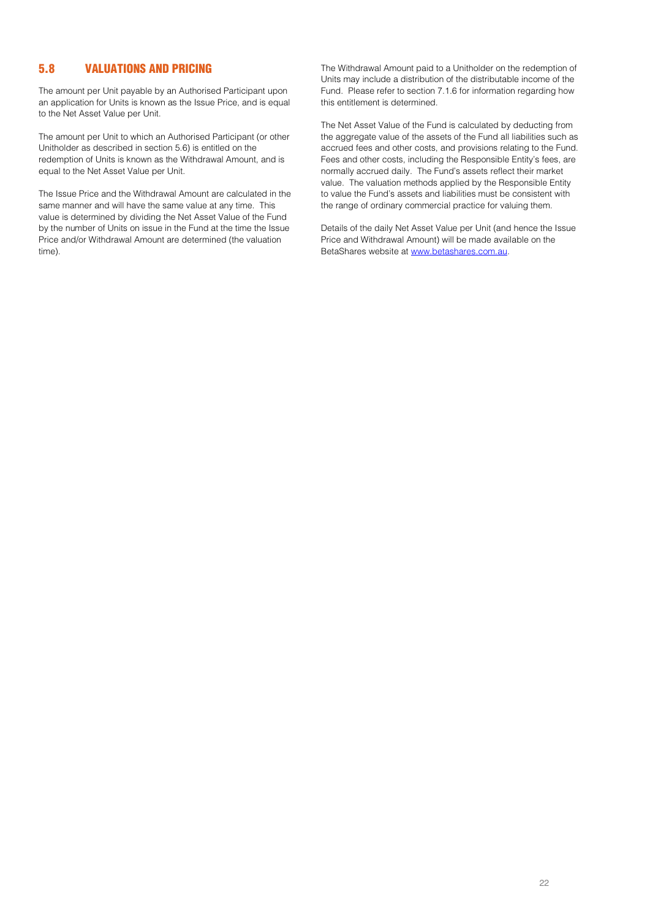## 5.8 VALUATIONS AND PRICING

The amount per Unit payable by an Authorised Participant upon an application for Units is known as the Issue Price, and is equal to the Net Asset Value per Unit.

The amount per Unit to which an Authorised Participant (or other Unitholder as described in section 5.6) is entitled on the redemption of Units is known as the Withdrawal Amount, and is equal to the Net Asset Value per Unit.

The Issue Price and the Withdrawal Amount are calculated in the same manner and will have the same value at any time. This value is determined by dividing the Net Asset Value of the Fund by the number of Units on issue in the Fund at the time the Issue Price and/or Withdrawal Amount are determined (the valuation time).

The Withdrawal Amount paid to a Unitholder on the redemption of Units may include a distribution of the distributable income of the Fund. Please refer to section 7.1.6 for information regarding how this entitlement is determined.

The Net Asset Value of the Fund is calculated by deducting from the aggregate value of the assets of the Fund all liabilities such as accrued fees and other costs, and provisions relating to the Fund. Fees and other costs, including the Responsible Entity's fees, are normally accrued daily. The Fund's assets reflect their market value. The valuation methods applied by the Responsible Entity to value the Fund's assets and liabilities must be consistent with the range of ordinary commercial practice for valuing them.

Details of the daily Net Asset Value per Unit (and hence the Issue Price and Withdrawal Amount) will be made available on the BetaShares website a[t www.betashares.com.au.](http://www.betashares.com.au/)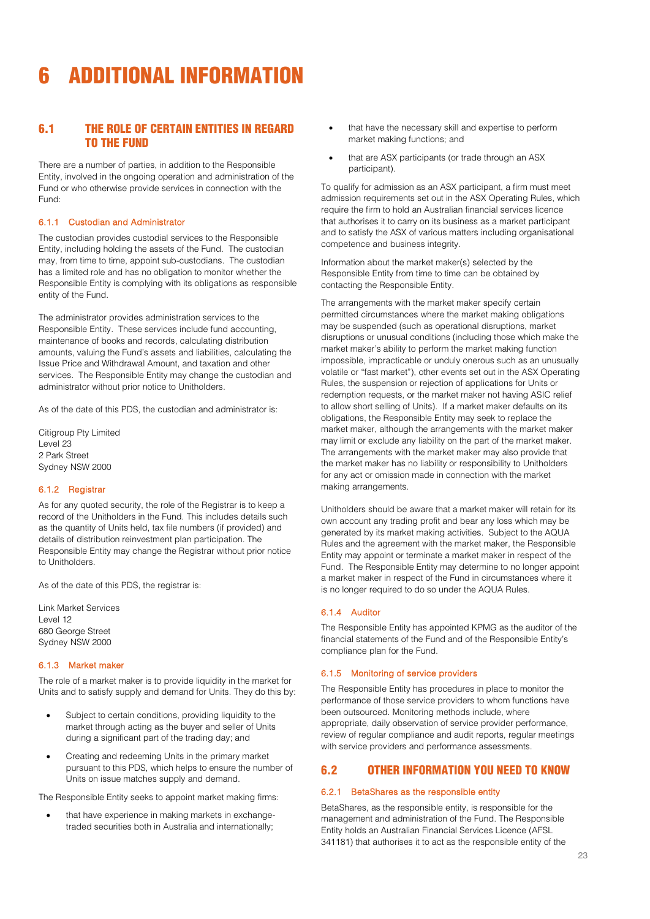# <span id="page-23-0"></span>6 ADDITIONAL INFORMATION

## 6.1 THE ROLE OF CERTAIN ENTITIES IN REGARD TO THE FUND

There are a number of parties, in addition to the Responsible Entity, involved in the ongoing operation and administration of the Fund or who otherwise provide services in connection with the Fund:

#### 6.1.1 Custodian and Administrator

The custodian provides custodial services to the Responsible Entity, including holding the assets of the Fund. The custodian may, from time to time, appoint sub-custodians. The custodian has a limited role and has no obligation to monitor whether the Responsible Entity is complying with its obligations as responsible entity of the Fund.

The administrator provides administration services to the Responsible Entity. These services include fund accounting, maintenance of books and records, calculating distribution amounts, valuing the Fund's assets and liabilities, calculating the Issue Price and Withdrawal Amount, and taxation and other services. The Responsible Entity may change the custodian and administrator without prior notice to Unitholders.

As of the date of this PDS, the custodian and administrator is:

Citigroup Pty Limited Level 23 2 Park Street Sydney NSW 2000

#### 6.1.2 Registrar

As for any quoted security, the role of the Registrar is to keep a record of the Unitholders in the Fund. This includes details such as the quantity of Units held, tax file numbers (if provided) and details of distribution reinvestment plan participation. The Responsible Entity may change the Registrar without prior notice to Unitholders.

As of the date of this PDS, the registrar is:

Link Market Services Level 12 680 George Street Sydney NSW 2000

#### 6.1.3 Market maker

The role of a market maker is to provide liquidity in the market for Units and to satisfy supply and demand for Units. They do this by:

- Subject to certain conditions, providing liquidity to the market through acting as the buyer and seller of Units during a significant part of the trading day; and
- Creating and redeeming Units in the primary market pursuant to this PDS, which helps to ensure the number of Units on issue matches supply and demand.

The Responsible Entity seeks to appoint market making firms:

• that have experience in making markets in exchangetraded securities both in Australia and internationally;

- that have the necessary skill and expertise to perform market making functions; and
- that are ASX participants (or trade through an ASX participant).

To qualify for admission as an ASX participant, a firm must meet admission requirements set out in the ASX Operating Rules, which require the firm to hold an Australian financial services licence that authorises it to carry on its business as a market participant and to satisfy the ASX of various matters including organisational competence and business integrity.

Information about the market maker(s) selected by the Responsible Entity from time to time can be obtained by contacting the Responsible Entity.

The arrangements with the market maker specify certain permitted circumstances where the market making obligations may be suspended (such as operational disruptions, market disruptions or unusual conditions (including those which make the market maker's ability to perform the market making function impossible, impracticable or unduly onerous such as an unusually volatile or "fast market"), other events set out in the ASX Operating Rules, the suspension or rejection of applications for Units or redemption requests, or the market maker not having ASIC relief to allow short selling of Units). If a market maker defaults on its obligations, the Responsible Entity may seek to replace the market maker, although the arrangements with the market maker may limit or exclude any liability on the part of the market maker. The arrangements with the market maker may also provide that the market maker has no liability or responsibility to Unitholders for any act or omission made in connection with the market making arrangements.

Unitholders should be aware that a market maker will retain for its own account any trading profit and bear any loss which may be generated by its market making activities. Subject to the AQUA Rules and the agreement with the market maker, the Responsible Entity may appoint or terminate a market maker in respect of the Fund. The Responsible Entity may determine to no longer appoint a market maker in respect of the Fund in circumstances where it is no longer required to do so under the AQUA Rules.

#### 6.1.4 Auditor

The Responsible Entity has appointed KPMG as the auditor of the financial statements of the Fund and of the Responsible Entity's compliance plan for the Fund.

#### 6.1.5 Monitoring of service providers

The Responsible Entity has procedures in place to monitor the performance of those service providers to whom functions have been outsourced. Monitoring methods include, where appropriate, daily observation of service provider performance, review of regular compliance and audit reports, regular meetings with service providers and performance assessments.

## 6.2 OTHER INFORMATION YOU NEED TO KNOW

#### 6.2.1 BetaShares as the responsible entity

BetaShares, as the responsible entity, is responsible for the management and administration of the Fund. The Responsible Entity holds an Australian Financial Services Licence (AFSL 341181) that authorises it to act as the responsible entity of the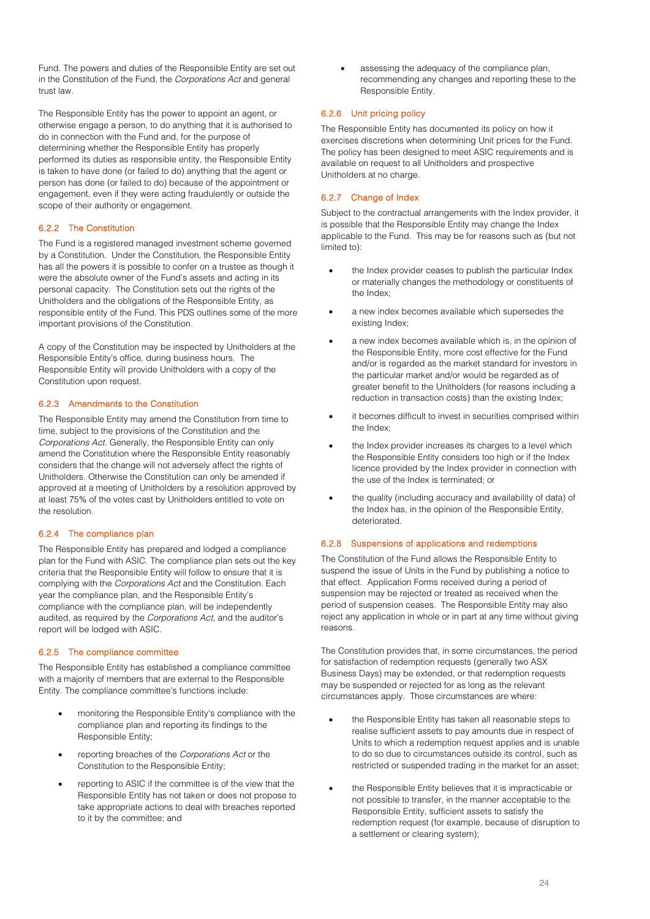Fund. The powers and duties of the Responsible Entity are set out in the Constitution of the Fund, the *Corporations Act* and general trust law.

The Responsible Entity has the power to appoint an agent, or otherwise engage a person, to do anything that it is authorised to do in connection with the Fund and, for the purpose of determining whether the Responsible Entity has properly performed its duties as responsible entity, the Responsible Entity is taken to have done (or failed to do) anything that the agent or person has done (or failed to do) because of the appointment or engagement, even if they were acting fraudulently or outside the scope of their authority or engagement.

#### 6.2.2 The Constitution

The Fund is a registered managed investment scheme governed by a Constitution. Under the Constitution, the Responsible Entity has all the powers it is possible to confer on a trustee as though it were the absolute owner of the Fund's assets and acting in its personal capacity. The Constitution sets out the rights of the Unitholders and the obligations of the Responsible Entity, as responsible entity of the Fund. This PDS outlines some of the more important provisions of the Constitution.

A copy of the Constitution may be inspected by Unitholders at the Responsible Entity's office, during business hours. The Responsible Entity will provide Unitholders with a copy of the Constitution upon request.

#### 6.2.3 Amendments to the Constitution

The Responsible Entity may amend the Constitution from time to time, subject to the provisions of the Constitution and the *Corporations Act.* Generally, the Responsible Entity can only amend the Constitution where the Responsible Entity reasonably considers that the change will not adversely affect the rights of Unitholders. Otherwise the Constitution can only be amended if approved at a meeting of Unitholders by a resolution approved by at least 75% of the votes cast by Unitholders entitled to vote on the resolution.

#### 6.2.4 The compliance plan

The Responsible Entity has prepared and lodged a compliance plan for the Fund with ASIC. The compliance plan sets out the key criteria that the Responsible Entity will follow to ensure that it is complying with the *Corporations Act* and the Constitution. Each year the compliance plan, and the Responsible Entity's compliance with the compliance plan, will be independently audited, as required by the *Corporations Act,* and the auditor's report will be lodged with ASIC.

#### 6.2.5 The compliance committee

The Responsible Entity has established a compliance committee with a majority of members that are external to the Responsible Entity. The compliance committee's functions include:

- monitoring the Responsible Entity's compliance with the compliance plan and reporting its findings to the Responsible Entity;
- reporting breaches of the *Corporations Act* or the Constitution to the Responsible Entity;
- reporting to ASIC if the committee is of the view that the Responsible Entity has not taken or does not propose to take appropriate actions to deal with breaches reported to it by the committee; and

assessing the adequacy of the compliance plan. recommending any changes and reporting these to the Responsible Entity.

#### 6.2.6 Unit pricing policy

The Responsible Entity has documented its policy on how it exercises discretions when determining Unit prices for the Fund. The policy has been designed to meet ASIC requirements and is available on request to all Unitholders and prospective Unitholders at no charge.

#### 6.2.7 Change of Index

Subject to the contractual arrangements with the Index provider, it is possible that the Responsible Entity may change the Index applicable to the Fund. This may be for reasons such as (but not limited to):

- the Index provider ceases to publish the particular Index or materially changes the methodology or constituents of the Index;
- a new index becomes available which supersedes the existing Index;
- a new index becomes available which is, in the opinion of the Responsible Entity, more cost effective for the Fund and/or is regarded as the market standard for investors in the particular market and/or would be regarded as of greater benefit to the Unitholders (for reasons including a reduction in transaction costs) than the existing Index;
- it becomes difficult to invest in securities comprised within the Index;
- the Index provider increases its charges to a level which the Responsible Entity considers too high or if the Index licence provided by the Index provider in connection with the use of the Index is terminated; or
- the quality (including accuracy and availability of data) of the Index has, in the opinion of the Responsible Entity, deteriorated.

#### 6.2.8 Suspensions of applications and redemptions

The Constitution of the Fund allows the Responsible Entity to suspend the issue of Units in the Fund by publishing a notice to that effect. Application Forms received during a period of suspension may be rejected or treated as received when the period of suspension ceases. The Responsible Entity may also reject any application in whole or in part at any time without giving reasons.

The Constitution provides that, in some circumstances, the period for satisfaction of redemption requests (generally two ASX Business Days) may be extended, or that redemption requests may be suspended or rejected for as long as the relevant circumstances apply. Those circumstances are where:

- the Responsible Entity has taken all reasonable steps to realise sufficient assets to pay amounts due in respect of Units to which a redemption request applies and is unable to do so due to circumstances outside its control, such as restricted or suspended trading in the market for an asset;
- the Responsible Entity believes that it is impracticable or not possible to transfer, in the manner acceptable to the Responsible Entity, sufficient assets to satisfy the redemption request (for example, because of disruption to a settlement or clearing system);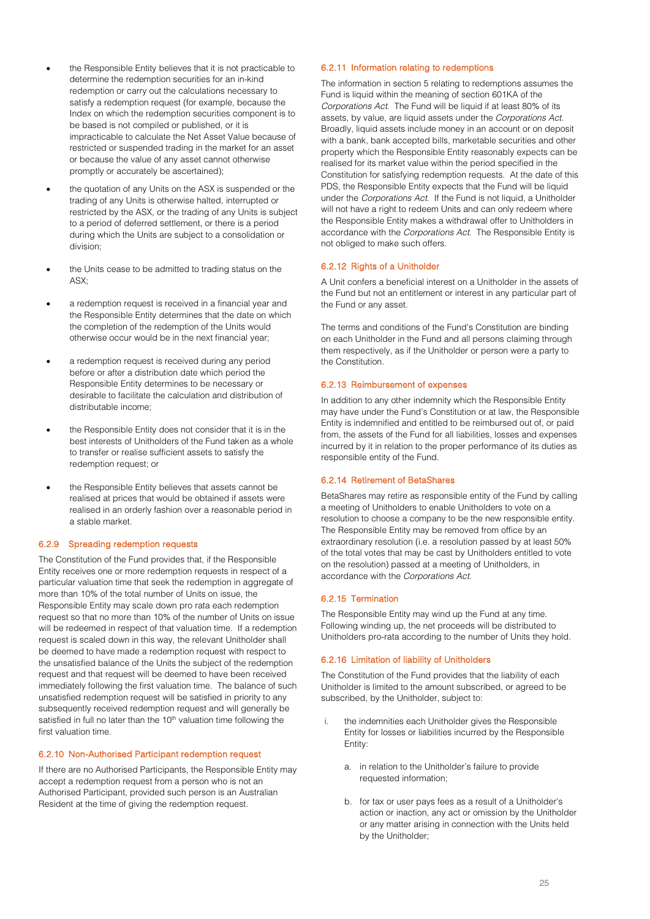- the Responsible Entity believes that it is not practicable to determine the redemption securities for an in-kind redemption or carry out the calculations necessary to satisfy a redemption request (for example, because the Index on which the redemption securities component is to be based is not compiled or published, or it is impracticable to calculate the Net Asset Value because of restricted or suspended trading in the market for an asset or because the value of any asset cannot otherwise promptly or accurately be ascertained);
- the quotation of any Units on the ASX is suspended or the trading of any Units is otherwise halted, interrupted or restricted by the ASX, or the trading of any Units is subject to a period of deferred settlement, or there is a period during which the Units are subject to a consolidation or division;
- the Units cease to be admitted to trading status on the ASX;
- a redemption request is received in a financial year and the Responsible Entity determines that the date on which the completion of the redemption of the Units would otherwise occur would be in the next financial year;
- a redemption request is received during any period before or after a distribution date which period the Responsible Entity determines to be necessary or desirable to facilitate the calculation and distribution of distributable income;
- the Responsible Entity does not consider that it is in the best interests of Unitholders of the Fund taken as a whole to transfer or realise sufficient assets to satisfy the redemption request; or
- the Responsible Entity believes that assets cannot be realised at prices that would be obtained if assets were realised in an orderly fashion over a reasonable period in a stable market.

#### 6.2.9 Spreading redemption requests

The Constitution of the Fund provides that, if the Responsible Entity receives one or more redemption requests in respect of a particular valuation time that seek the redemption in aggregate of more than 10% of the total number of Units on issue, the Responsible Entity may scale down pro rata each redemption request so that no more than 10% of the number of Units on issue will be redeemed in respect of that valuation time. If a redemption request is scaled down in this way, the relevant Unitholder shall be deemed to have made a redemption request with respect to the unsatisfied balance of the Units the subject of the redemption request and that request will be deemed to have been received immediately following the first valuation time. The balance of such unsatisfied redemption request will be satisfied in priority to any subsequently received redemption request and will generally be satisfied in full no later than the 10<sup>th</sup> valuation time following the first valuation time.

#### 6.2.10 Non-Authorised Participant redemption request

If there are no Authorised Participants, the Responsible Entity may accept a redemption request from a person who is not an Authorised Participant, provided such person is an Australian Resident at the time of giving the redemption request.

#### 6.2.11 Information relating to redemptions

The information in section [5](#page-20-0) relating to redemptions assumes the Fund is liquid within the meaning of section 601KA of the *Corporations Act*. The Fund will be liquid if at least 80% of its assets, by value, are liquid assets under the *Corporations Act*. Broadly, liquid assets include money in an account or on deposit with a bank, bank accepted bills, marketable securities and other property which the Responsible Entity reasonably expects can be realised for its market value within the period specified in the Constitution for satisfying redemption requests. At the date of this PDS, the Responsible Entity expects that the Fund will be liquid under the *Corporations Act*. If the Fund is not liquid, a Unitholder will not have a right to redeem Units and can only redeem where the Responsible Entity makes a withdrawal offer to Unitholders in accordance with the *Corporations Act*. The Responsible Entity is not obliged to make such offers.

#### 6.2.12 Rights of a Unitholder

A Unit confers a beneficial interest on a Unitholder in the assets of the Fund but not an entitlement or interest in any particular part of the Fund or any asset.

The terms and conditions of the Fund's Constitution are binding on each Unitholder in the Fund and all persons claiming through them respectively, as if the Unitholder or person were a party to the Constitution.

### 6.2.13 Reimbursement of expenses

In addition to any other indemnity which the Responsible Entity may have under the Fund's Constitution or at law, the Responsible Entity is indemnified and entitled to be reimbursed out of, or paid from, the assets of the Fund for all liabilities, losses and expenses incurred by it in relation to the proper performance of its duties as responsible entity of the Fund.

#### 6.2.14 Retirement of BetaShares

BetaShares may retire as responsible entity of the Fund by calling a meeting of Unitholders to enable Unitholders to vote on a resolution to choose a company to be the new responsible entity. The Responsible Entity may be removed from office by an extraordinary resolution (i.e. a resolution passed by at least 50% of the total votes that may be cast by Unitholders entitled to vote on the resolution) passed at a meeting of Unitholders, in accordance with the *Corporations Act.* 

#### 6.2.15 Termination

The Responsible Entity may wind up the Fund at any time. Following winding up, the net proceeds will be distributed to Unitholders pro-rata according to the number of Units they hold.

#### 6.2.16 Limitation of liability of Unitholders

The Constitution of the Fund provides that the liability of each Unitholder is limited to the amount subscribed, or agreed to be subscribed, by the Unitholder, subject to:

- i. the indemnities each Unitholder gives the Responsible Entity for losses or liabilities incurred by the Responsible Entity:
	- a. in relation to the Unitholder's failure to provide requested information;
	- b. for tax or user pays fees as a result of a Unitholder's action or inaction, any act or omission by the Unitholder or any matter arising in connection with the Units held by the Unitholder;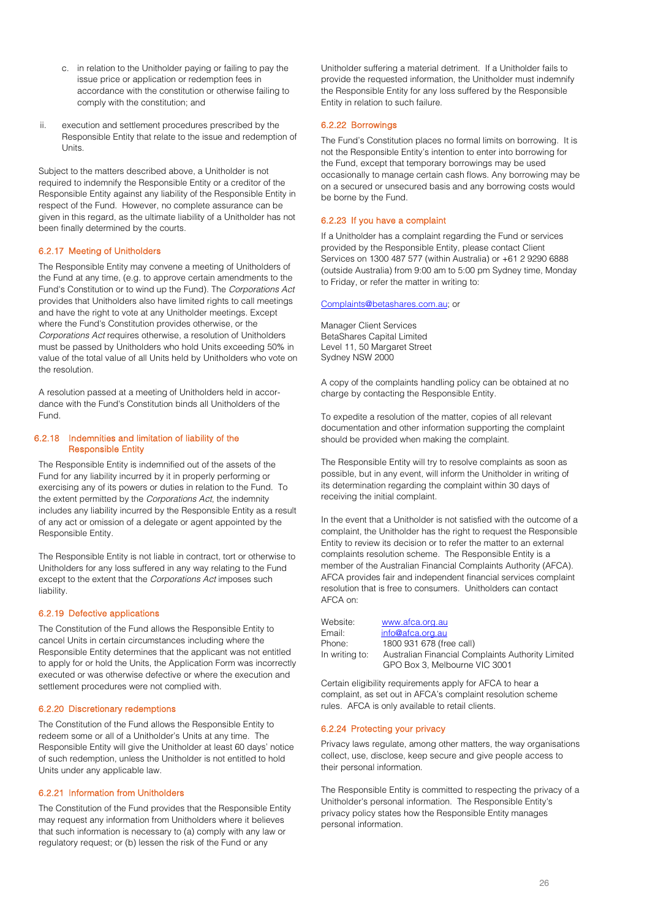- c. in relation to the Unitholder paying or failing to pay the issue price or application or redemption fees in accordance with the constitution or otherwise failing to comply with the constitution; and
- ii. execution and settlement procedures prescribed by the Responsible Entity that relate to the issue and redemption of Units.

Subject to the matters described above, a Unitholder is not required to indemnify the Responsible Entity or a creditor of the Responsible Entity against any liability of the Responsible Entity in respect of the Fund. However, no complete assurance can be given in this regard, as the ultimate liability of a Unitholder has not been finally determined by the courts.

#### 6.2.17 Meeting of Unitholders

The Responsible Entity may convene a meeting of Unitholders of the Fund at any time, (e.g. to approve certain amendments to the Fund's Constitution or to wind up the Fund). The *Corporations Act* provides that Unitholders also have limited rights to call meetings and have the right to vote at any Unitholder meetings. Except where the Fund's Constitution provides otherwise, or the *Corporations Act* requires otherwise, a resolution of Unitholders must be passed by Unitholders who hold Units exceeding 50% in value of the total value of all Units held by Unitholders who vote on the resolution.

A resolution passed at a meeting of Unitholders held in accordance with the Fund's Constitution binds all Unitholders of the Fund.

#### 6.2.18 Indemnities and limitation of liability of the Responsible Entity

The Responsible Entity is indemnified out of the assets of the Fund for any liability incurred by it in properly performing or exercising any of its powers or duties in relation to the Fund. To the extent permitted by the *Corporations Act*, the indemnity includes any liability incurred by the Responsible Entity as a result of any act or omission of a delegate or agent appointed by the Responsible Entity.

The Responsible Entity is not liable in contract, tort or otherwise to Unitholders for any loss suffered in any way relating to the Fund except to the extent that the *Corporations Act* imposes such liability.

#### 6.2.19 Defective applications

The Constitution of the Fund allows the Responsible Entity to cancel Units in certain circumstances including where the Responsible Entity determines that the applicant was not entitled to apply for or hold the Units, the Application Form was incorrectly executed or was otherwise defective or where the execution and settlement procedures were not complied with.

#### 6.2.20 Discretionary redemptions

The Constitution of the Fund allows the Responsible Entity to redeem some or all of a Unitholder's Units at any time. The Responsible Entity will give the Unitholder at least 60 days' notice of such redemption, unless the Unitholder is not entitled to hold Units under any applicable law.

#### 6.2.21 Information from Unitholders

The Constitution of the Fund provides that the Responsible Entity may request any information from Unitholders where it believes that such information is necessary to (a) comply with any law or regulatory request; or (b) lessen the risk of the Fund or any

Unitholder suffering a material detriment. If a Unitholder fails to provide the requested information, the Unitholder must indemnify the Responsible Entity for any loss suffered by the Responsible Entity in relation to such failure.

#### 6.2.22 Borrowings

The Fund's Constitution places no formal limits on borrowing. It is not the Responsible Entity's intention to enter into borrowing for the Fund, except that temporary borrowings may be used occasionally to manage certain cash flows. Any borrowing may be on a secured or unsecured basis and any borrowing costs would be borne by the Fund.

#### 6.2.23 If you have a complaint

If a Unitholder has a complaint regarding the Fund or services provided by the Responsible Entity, please contact Client Services on 1300 487 577 (within Australia) or +61 2 9290 6888 (outside Australia) from 9:00 am to 5:00 pm Sydney time, Monday to Friday, or refer the matter in writing to:

#### [Complaints@betashares.com.au;](mailto:Complaints@betashares.com.au) or

Manager Client Services BetaShares Capital Limited Level 11, 50 Margaret Street Sydney NSW 2000

A copy of the complaints handling policy can be obtained at no charge by contacting the Responsible Entity.

To expedite a resolution of the matter, copies of all relevant documentation and other information supporting the complaint should be provided when making the complaint.

The Responsible Entity will try to resolve complaints as soon as possible, but in any event, will inform the Unitholder in writing of its determination regarding the complaint within 30 days of receiving the initial complaint.

In the event that a Unitholder is not satisfied with the outcome of a complaint, the Unitholder has the right to request the Responsible Entity to review its decision or to refer the matter to an external complaints resolution scheme. The Responsible Entity is a member of the Australian Financial Complaints Authority (AFCA). AFCA provides fair and independent financial services complaint resolution that is free to consumers. Unitholders can contact AFCA on:

Website: [www.afca.org.au](http://www.afca.org.au/)

## Email: [info@afca.org.au](mailto:info@afca.org.au) Phone: 1800 931 678 (free call)

In writing to: Australian Financial Complaints Authority Limited GPO Box 3, Melbourne VIC 3001

Certain eligibility requirements apply for AFCA to hear a complaint, as set out in AFCA's complaint resolution scheme rules. AFCA is only available to retail clients.

#### 6.2.24 Protecting your privacy

Privacy laws regulate, among other matters, the way organisations collect, use, disclose, keep secure and give people access to their personal information.

The Responsible Entity is committed to respecting the privacy of a Unitholder's personal information. The Responsible Entity's privacy policy states how the Responsible Entity manages personal information.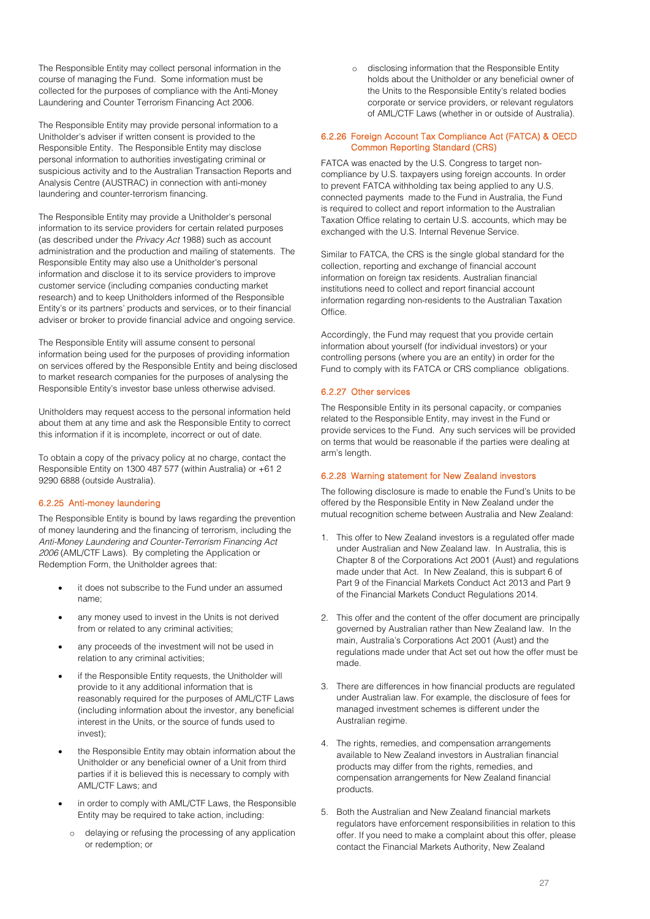The Responsible Entity may collect personal information in the course of managing the Fund. Some information must be collected for the purposes of compliance with the Anti-Money Laundering and Counter Terrorism Financing Act 2006*.* 

The Responsible Entity may provide personal information to a Unitholder's adviser if written consent is provided to the Responsible Entity. The Responsible Entity may disclose personal information to authorities investigating criminal or suspicious activity and to the Australian Transaction Reports and Analysis Centre (AUSTRAC) in connection with anti-money laundering and counter-terrorism financing.

The Responsible Entity may provide a Unitholder's personal information to its service providers for certain related purposes (as described under the *Privacy Act* 1988) such as account administration and the production and mailing of statements. The Responsible Entity may also use a Unitholder's personal information and disclose it to its service providers to improve customer service (including companies conducting market research) and to keep Unitholders informed of the Responsible Entity's or its partners' products and services, or to their financial adviser or broker to provide financial advice and ongoing service.

The Responsible Entity will assume consent to personal information being used for the purposes of providing information on services offered by the Responsible Entity and being disclosed to market research companies for the purposes of analysing the Responsible Entity's investor base unless otherwise advised.

Unitholders may request access to the personal information held about them at any time and ask the Responsible Entity to correct this information if it is incomplete, incorrect or out of date.

To obtain a copy of the privacy policy at no charge, contact the Responsible Entity on 1300 487 577 (within Australia) or +61 2 9290 6888 (outside Australia).

#### 6.2.25 Anti-money laundering

The Responsible Entity is bound by laws regarding the prevention of money laundering and the financing of terrorism, including the *Anti-Money Laundering and Counter-Terrorism Financing Act 2006* (AML/CTF Laws). By completing the Application or Redemption Form, the Unitholder agrees that:

- it does not subscribe to the Fund under an assumed name;
- any money used to invest in the Units is not derived from or related to any criminal activities;
- any proceeds of the investment will not be used in relation to any criminal activities;
- if the Responsible Entity requests, the Unitholder will provide to it any additional information that is reasonably required for the purposes of AML/CTF Laws (including information about the investor, any beneficial interest in the Units, or the source of funds used to invest);
- the Responsible Entity may obtain information about the Unitholder or any beneficial owner of a Unit from third parties if it is believed this is necessary to comply with AML/CTF Laws; and
- in order to comply with AML/CTF Laws, the Responsible Entity may be required to take action, including:
	- o delaying or refusing the processing of any application or redemption; or

o disclosing information that the Responsible Entity holds about the Unitholder or any beneficial owner of the Units to the Responsible Entity's related bodies corporate or service providers, or relevant regulators of AML/CTF Laws (whether in or outside of Australia).

#### 6.2.26 Foreign Account Tax Compliance Act (FATCA) & OECD Common Reporting Standard (CRS)

FATCA was enacted by the U.S. Congress to target noncompliance by U.S. taxpayers using foreign accounts. In order to prevent FATCA withholding tax being applied to any U.S. connected payments made to the Fund in Australia, the Fund is required to collect and report information to the Australian Taxation Office relating to certain U.S. accounts, which may be exchanged with the U.S. Internal Revenue Service.

Similar to FATCA, the CRS is the single global standard for the collection, reporting and exchange of financial account information on foreign tax residents. Australian financial institutions need to collect and report financial account information regarding non-residents to the Australian Taxation **Office** 

Accordingly, the Fund may request that you provide certain information about yourself (for individual investors) or your controlling persons (where you are an entity) in order for the Fund to comply with its FATCA or CRS compliance obligations.

#### 6.2.27 Other services

The Responsible Entity in its personal capacity, or companies related to the Responsible Entity, may invest in the Fund or provide services to the Fund. Any such services will be provided on terms that would be reasonable if the parties were dealing at arm's length.

#### 6.2.28 Warning statement for New Zealand investors

The following disclosure is made to enable the Fund's Units to be offered by the Responsible Entity in New Zealand under the mutual recognition scheme between Australia and New Zealand:

- 1. This offer to New Zealand investors is a regulated offer made under Australian and New Zealand law. In Australia, this is Chapter 8 of the Corporations Act 2001 (Aust) and regulations made under that Act. In New Zealand, this is subpart 6 of Part 9 of the Financial Markets Conduct Act 2013 and Part 9 of the Financial Markets Conduct Regulations 2014.
- 2. This offer and the content of the offer document are principally governed by Australian rather than New Zealand law. In the main, Australia's Corporations Act 2001 (Aust) and the regulations made under that Act set out how the offer must be made.
- 3. There are differences in how financial products are regulated under Australian law. For example, the disclosure of fees for managed investment schemes is different under the Australian regime.
- 4. The rights, remedies, and compensation arrangements available to New Zealand investors in Australian financial products may differ from the rights, remedies, and compensation arrangements for New Zealand financial products.
- 5. Both the Australian and New Zealand financial markets regulators have enforcement responsibilities in relation to this offer. If you need to make a complaint about this offer, please contact the Financial Markets Authority, New Zealand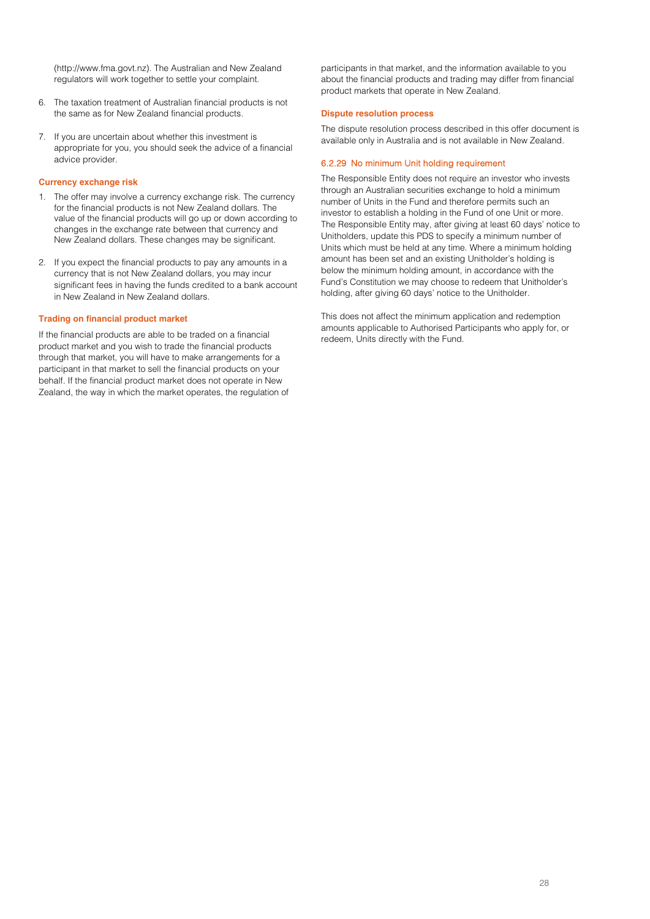[\(http://www.fma.govt.nz\)](http://www.fma.govt.nz/). The Australian and New Zealand regulators will work together to settle your complaint.

- 6. The taxation treatment of Australian financial products is not the same as for New Zealand financial products.
- 7. If you are uncertain about whether this investment is appropriate for you, you should seek the advice of a financial advice provider.

#### **Currency exchange risk**

- 1. The offer may involve a currency exchange risk. The currency for the financial products is not New Zealand dollars. The value of the financial products will go up or down according to changes in the exchange rate between that currency and New Zealand dollars. These changes may be significant.
- 2. If you expect the financial products to pay any amounts in a currency that is not New Zealand dollars, you may incur significant fees in having the funds credited to a bank account in New Zealand in New Zealand dollars.

#### **Trading on financial product market**

If the financial products are able to be traded on a financial product market and you wish to trade the financial products through that market, you will have to make arrangements for a participant in that market to sell the financial products on your behalf. If the financial product market does not operate in New Zealand, the way in which the market operates, the regulation of participants in that market, and the information available to you about the financial products and trading may differ from financial product markets that operate in New Zealand.

#### **Dispute resolution process**

The dispute resolution process described in this offer document is available only in Australia and is not available in New Zealand.

#### 6.2.29 No minimum Unit holding requirement

The Responsible Entity does not require an investor who invests through an Australian securities exchange to hold a minimum number of Units in the Fund and therefore permits such an investor to establish a holding in the Fund of one Unit or more. The Responsible Entity may, after giving at least 60 days' notice to Unitholders, update this PDS to specify a minimum number of Units which must be held at any time. Where a minimum holding amount has been set and an existing Unitholder's holding is below the minimum holding amount, in accordance with the Fund's Constitution we may choose to redeem that Unitholder's holding, after giving 60 days' notice to the Unitholder.

This does not affect the minimum application and redemption amounts applicable to Authorised Participants who apply for, or redeem, Units directly with the Fund.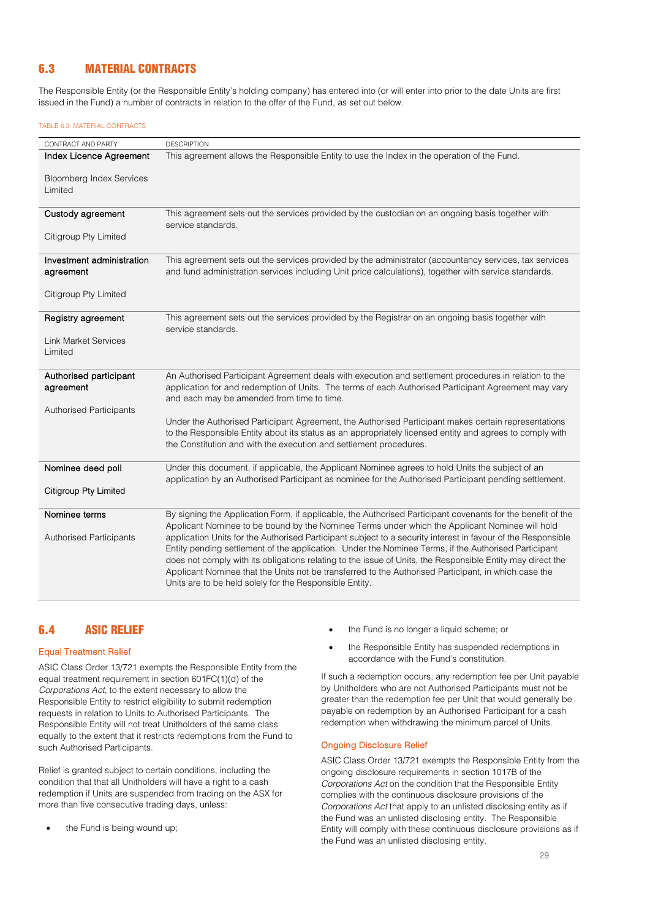## 6.3 MATERIAL CONTRACTS

The Responsible Entity (or the Responsible Entity's holding company) has entered into (or will enter into prior to the date Units are first issued in the Fund) a number of contracts in relation to the offer of the Fund, as set out below.

#### TABLE 6.3: MATERIAL CONTRACTS

| CONTRACT AND PARTY                              | <b>DESCRIPTION</b>                                                                                                                                                                                                                                                                                                                                                                                                                                                                                                                                                                                                                                                                                                     |
|-------------------------------------------------|------------------------------------------------------------------------------------------------------------------------------------------------------------------------------------------------------------------------------------------------------------------------------------------------------------------------------------------------------------------------------------------------------------------------------------------------------------------------------------------------------------------------------------------------------------------------------------------------------------------------------------------------------------------------------------------------------------------------|
| Index Licence Agreement                         | This agreement allows the Responsible Entity to use the Index in the operation of the Fund.                                                                                                                                                                                                                                                                                                                                                                                                                                                                                                                                                                                                                            |
| <b>Bloomberg Index Services</b><br>Limited      |                                                                                                                                                                                                                                                                                                                                                                                                                                                                                                                                                                                                                                                                                                                        |
| Custody agreement                               | This agreement sets out the services provided by the custodian on an ongoing basis together with<br>service standards.                                                                                                                                                                                                                                                                                                                                                                                                                                                                                                                                                                                                 |
| Citigroup Pty Limited                           |                                                                                                                                                                                                                                                                                                                                                                                                                                                                                                                                                                                                                                                                                                                        |
| Investment administration<br>agreement          | This agreement sets out the services provided by the administrator (accountancy services, tax services<br>and fund administration services including Unit price calculations), together with service standards.                                                                                                                                                                                                                                                                                                                                                                                                                                                                                                        |
| Citigroup Pty Limited                           |                                                                                                                                                                                                                                                                                                                                                                                                                                                                                                                                                                                                                                                                                                                        |
| Registry agreement                              | This agreement sets out the services provided by the Registrar on an ongoing basis together with<br>service standards.                                                                                                                                                                                                                                                                                                                                                                                                                                                                                                                                                                                                 |
| <b>Link Market Services</b><br>Limited          |                                                                                                                                                                                                                                                                                                                                                                                                                                                                                                                                                                                                                                                                                                                        |
| Authorised participant<br>agreement             | An Authorised Participant Agreement deals with execution and settlement procedures in relation to the<br>application for and redemption of Units. The terms of each Authorised Participant Agreement may vary<br>and each may be amended from time to time.                                                                                                                                                                                                                                                                                                                                                                                                                                                            |
| <b>Authorised Participants</b>                  | Under the Authorised Participant Agreement, the Authorised Participant makes certain representations<br>to the Responsible Entity about its status as an appropriately licensed entity and agrees to comply with<br>the Constitution and with the execution and settlement procedures.                                                                                                                                                                                                                                                                                                                                                                                                                                 |
| Nominee deed poll                               | Under this document, if applicable, the Applicant Nominee agrees to hold Units the subject of an<br>application by an Authorised Participant as nominee for the Authorised Participant pending settlement.                                                                                                                                                                                                                                                                                                                                                                                                                                                                                                             |
| Citigroup Pty Limited                           |                                                                                                                                                                                                                                                                                                                                                                                                                                                                                                                                                                                                                                                                                                                        |
| Nominee terms<br><b>Authorised Participants</b> | By signing the Application Form, if applicable, the Authorised Participant covenants for the benefit of the<br>Applicant Nominee to be bound by the Nominee Terms under which the Applicant Nominee will hold<br>application Units for the Authorised Participant subject to a security interest in favour of the Responsible<br>Entity pending settlement of the application. Under the Nominee Terms, if the Authorised Participant<br>does not comply with its obligations relating to the issue of Units, the Responsible Entity may direct the<br>Applicant Nominee that the Units not be transferred to the Authorised Participant, in which case the<br>Units are to be held solely for the Responsible Entity. |

## 6.4 ASIC RELIEF

#### Equal Treatment Relief

ASIC Class Order 13/721 exempts the Responsible Entity from the equal treatment requirement in section 601FC(1)(d) of the *Corporations Act*, to the extent necessary to allow the Responsible Entity to restrict eligibility to submit redemption requests in relation to Units to Authorised Participants. The Responsible Entity will not treat Unitholders of the same class equally to the extent that it restricts redemptions from the Fund to such Authorised Participants.

Relief is granted subject to certain conditions, including the condition that that all Unitholders will have a right to a cash redemption if Units are suspended from trading on the ASX for more than five consecutive trading days, unless:

the Fund is being wound up;

- the Fund is no longer a liquid scheme; or
- the Responsible Entity has suspended redemptions in accordance with the Fund's constitution.

If such a redemption occurs, any redemption fee per Unit payable by Unitholders who are not Authorised Participants must not be greater than the redemption fee per Unit that would generally be payable on redemption by an Authorised Participant for a cash redemption when withdrawing the minimum parcel of Units.

#### Ongoing Disclosure Relief

ASIC Class Order 13/721 exempts the Responsible Entity from the ongoing disclosure requirements in section 1017B of the *Corporations Act* on the condition that the Responsible Entity complies with the continuous disclosure provisions of the *Corporations Act* that apply to an unlisted disclosing entity as if the Fund was an unlisted disclosing entity. The Responsible Entity will comply with these continuous disclosure provisions as if the Fund was an unlisted disclosing entity.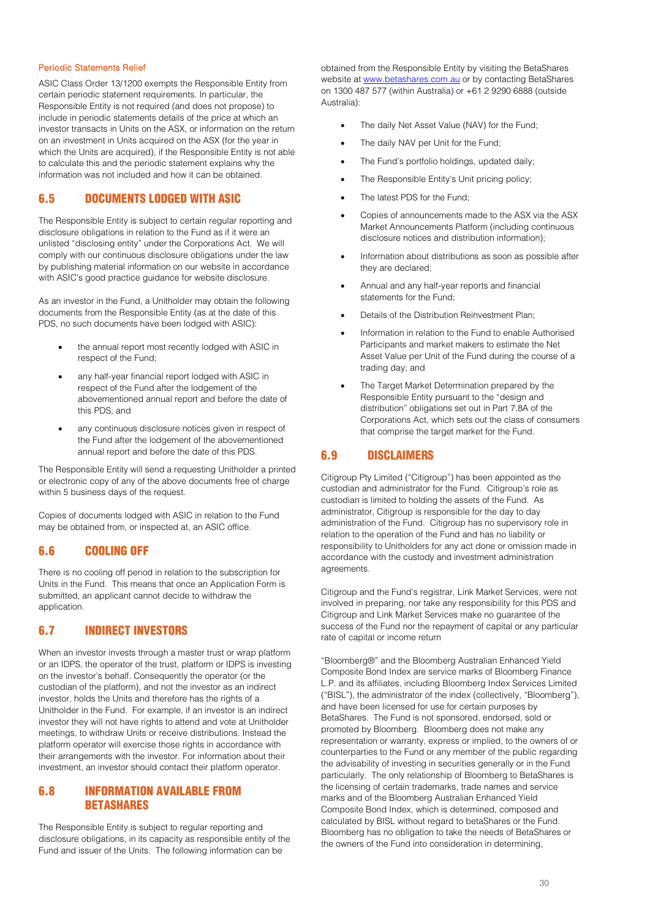#### Periodic Statements Relief

ASIC Class Order 13/1200 exempts the Responsible Entity from certain periodic statement requirements. In particular, the Responsible Entity is not required (and does not propose) to include in periodic statements details of the price at which an investor transacts in Units on the ASX, or information on the return on an investment in Units acquired on the ASX (for the year in which the Units are acquired), if the Responsible Entity is not able to calculate this and the periodic statement explains why the information was not included and how it can be obtained.

## 6.5 DOCUMENTS LODGED WITH ASIC

The Responsible Entity is subject to certain regular reporting and disclosure obligations in relation to the Fund as if it were an unlisted "disclosing entity" under the Corporations Act. We will comply with our continuous disclosure obligations under the law by publishing material information on our website in accordance with ASIC's good practice guidance for website disclosure.

As an investor in the Fund, a Unitholder may obtain the following documents from the Responsible Entity (as at the date of this PDS, no such documents have been lodged with ASIC):

- the annual report most recently lodged with ASIC in respect of the Fund;
- any half-year financial report lodged with ASIC in respect of the Fund after the lodgement of the abovementioned annual report and before the date of this PDS; and
- any continuous disclosure notices given in respect of the Fund after the lodgement of the abovementioned annual report and before the date of this PDS.

The Responsible Entity will send a requesting Unitholder a printed or electronic copy of any of the above documents free of charge within 5 business days of the request.

Copies of documents lodged with ASIC in relation to the Fund may be obtained from, or inspected at, an ASIC office.

### 6.6 COOLING OFF

There is no cooling off period in relation to the subscription for Units in the Fund. This means that once an Application Form is submitted, an applicant cannot decide to withdraw the application.

## 6.7 INDIRECT INVESTORS

When an investor invests through a master trust or wrap platform or an IDPS, the operator of the trust, platform or IDPS is investing on the investor's behalf. Consequently the operator (or the custodian of the platform), and not the investor as an indirect investor, holds the Units and therefore has the rights of a Unitholder in the Fund. For example, if an investor is an indirect investor they will not have rights to attend and vote at Unitholder meetings, to withdraw Units or receive distributions. Instead the platform operator will exercise those rights in accordance with their arrangements with the investor. For information about their investment, an investor should contact their platform operator.

## 6.8 INFORMATION AVAILABLE FROM **BETASHARES**

The Responsible Entity is subject to regular reporting and disclosure obligations, in its capacity as responsible entity of the Fund and issuer of the Units. The following information can be

obtained from the Responsible Entity by visiting the BetaShares website at [www.betashares.com.au](http://www.betashares.com.au/) or by contacting BetaShares on 1300 487 577 (within Australia) or +61 2 9290 6888 (outside Australia):

- The daily Net Asset Value (NAV) for the Fund;
- The daily NAV per Unit for the Fund;
- The Fund's portfolio holdings, updated daily;
- The Responsible Entity's Unit pricing policy;
- The latest PDS for the Fund:
- Copies of announcements made to the ASX via the ASX Market Announcements Platform (including continuous disclosure notices and distribution information);
- Information about distributions as soon as possible after they are declared;
- Annual and any half-year reports and financial statements for the Fund;
- Details of the Distribution Reinvestment Plan;
- Information in relation to the Fund to enable Authorised Participants and market makers to estimate the Net Asset Value per Unit of the Fund during the course of a trading day; and
- The Target Market Determination prepared by the Responsible Entity pursuant to the "design and distribution" obligations set out in Part 7.8A of the Corporations Act, which sets out the class of consumers that comprise the target market for the Fund.

## 6.9 DISCLAIMERS

Citigroup Pty Limited ("Citigroup") has been appointed as the custodian and administrator for the Fund. Citigroup's role as custodian is limited to holding the assets of the Fund. As administrator, Citigroup is responsible for the day to day administration of the Fund. Citigroup has no supervisory role in relation to the operation of the Fund and has no liability or responsibility to Unitholders for any act done or omission made in accordance with the custody and investment administration agreements.

Citigroup and the Fund's registrar, Link Market Services, were not involved in preparing, nor take any responsibility for this PDS and Citigroup and Link Market Services make no guarantee of the success of the Fund nor the repayment of capital or any particular rate of capital or income return

"Bloomberg®" and the Bloomberg Australian Enhanced Yield Composite Bond Index are service marks of Bloomberg Finance L.P. and its affiliates, including Bloomberg Index Services Limited ("BISL"), the administrator of the index (collectively, "Bloomberg"), and have been licensed for use for certain purposes by BetaShares. The Fund is not sponsored, endorsed, sold or promoted by Bloomberg. Bloomberg does not make any representation or warranty, express or implied, to the owners of or counterparties to the Fund or any member of the public regarding the advisability of investing in securities generally or in the Fund particularly. The only relationship of Bloomberg to BetaShares is the licensing of certain trademarks, trade names and service marks and of the Bloomberg Australian Enhanced Yield Composite Bond Index, which is determined, composed and calculated by BISL without regard to betaShares or the Fund. Bloomberg has no obligation to take the needs of BetaShares or the owners of the Fund into consideration in determining,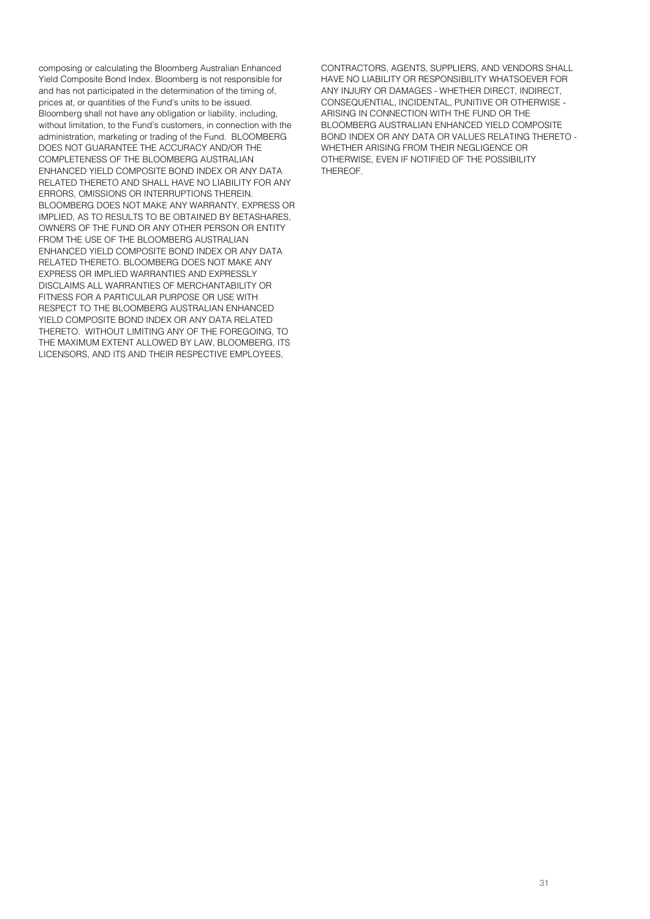composing or calculating the Bloomberg Australian Enhanced Yield Composite Bond Index. Bloomberg is not responsible for and has not participated in the determination of the timing of, prices at, or quantities of the Fund's units to be issued. Bloomberg shall not have any obligation or liability, including, without limitation, to the Fund's customers, in connection with the administration, marketing or trading of the Fund. BLOOMBERG DOES NOT GUARANTEE THE ACCURACY AND/OR THE COMPLETENESS OF THE BLOOMBERG AUSTRALIAN ENHANCED YIELD COMPOSITE BOND INDEX OR ANY DATA RELATED THERETO AND SHALL HAVE NO LIABILITY FOR ANY ERRORS, OMISSIONS OR INTERRUPTIONS THEREIN. BLOOMBERG DOES NOT MAKE ANY WARRANTY, EXPRESS OR IMPLIED, AS TO RESULTS TO BE OBTAINED BY BETASHARES, OWNERS OF THE FUND OR ANY OTHER PERSON OR ENTITY FROM THE USE OF THE BLOOMBERG AUSTRALIAN ENHANCED YIELD COMPOSITE BOND INDEX OR ANY DATA RELATED THERETO. BLOOMBERG DOES NOT MAKE ANY EXPRESS OR IMPLIED WARRANTIES AND EXPRESSLY DISCLAIMS ALL WARRANTIES OF MERCHANTABILITY OR FITNESS FOR A PARTICULAR PURPOSE OR USE WITH RESPECT TO THE BLOOMBERG AUSTRALIAN ENHANCED YIELD COMPOSITE BOND INDEX OR ANY DATA RELATED THERETO. WITHOUT LIMITING ANY OF THE FOREGOING, TO THE MAXIMUM EXTENT ALLOWED BY LAW, BLOOMBERG, ITS LICENSORS, AND ITS AND THEIR RESPECTIVE EMPLOYEES,

CONTRACTORS, AGENTS, SUPPLIERS, AND VENDORS SHALL HAVE NO LIABILITY OR RESPONSIBILITY WHATSOEVER FOR ANY INJURY OR DAMAGES - WHETHER DIRECT, INDIRECT, CONSEQUENTIAL, INCIDENTAL, PUNITIVE OR OTHERWISE - ARISING IN CONNECTION WITH THE FUND OR THE BLOOMBERG AUSTRALIAN ENHANCED YIELD COMPOSITE BOND INDEX OR ANY DATA OR VALUES RELATING THERETO - WHETHER ARISING FROM THEIR NEGLIGENCE OR OTHERWISE, EVEN IF NOTIFIED OF THE POSSIBILITY THEREOF.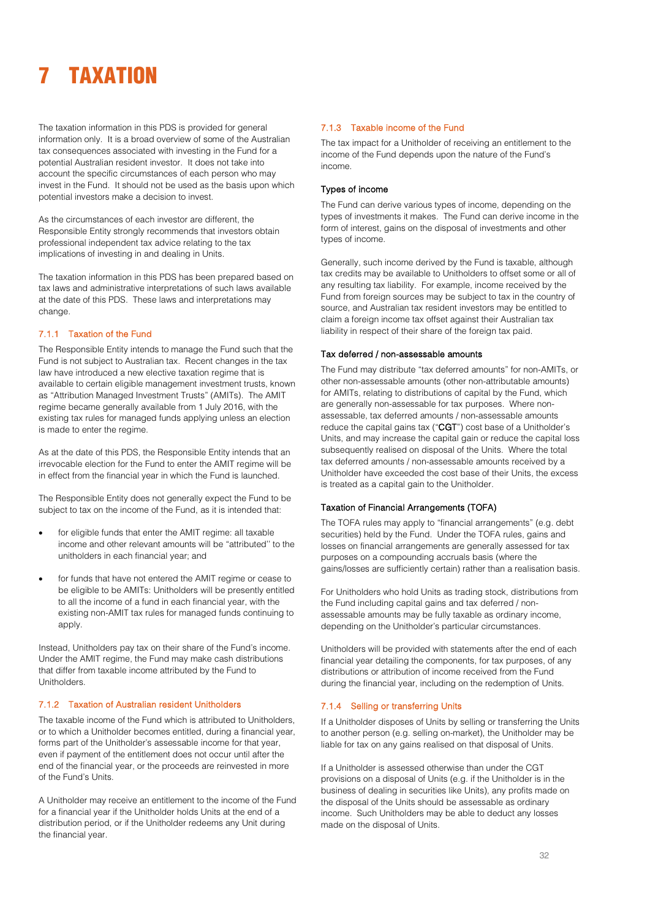# <span id="page-32-0"></span>**TAXATION**

The taxation information in this PDS is provided for general information only. It is a broad overview of some of the Australian tax consequences associated with investing in the Fund for a potential Australian resident investor. It does not take into account the specific circumstances of each person who may invest in the Fund. It should not be used as the basis upon which potential investors make a decision to invest.

As the circumstances of each investor are different, the Responsible Entity strongly recommends that investors obtain professional independent tax advice relating to the tax implications of investing in and dealing in Units.

The taxation information in this PDS has been prepared based on tax laws and administrative interpretations of such laws available at the date of this PDS. These laws and interpretations may change.

#### 7.1.1 Taxation of the Fund

The Responsible Entity intends to manage the Fund such that the Fund is not subject to Australian tax. Recent changes in the tax law have introduced a new elective taxation regime that is available to certain eligible management investment trusts, known as "Attribution Managed Investment Trusts" (AMITs). The AMIT regime became generally available from 1 July 2016, with the existing tax rules for managed funds applying unless an election is made to enter the regime.

As at the date of this PDS, the Responsible Entity intends that an irrevocable election for the Fund to enter the AMIT regime will be in effect from the financial year in which the Fund is launched.

The Responsible Entity does not generally expect the Fund to be subject to tax on the income of the Fund, as it is intended that:

- for eligible funds that enter the AMIT regime: all taxable income and other relevant amounts will be "attributed'' to the unitholders in each financial year; and
- for funds that have not entered the AMIT regime or cease to be eligible to be AMITs: Unitholders will be presently entitled to all the income of a fund in each financial year, with the existing non-AMIT tax rules for managed funds continuing to apply.

Instead, Unitholders pay tax on their share of the Fund's income. Under the AMIT regime, the Fund may make cash distributions that differ from taxable income attributed by the Fund to Unitholders.

#### 7.1.2 Taxation of Australian resident Unitholders

The taxable income of the Fund which is attributed to Unitholders, or to which a Unitholder becomes entitled, during a financial year, forms part of the Unitholder's assessable income for that year, even if payment of the entitlement does not occur until after the end of the financial year, or the proceeds are reinvested in more of the Fund's Units.

A Unitholder may receive an entitlement to the income of the Fund for a financial year if the Unitholder holds Units at the end of a distribution period, or if the Unitholder redeems any Unit during the financial year.

#### 7.1.3 Taxable income of the Fund

The tax impact for a Unitholder of receiving an entitlement to the income of the Fund depends upon the nature of the Fund's income.

#### Types of income

The Fund can derive various types of income, depending on the types of investments it makes. The Fund can derive income in the form of interest, gains on the disposal of investments and other types of income.

Generally, such income derived by the Fund is taxable, although tax credits may be available to Unitholders to offset some or all of any resulting tax liability. For example, income received by the Fund from foreign sources may be subject to tax in the country of source, and Australian tax resident investors may be entitled to claim a foreign income tax offset against their Australian tax liability in respect of their share of the foreign tax paid.

#### Tax deferred / non-assessable amounts

The Fund may distribute "tax deferred amounts" for non-AMITs, or other non-assessable amounts (other non-attributable amounts) for AMITs, relating to distributions of capital by the Fund, which are generally non-assessable for tax purposes. Where nonassessable, tax deferred amounts / non-assessable amounts reduce the capital gains tax ("CGT") cost base of a Unitholder's Units, and may increase the capital gain or reduce the capital loss subsequently realised on disposal of the Units. Where the total tax deferred amounts / non-assessable amounts received by a Unitholder have exceeded the cost base of their Units, the excess is treated as a capital gain to the Unitholder.

#### Taxation of Financial Arrangements (TOFA)

The TOFA rules may apply to "financial arrangements" (e.g. debt securities) held by the Fund. Under the TOFA rules, gains and losses on financial arrangements are generally assessed for tax purposes on a compounding accruals basis (where the gains/losses are sufficiently certain) rather than a realisation basis.

For Unitholders who hold Units as trading stock, distributions from the Fund including capital gains and tax deferred / nonassessable amounts may be fully taxable as ordinary income, depending on the Unitholder's particular circumstances.

Unitholders will be provided with statements after the end of each financial year detailing the components, for tax purposes, of any distributions or attribution of income received from the Fund during the financial year, including on the redemption of Units.

#### 7.1.4 Selling or transferring Units

If a Unitholder disposes of Units by selling or transferring the Units to another person (e.g. selling on-market), the Unitholder may be liable for tax on any gains realised on that disposal of Units.

If a Unitholder is assessed otherwise than under the CGT provisions on a disposal of Units (e.g. if the Unitholder is in the business of dealing in securities like Units), any profits made on the disposal of the Units should be assessable as ordinary income. Such Unitholders may be able to deduct any losses made on the disposal of Units.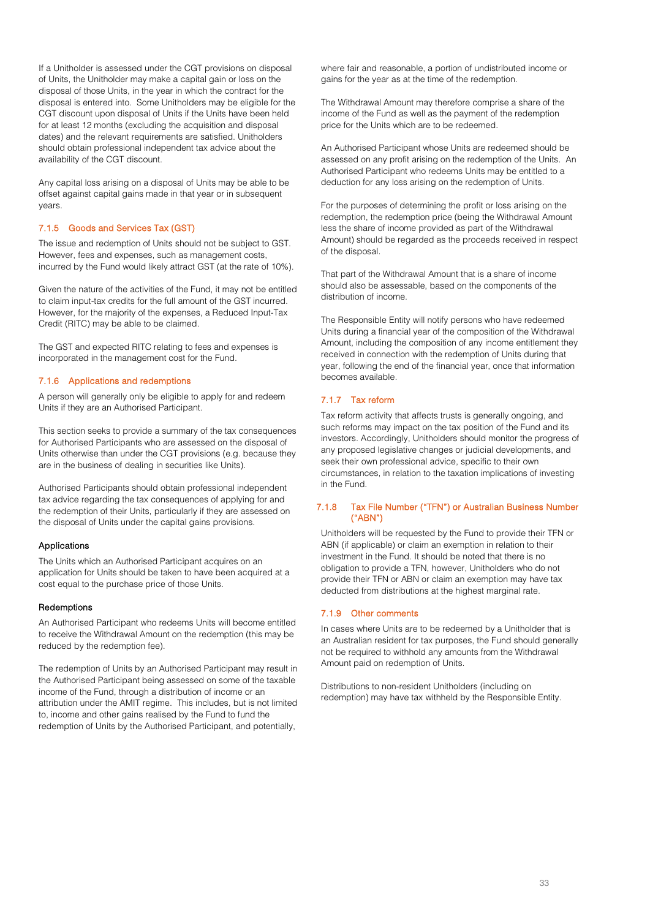If a Unitholder is assessed under the CGT provisions on disposal of Units, the Unitholder may make a capital gain or loss on the disposal of those Units, in the year in which the contract for the disposal is entered into. Some Unitholders may be eligible for the CGT discount upon disposal of Units if the Units have been held for at least 12 months (excluding the acquisition and disposal dates) and the relevant requirements are satisfied. Unitholders should obtain professional independent tax advice about the availability of the CGT discount.

Any capital loss arising on a disposal of Units may be able to be offset against capital gains made in that year or in subsequent years.

#### 7.1.5 Goods and Services Tax (GST)

The issue and redemption of Units should not be subject to GST. However, fees and expenses, such as management costs, incurred by the Fund would likely attract GST (at the rate of 10%).

Given the nature of the activities of the Fund, it may not be entitled to claim input-tax credits for the full amount of the GST incurred. However, for the majority of the expenses, a Reduced Input-Tax Credit (RITC) may be able to be claimed.

The GST and expected RITC relating to fees and expenses is incorporated in the management cost for the Fund.

#### 7.1.6 Applications and redemptions

A person will generally only be eligible to apply for and redeem Units if they are an Authorised Participant.

This section seeks to provide a summary of the tax consequences for Authorised Participants who are assessed on the disposal of Units otherwise than under the CGT provisions (e.g. because they are in the business of dealing in securities like Units).

Authorised Participants should obtain professional independent tax advice regarding the tax consequences of applying for and the redemption of their Units, particularly if they are assessed on the disposal of Units under the capital gains provisions.

#### Applications

The Units which an Authorised Participant acquires on an application for Units should be taken to have been acquired at a cost equal to the purchase price of those Units.

#### **Redemptions**

An Authorised Participant who redeems Units will become entitled to receive the Withdrawal Amount on the redemption (this may be reduced by the redemption fee).

The redemption of Units by an Authorised Participant may result in the Authorised Participant being assessed on some of the taxable income of the Fund, through a distribution of income or an attribution under the AMIT regime. This includes, but is not limited to, income and other gains realised by the Fund to fund the redemption of Units by the Authorised Participant, and potentially,

where fair and reasonable, a portion of undistributed income or gains for the year as at the time of the redemption.

The Withdrawal Amount may therefore comprise a share of the income of the Fund as well as the payment of the redemption price for the Units which are to be redeemed.

An Authorised Participant whose Units are redeemed should be assessed on any profit arising on the redemption of the Units. An Authorised Participant who redeems Units may be entitled to a deduction for any loss arising on the redemption of Units.

For the purposes of determining the profit or loss arising on the redemption, the redemption price (being the Withdrawal Amount less the share of income provided as part of the Withdrawal Amount) should be regarded as the proceeds received in respect of the disposal.

That part of the Withdrawal Amount that is a share of income should also be assessable, based on the components of the distribution of income.

The Responsible Entity will notify persons who have redeemed Units during a financial year of the composition of the Withdrawal Amount, including the composition of any income entitlement they received in connection with the redemption of Units during that year, following the end of the financial year, once that information becomes available.

#### 7.1.7 Tax reform

Tax reform activity that affects trusts is generally ongoing, and such reforms may impact on the tax position of the Fund and its investors. Accordingly, Unitholders should monitor the progress of any proposed legislative changes or judicial developments, and seek their own professional advice, specific to their own circumstances, in relation to the taxation implications of investing in the Fund.

#### 7.1.8 Tax File Number ("TFN") or Australian Business Number ("ABN")

Unitholders will be requested by the Fund to provide their TFN or ABN (if applicable) or claim an exemption in relation to their investment in the Fund. It should be noted that there is no obligation to provide a TFN, however, Unitholders who do not provide their TFN or ABN or claim an exemption may have tax deducted from distributions at the highest marginal rate.

#### 7.1.9 Other comments

In cases where Units are to be redeemed by a Unitholder that is an Australian resident for tax purposes, the Fund should generally not be required to withhold any amounts from the Withdrawal Amount paid on redemption of Units.

Distributions to non-resident Unitholders (including on redemption) may have tax withheld by the Responsible Entity.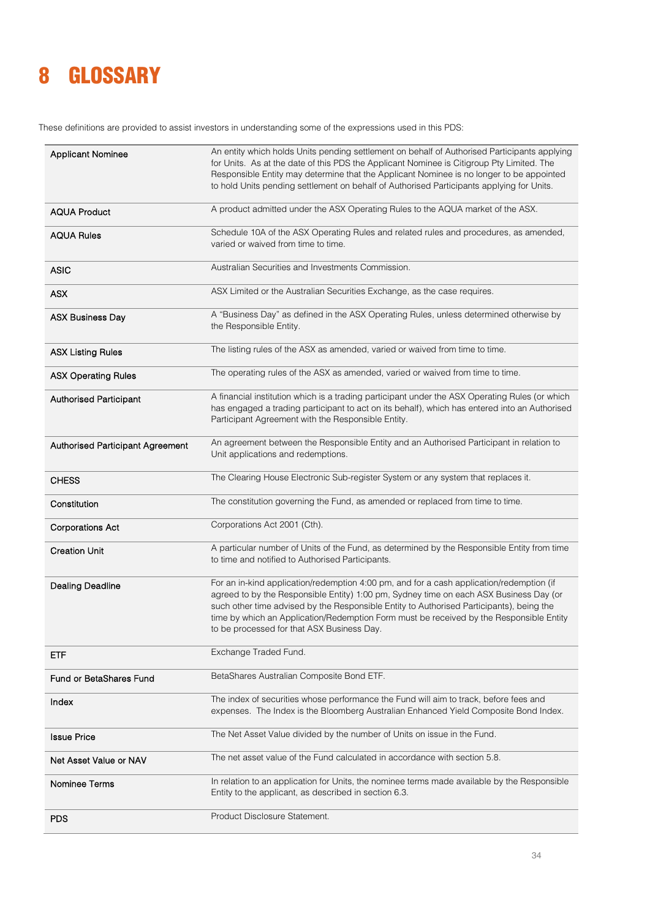## <span id="page-34-0"></span>8 GLOSSARY

These definitions are provided to assist investors in understanding some of the expressions used in this PDS:

| <b>Applicant Nominee</b>         | An entity which holds Units pending settlement on behalf of Authorised Participants applying<br>for Units. As at the date of this PDS the Applicant Nominee is Citigroup Pty Limited. The<br>Responsible Entity may determine that the Applicant Nominee is no longer to be appointed<br>to hold Units pending settlement on behalf of Authorised Participants applying for Units.                                      |
|----------------------------------|-------------------------------------------------------------------------------------------------------------------------------------------------------------------------------------------------------------------------------------------------------------------------------------------------------------------------------------------------------------------------------------------------------------------------|
| <b>AQUA Product</b>              | A product admitted under the ASX Operating Rules to the AQUA market of the ASX.                                                                                                                                                                                                                                                                                                                                         |
| <b>AQUA Rules</b>                | Schedule 10A of the ASX Operating Rules and related rules and procedures, as amended,<br>varied or waived from time to time.                                                                                                                                                                                                                                                                                            |
| <b>ASIC</b>                      | Australian Securities and Investments Commission.                                                                                                                                                                                                                                                                                                                                                                       |
| <b>ASX</b>                       | ASX Limited or the Australian Securities Exchange, as the case requires.                                                                                                                                                                                                                                                                                                                                                |
| <b>ASX Business Day</b>          | A "Business Day" as defined in the ASX Operating Rules, unless determined otherwise by<br>the Responsible Entity.                                                                                                                                                                                                                                                                                                       |
| <b>ASX Listing Rules</b>         | The listing rules of the ASX as amended, varied or waived from time to time.                                                                                                                                                                                                                                                                                                                                            |
| <b>ASX Operating Rules</b>       | The operating rules of the ASX as amended, varied or waived from time to time.                                                                                                                                                                                                                                                                                                                                          |
| <b>Authorised Participant</b>    | A financial institution which is a trading participant under the ASX Operating Rules (or which<br>has engaged a trading participant to act on its behalf), which has entered into an Authorised<br>Participant Agreement with the Responsible Entity.                                                                                                                                                                   |
| Authorised Participant Agreement | An agreement between the Responsible Entity and an Authorised Participant in relation to<br>Unit applications and redemptions.                                                                                                                                                                                                                                                                                          |
| <b>CHESS</b>                     | The Clearing House Electronic Sub-register System or any system that replaces it.                                                                                                                                                                                                                                                                                                                                       |
| Constitution                     | The constitution governing the Fund, as amended or replaced from time to time.                                                                                                                                                                                                                                                                                                                                          |
| <b>Corporations Act</b>          | Corporations Act 2001 (Cth).                                                                                                                                                                                                                                                                                                                                                                                            |
| <b>Creation Unit</b>             | A particular number of Units of the Fund, as determined by the Responsible Entity from time<br>to time and notified to Authorised Participants.                                                                                                                                                                                                                                                                         |
| <b>Dealing Deadline</b>          | For an in-kind application/redemption 4:00 pm, and for a cash application/redemption (if<br>agreed to by the Responsible Entity) 1:00 pm, Sydney time on each ASX Business Day (or<br>such other time advised by the Responsible Entity to Authorised Participants), being the<br>time by which an Application/Redemption Form must be received by the Responsible Entity<br>to be processed for that ASX Business Day. |
| ETF                              | Exchange Traded Fund.                                                                                                                                                                                                                                                                                                                                                                                                   |
| Fund or BetaShares Fund          | BetaShares Australian Composite Bond ETF.                                                                                                                                                                                                                                                                                                                                                                               |
| Index                            | The index of securities whose performance the Fund will aim to track, before fees and<br>expenses. The Index is the Bloomberg Australian Enhanced Yield Composite Bond Index.                                                                                                                                                                                                                                           |
| <b>Issue Price</b>               | The Net Asset Value divided by the number of Units on issue in the Fund.                                                                                                                                                                                                                                                                                                                                                |
| Net Asset Value or NAV           | The net asset value of the Fund calculated in accordance with section 5.8.                                                                                                                                                                                                                                                                                                                                              |
| Nominee Terms                    | In relation to an application for Units, the nominee terms made available by the Responsible<br>Entity to the applicant, as described in section 6.3.                                                                                                                                                                                                                                                                   |
| <b>PDS</b>                       | Product Disclosure Statement.                                                                                                                                                                                                                                                                                                                                                                                           |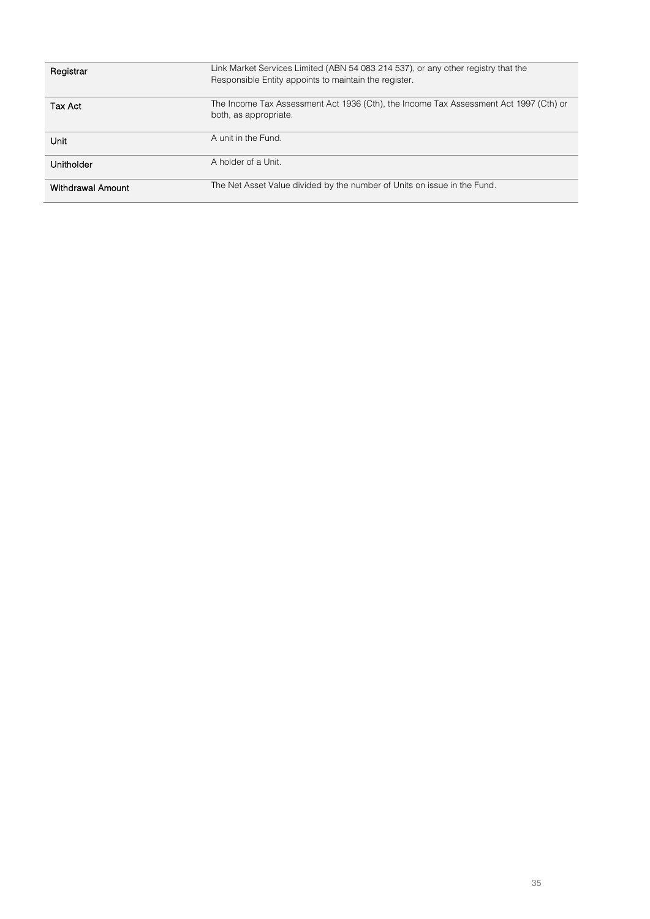| Registrar         | Link Market Services Limited (ABN 54 083 214 537), or any other registry that the<br>Responsible Entity appoints to maintain the register. |
|-------------------|--------------------------------------------------------------------------------------------------------------------------------------------|
| Tax Act           | The Income Tax Assessment Act 1936 (Cth), the Income Tax Assessment Act 1997 (Cth) or<br>both, as appropriate.                             |
| Unit              | A unit in the Fund.                                                                                                                        |
| Unitholder        | A holder of a Unit.                                                                                                                        |
| Withdrawal Amount | The Net Asset Value divided by the number of Units on issue in the Fund.                                                                   |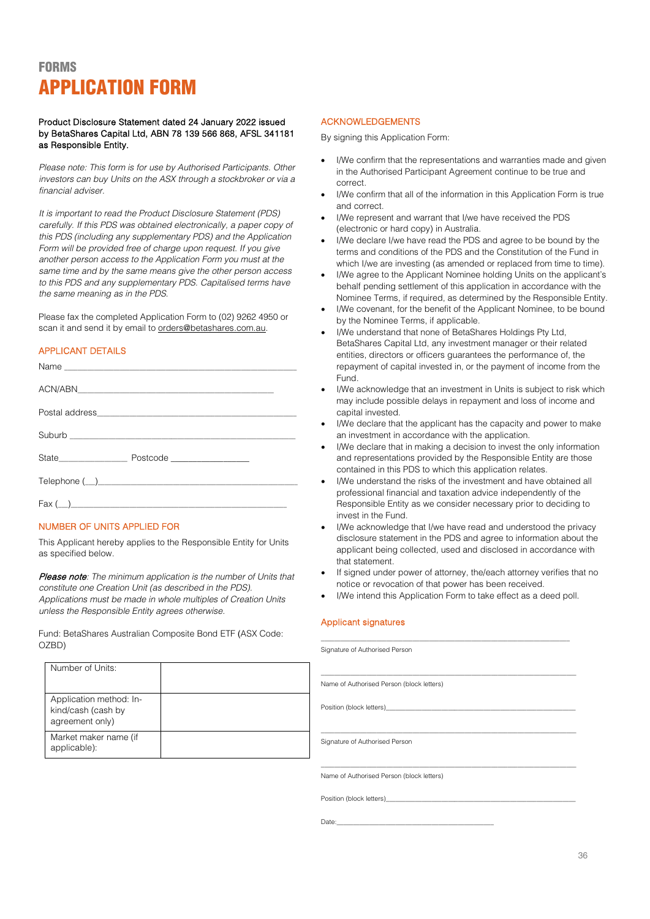## <span id="page-36-0"></span>**FORMS** APPLICATION FORM

#### Product Disclosure Statement dated 24 January 2022 issued by BetaShares Capital Ltd, ABN 78 139 566 868, AFSL 341181 as Responsible Entity.

*Please note: This form is for use by Authorised Participants. Other investors can buy Units on the ASX through a stockbroker or via a financial adviser.* 

*It is important to read the Product Disclosure Statement (PDS) carefully. If this PDS was obtained electronically, a paper copy of this PDS (including any supplementary PDS) and the Application Form will be provided free of charge upon request. If you give another person access to the Application Form you must at the same time and by the same means give the other person access to this PDS and any supplementary PDS. Capitalised terms have the same meaning as in the PDS.*

Please fax the completed Application Form to (02) 9262 4950 or scan it and send it by email to orders@betashares.com.au.

### APPLICANT DETAILS

| Suburb <u>and the community of the community of the community of the community of the community of the community of the community of the community of the community of the community of the community of the community of the co</u> |  |  |
|--------------------------------------------------------------------------------------------------------------------------------------------------------------------------------------------------------------------------------------|--|--|
|                                                                                                                                                                                                                                      |  |  |
|                                                                                                                                                                                                                                      |  |  |
|                                                                                                                                                                                                                                      |  |  |

#### NUMBER OF UNITS APPLIED FOR

This Applicant hereby applies to the Responsible Entity for Units as specified below.

Please note*: The minimum application is the number of Units that constitute one Creation Unit (as described in the PDS). Applications must be made in whole multiples of Creation Units unless the Responsible Entity agrees otherwise.*

Fund: BetaShares Australian Composite Bond ETF (ASX Code: OZBD)

#### ACKNOWLEDGEMENTS

By signing this Application Form:

- I/We confirm that the representations and warranties made and given in the Authorised Participant Agreement continue to be true and correct.
- I/We confirm that all of the information in this Application Form is true and correct.
- I/We represent and warrant that I/we have received the PDS (electronic or hard copy) in Australia.
- I/We declare I/we have read the PDS and agree to be bound by the terms and conditions of the PDS and the Constitution of the Fund in which I/we are investing (as amended or replaced from time to time).
- I/We agree to the Applicant Nominee holding Units on the applicant's behalf pending settlement of this application in accordance with the Nominee Terms, if required, as determined by the Responsible Entity.
- I/We covenant, for the benefit of the Applicant Nominee, to be bound by the Nominee Terms, if applicable.
- I/We understand that none of BetaShares Holdings Pty Ltd, BetaShares Capital Ltd, any investment manager or their related entities, directors or officers guarantees the performance of, the repayment of capital invested in, or the payment of income from the Fund.
- I/We acknowledge that an investment in Units is subject to risk which may include possible delays in repayment and loss of income and capital invested.
- I/We declare that the applicant has the capacity and power to make an investment in accordance with the application.
- I/We declare that in making a decision to invest the only information and representations provided by the Responsible Entity are those contained in this PDS to which this application relates.
- I/We understand the risks of the investment and have obtained all professional financial and taxation advice independently of the Responsible Entity as we consider necessary prior to deciding to invest in the Fund.
- I/We acknowledge that I/we have read and understood the privacy disclosure statement in the PDS and agree to information about the applicant being collected, used and disclosed in accordance with that statement.
- If signed under power of attorney, the/each attorney verifies that no notice or revocation of that power has been received.
- I/We intend this Application Form to take effect as a deed poll.

#### Applicant signatures

| Signature of Authorised Person                                                                                                                                                                                                |
|-------------------------------------------------------------------------------------------------------------------------------------------------------------------------------------------------------------------------------|
| Name of Authorised Person (block letters)                                                                                                                                                                                     |
| Position (block letters) expression and the position of the state of the state of the state of the state of the state of the state of the state of the state of the state of the state of the state of the state of the state |
| Signature of Authorised Person                                                                                                                                                                                                |
|                                                                                                                                                                                                                               |
| Name of Authorised Person (block letters)                                                                                                                                                                                     |
| Position (block letters)                                                                                                                                                                                                      |

Date:\_\_\_\_\_\_\_\_\_\_\_\_\_\_\_\_\_\_\_\_\_\_\_\_\_\_\_\_\_\_\_\_\_\_\_\_\_\_\_\_\_\_\_\_\_\_\_\_

Number of Units: Application method: Inkind/cash (cash by agreement only) Market maker name (if applicable):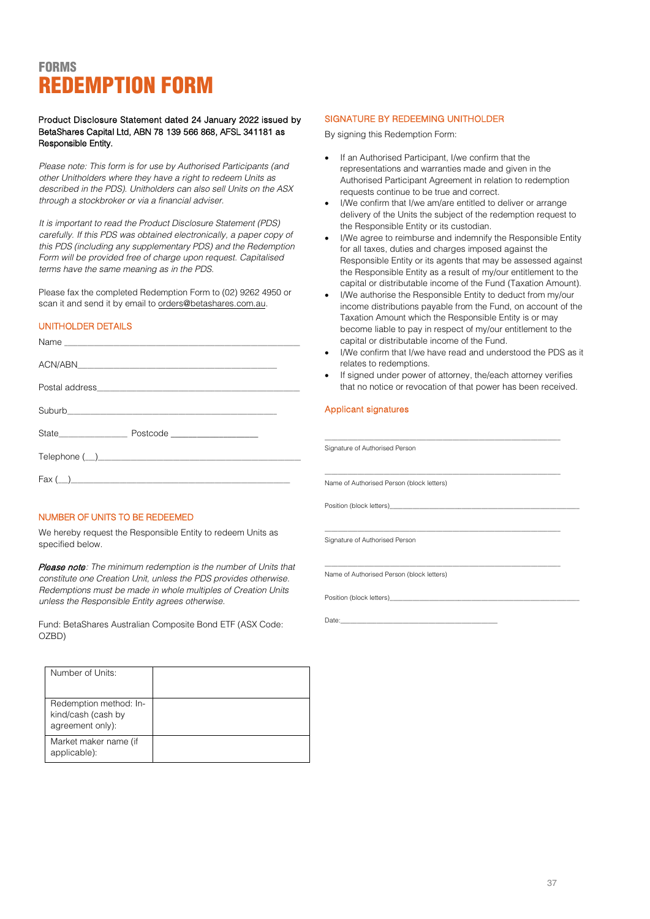## <span id="page-37-0"></span>**FORMS** REDEMPTION FORM

Product Disclosure Statement dated 24 January 2022 issued by BetaShares Capital Ltd, ABN 78 139 566 868, AFSL 341181 as Responsible Entity.

*Please note: This form is for use by Authorised Participants (and other Unitholders where they have a right to redeem Units as described in the PDS). Unitholders can also sell Units on the ASX through a stockbroker or via a financial adviser.*

*It is important to read the Product Disclosure Statement (PDS) carefully. If this PDS was obtained electronically, a paper copy of this PDS (including any supplementary PDS) and the Redemption Form will be provided free of charge upon request. Capitalised terms have the same meaning as in the PDS.*

Please fax the completed Redemption Form to (02) 9262 4950 or scan it and send it by email to orders@betashares.com.au.

### UNITHOLDER DETAILS

|                                         | capital or distributable income of the Fund.<br>I/We confirm that I/we have read and understood the PD<br>$\bullet$ |
|-----------------------------------------|---------------------------------------------------------------------------------------------------------------------|
|                                         | relates to redemptions.<br>• If signed under power of attorney, the/each attorney verif                             |
|                                         | that no notice or revocation of that power has been recei                                                           |
|                                         | Applicant signatures                                                                                                |
| State Manuel Postcode                   |                                                                                                                     |
|                                         | Signature of Authorised Person                                                                                      |
| $\text{Fax} (\underline{\hspace{1cm}})$ | Name of Authorised Person (block letters)                                                                           |

#### NUMBER OF UNITS TO BE REDEEMED

We hereby request the Responsible Entity to redeem Units as specified below.

Please note*: The minimum redemption is the number of Units that constitute one Creation Unit, unless the PDS provides otherwise. Redemptions must be made in whole multiples of Creation Units unless the Responsible Entity agrees otherwise.*

Fund: BetaShares Australian Composite Bond ETF (ASX Code: OZBD)

| Number of Units:                                                 |  |
|------------------------------------------------------------------|--|
| Redemption method: In-<br>kind/cash (cash by<br>agreement only): |  |
| Market maker name (if<br>applicable):                            |  |

#### SIGNATURE BY REDEEMING UNITHOLDER

By signing this Redemption Form:

- If an Authorised Participant, I/we confirm that the representations and warranties made and given in the Authorised Participant Agreement in relation to redemption requests continue to be true and correct.
- I/We confirm that I/we am/are entitled to deliver or arrange delivery of the Units the subject of the redemption request to the Responsible Entity or its custodian.
- I/We agree to reimburse and indemnify the Responsible Entity for all taxes, duties and charges imposed against the Responsible Entity or its agents that may be assessed against the Responsible Entity as a result of my/our entitlement to the capital or distributable income of the Fund (Taxation Amount).
- I/We authorise the Responsible Entity to deduct from my/our income distributions payable from the Fund, on account of the Taxation Amount which the Responsible Entity is or may become liable to pay in respect of my/our entitlement to the capital or distributable income of the Fund.
- I/We confirm that I/we have read and understood the PDS as it relates to redemptions.
- If signed under power of attorney, the/each attorney verifies that no notice or revocation of that power has been received.

\_\_\_\_\_\_\_\_\_\_\_\_\_\_\_\_\_\_\_\_\_\_\_\_\_\_\_\_\_\_\_\_\_\_\_\_\_\_\_\_\_\_\_\_\_\_\_\_\_\_\_\_\_\_\_\_\_\_\_\_\_\_\_\_\_\_\_\_\_\_\_\_

\_\_\_\_\_\_\_\_\_\_\_\_\_\_\_\_\_\_\_\_\_\_\_\_\_\_\_\_\_\_\_\_\_\_\_\_\_\_\_\_\_\_\_\_\_\_\_\_\_\_\_\_\_\_\_\_\_\_\_\_\_\_\_\_\_\_\_\_\_\_\_\_

#### Applicant signatures

Position (block letters)\_

Signature of Authorised Person

Name of Authorised Person (block letters)

Position (block letters)

Date:\_\_\_\_\_\_\_\_\_\_\_\_\_\_\_\_\_\_\_\_\_\_\_\_\_\_\_\_\_\_\_\_\_\_\_\_\_\_\_\_\_\_\_\_\_\_\_\_